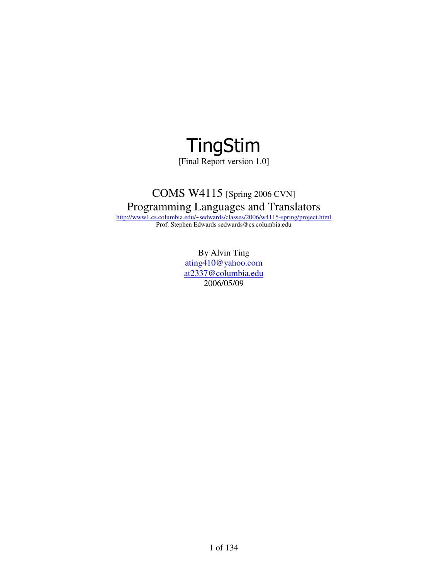

[Final Report version 1.0]

# COMS W4115 [Spring 2006 CVN] Programming Languages and Translators

http://www1.cs.columbia.edu/~sedwards/classes/2006/w4115-spring/project.html Prof. Stephen Edwards sedwards@cs.columbia.edu

> By Alvin Ting ating410@yahoo.com at2337@columbia.edu 2006/05/09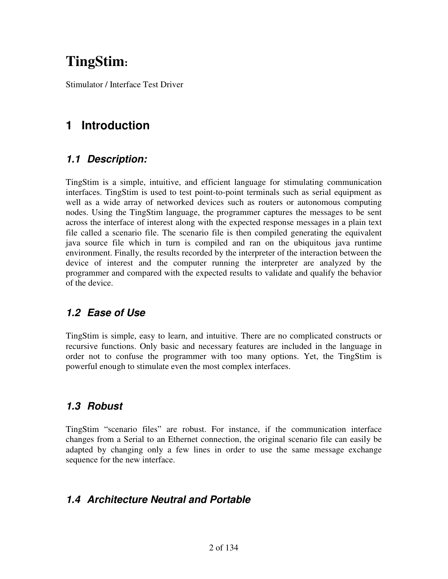# **TingStim:**

Stimulator / Interface Test Driver

# **1 Introduction**

## **1.1 Description:**

TingStim is a simple, intuitive, and efficient language for stimulating communication interfaces. TingStim is used to test point-to-point terminals such as serial equipment as well as a wide array of networked devices such as routers or autonomous computing nodes. Using the TingStim language, the programmer captures the messages to be sent across the interface of interest along with the expected response messages in a plain text file called a scenario file. The scenario file is then compiled generating the equivalent java source file which in turn is compiled and ran on the ubiquitous java runtime environment. Finally, the results recorded by the interpreter of the interaction between the device of interest and the computer running the interpreter are analyzed by the programmer and compared with the expected results to validate and qualify the behavior of the device.

# **1.2 Ease of Use**

TingStim is simple, easy to learn, and intuitive. There are no complicated constructs or recursive functions. Only basic and necessary features are included in the language in order not to confuse the programmer with too many options. Yet, the TingStim is powerful enough to stimulate even the most complex interfaces.

# **1.3 Robust**

TingStim "scenario files" are robust. For instance, if the communication interface changes from a Serial to an Ethernet connection, the original scenario file can easily be adapted by changing only a few lines in order to use the same message exchange sequence for the new interface.

# **1.4 Architecture Neutral and Portable**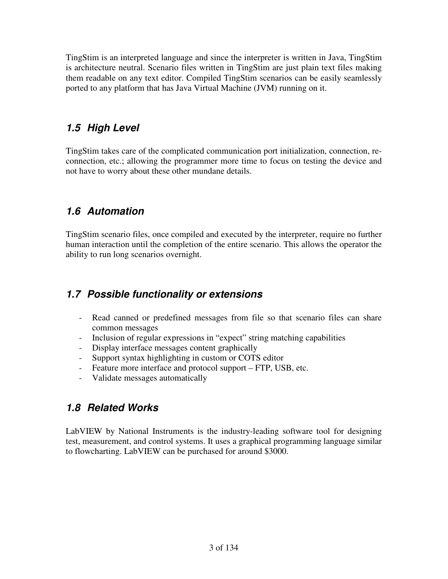TingStim is an interpreted language and since the interpreter is written in Java, TingStim is architecture neutral. Scenario files written in TingStim are just plain text files making them readable on any text editor. Compiled TingStim scenarios can be easily seamlessly ported to any platform that has Java Virtual Machine (JVM) running on it.

# **1.5 High Level**

TingStim takes care of the complicated communication port initialization, connection, reconnection, etc.; allowing the programmer more time to focus on testing the device and not have to worry about these other mundane details.

# **1.6 Automation**

TingStim scenario files, once compiled and executed by the interpreter, require no further human interaction until the completion of the entire scenario. This allows the operator the ability to run long scenarios overnight.

## **1.7 Possible functionality or extensions**

- Read canned or predefined messages from file so that scenario files can share common messages
- Inclusion of regular expressions in "expect" string matching capabilities
- Display interface messages content graphically
- Support syntax highlighting in custom or COTS editor
- Feature more interface and protocol support FTP, USB, etc.
- Validate messages automatically

# **1.8 Related Works**

LabVIEW by National Instruments is the industry-leading software tool for designing test, measurement, and control systems. It uses a graphical programming language similar to flowcharting. LabVIEW can be purchased for around \$3000.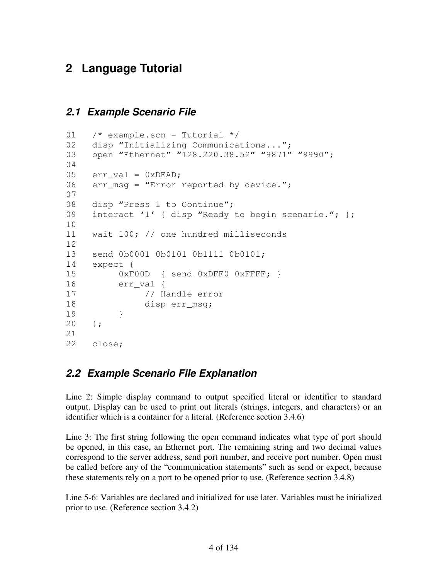# **2 Language Tutorial**

# **2.1 Example Scenario File**

```
01 /* example.scn - Tutorial */02 disp "Initializing Communications...";
03 open "Ethernet" "128.220.38.52" "9871" "9990";
04 
05 err_val = 0xDEAD;
06 err_msg = "Error reported by device.";
07 
08 disp "Press 1 to Continue";
09 interact '1' { disp "Ready to begin scenario."; };
10 
11 wait 100; // one hundred milliseconds 
12 
13 send 0b0001 0b0101 0b1111 0b0101; 
14 expect { 
15 0xF00D { send 0xDFF0 0xFFFF; }
16 err_val { 
17 // Handle error 
18 disp err_msg; 
19 } 
20 }; 
21 
22 close;
```
# **2.2 Example Scenario File Explanation**

Line 2: Simple display command to output specified literal or identifier to standard output. Display can be used to print out literals (strings, integers, and characters) or an identifier which is a container for a literal. (Reference section 3.4.6)

Line 3: The first string following the open command indicates what type of port should be opened, in this case, an Ethernet port. The remaining string and two decimal values correspond to the server address, send port number, and receive port number. Open must be called before any of the "communication statements" such as send or expect, because these statements rely on a port to be opened prior to use. (Reference section 3.4.8)

Line 5-6: Variables are declared and initialized for use later. Variables must be initialized prior to use. (Reference section 3.4.2)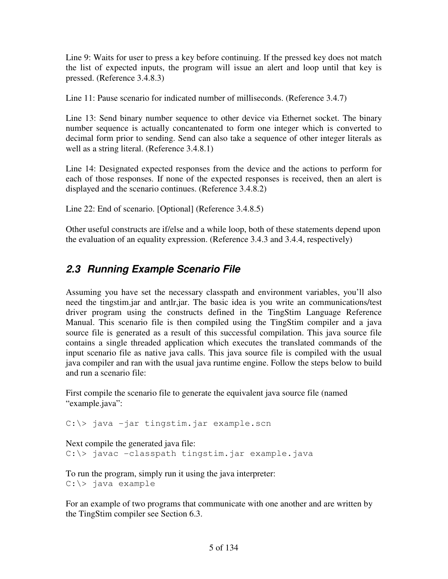Line 9: Waits for user to press a key before continuing. If the pressed key does not match the list of expected inputs, the program will issue an alert and loop until that key is pressed. (Reference 3.4.8.3)

Line 11: Pause scenario for indicated number of milliseconds. (Reference 3.4.7)

Line 13: Send binary number sequence to other device via Ethernet socket. The binary number sequence is actually concantenated to form one integer which is converted to decimal form prior to sending. Send can also take a sequence of other integer literals as well as a string literal. (Reference 3.4.8.1)

Line 14: Designated expected responses from the device and the actions to perform for each of those responses. If none of the expected responses is received, then an alert is displayed and the scenario continues. (Reference 3.4.8.2)

Line 22: End of scenario. [Optional] (Reference 3.4.8.5)

Other useful constructs are if/else and a while loop, both of these statements depend upon the evaluation of an equality expression. (Reference 3.4.3 and 3.4.4, respectively)

# **2.3 Running Example Scenario File**

Assuming you have set the necessary classpath and environment variables, you'll also need the tingstim.jar and antlr,jar. The basic idea is you write an communications/test driver program using the constructs defined in the TingStim Language Reference Manual. This scenario file is then compiled using the TingStim compiler and a java source file is generated as a result of this successful compilation. This java source file contains a single threaded application which executes the translated commands of the input scenario file as native java calls. This java source file is compiled with the usual java compiler and ran with the usual java runtime engine. Follow the steps below to build and run a scenario file:

First compile the scenario file to generate the equivalent java source file (named "example.java":

C:\> java -jar tingstim.jar example.scn

Next compile the generated java file: C:\> javac -classpath tingstim.jar example.java

To run the program, simply run it using the java interpreter: C:\> java example

For an example of two programs that communicate with one another and are written by the TingStim compiler see Section 6.3.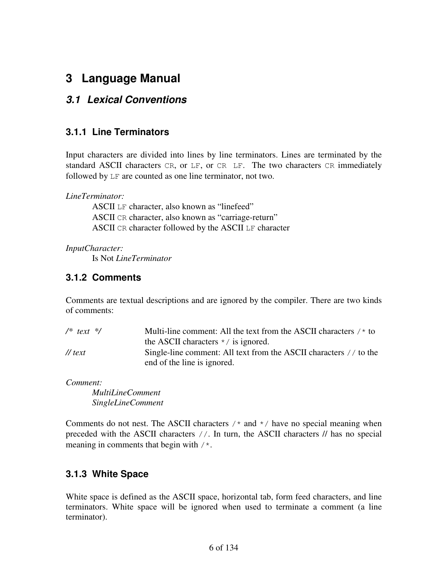# **3 Language Manual**

## **3.1 Lexical Conventions**

#### **3.1.1 Line Terminators**

Input characters are divided into lines by line terminators. Lines are terminated by the standard ASCII characters CR, or LF, or CR LF. The two characters CR immediately followed by LF are counted as one line terminator, not two.

*LineTerminator:* 

 ASCII LF character, also known as "linefeed" ASCII CR character, also known as "carriage-return" ASCII CR character followed by the ASCII LF character

*InputCharacter:* 

Is Not *LineTerminator* 

## **3.1.2 Comments**

Comments are textual descriptions and are ignored by the compiler. There are two kinds of comments:

| $/*$ text $*/$       | Multi-line comment: All the text from the ASCII characters $/$ * to |
|----------------------|---------------------------------------------------------------------|
|                      | the ASCII characters $\star$ / is ignored.                          |
| $\frac{1}{\pi}$ text | Single-line comment: All text from the ASCII characters // to the   |
|                      | end of the line is ignored.                                         |

*Comment:* 

 *MultiLineComment SingleLineComment* 

Comments do not nest. The ASCII characters  $\prime$  and  $\prime$  have no special meaning when preceded with the ASCII characters //. In turn, the ASCII characters // has no special meaning in comments that begin with /\*.

## **3.1.3 White Space**

White space is defined as the ASCII space, horizontal tab, form feed characters, and line terminators. White space will be ignored when used to terminate a comment (a line terminator).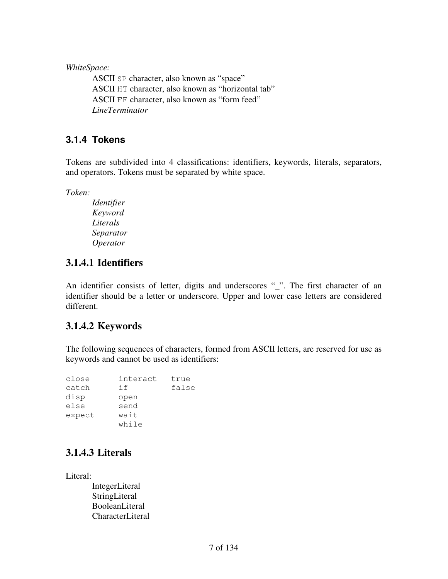*WhiteSpace:* 

 ASCII SP character, also known as "space" ASCII HT character, also known as "horizontal tab" ASCII FF character, also known as "form feed" *LineTerminator* 

#### **3.1.4 Tokens**

Tokens are subdivided into 4 classifications: identifiers, keywords, literals, separators, and operators. Tokens must be separated by white space.

*Token:* 

 *Identifier Keyword Literals Separator Operator* 

## **3.1.4.1 Identifiers**

An identifier consists of letter, digits and underscores "\_". The first character of an identifier should be a letter or underscore. Upper and lower case letters are considered different.

## **3.1.4.2 Keywords**

The following sequences of characters, formed from ASCII letters, are reserved for use as keywords and cannot be used as identifiers:

| close  | interact | true  |
|--------|----------|-------|
| catch  | if       | false |
| disp   | open     |       |
| else   | send     |       |
| expect | wait     |       |
|        | while    |       |

# **3.1.4.3 Literals**

Literal:

 IntegerLiteral StringLiteral BooleanLiteral CharacterLiteral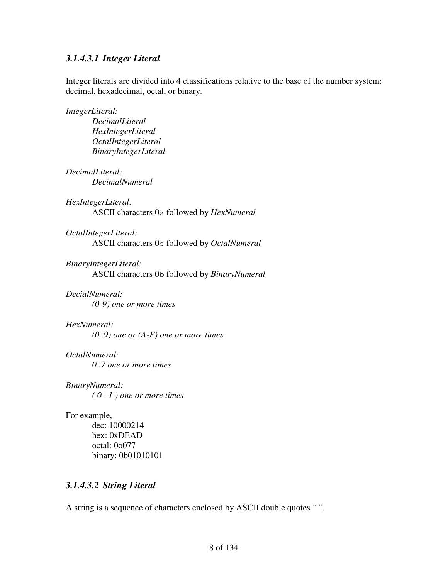#### *3.1.4.3.1 Integer Literal*

Integer literals are divided into 4 classifications relative to the base of the number system: decimal, hexadecimal, octal, or binary.

*IntegerLiteral:* 

 *DecimalLiteral HexIntegerLiteral OctalIntegerLiteral BinaryIntegerLiteral* 

#### *DecimalLiteral:*

 *DecimalNumeral* 

#### *HexIntegerLiteral:*

ASCII characters 0x followed by *HexNumeral* 

#### *OctalIntegerLiteral:*

ASCII characters 0o followed by *OctalNumeral*

*BinaryIntegerLiteral:* 

ASCII characters 0b followed by *BinaryNumeral*

#### *DecialNumeral:*

 *(0-9) one or more times* 

#### *HexNumeral:*

 *(0..9) one or (A-F) one or more times* 

#### *OctalNumeral:*

 *0..7 one or more times* 

#### *BinaryNumeral: ( 0 | 1 ) one or more times*

#### For example,

 dec: 10000214 hex: 0xDEAD octal: 0o077 binary: 0b01010101

#### *3.1.4.3.2 String Literal*

A string is a sequence of characters enclosed by ASCII double quotes "".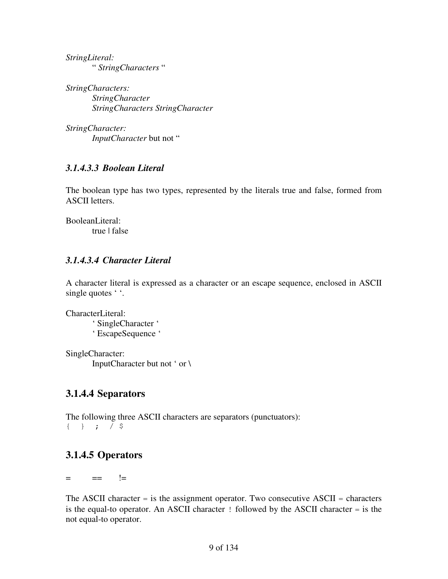*StringLiteral:*  " *StringCharacters* "

*StringCharacters: StringCharacter StringCharacters StringCharacter* 

*StringCharacter: InputCharacter* but not "

#### *3.1.4.3.3 Boolean Literal*

The boolean type has two types, represented by the literals true and false, formed from ASCII letters.

BooleanLiteral: true | false

#### *3.1.4.3.4 Character Literal*

A character literal is expressed as a character or an escape sequence, enclosed in ASCII single quotes ' '.

CharacterLiteral:

 ' SingleCharacter ' ' EscapeSequence '

SingleCharacter: InputCharacter but not ' or \

# **3.1.4.4 Separators**

The following three ASCII characters are separators (punctuators): { } ; / \$

# **3.1.4.5 Operators**

 $=$   $=$   $!=$   $!=$ 

The ASCII character  $=$  is the assignment operator. Two consecutive ASCII  $=$  characters is the equal-to operator. An ASCII character ! followed by the ASCII character = is the not equal-to operator.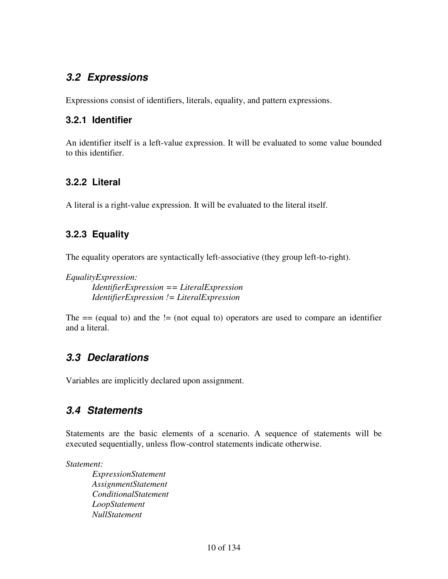# **3.2 Expressions**

Expressions consist of identifiers, literals, equality, and pattern expressions.

#### **3.2.1 Identifier**

An identifier itself is a left-value expression. It will be evaluated to some value bounded to this identifier.

## **3.2.2 Literal**

A literal is a right-value expression. It will be evaluated to the literal itself.

## **3.2.3 Equality**

The equality operators are syntactically left-associative (they group left-to-right).

*EqualityExpression:* 

 *IdentifierExpression == LiteralExpression IdentifierExpression != LiteralExpression* 

The  $==$  (equal to) and the  $!=$  (not equal to) operators are used to compare an identifier and a literal.

# **3.3 Declarations**

Variables are implicitly declared upon assignment.

# **3.4 Statements**

Statements are the basic elements of a scenario. A sequence of statements will be executed sequentially, unless flow-control statements indicate otherwise.

*Statement:* 

 *ExpressionStatement AssignmentStatement ConditionalStatement LoopStatement NullStatement*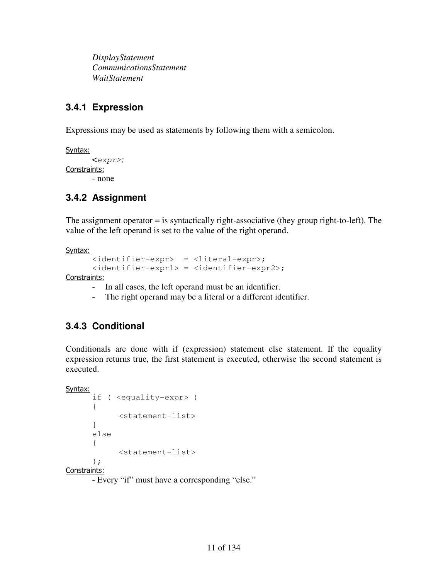*DisplayStatement CommunicationsStatement WaitStatement* 

## **3.4.1 Expression**

Expressions may be used as statements by following them with a semicolon.

```
Syntax:
         <expr>; 
Constraints: 
        - none
```
## **3.4.2 Assignment**

The assignment operator = is syntactically right-associative (they group right-to-left). The value of the left operand is set to the value of the right operand.

Syntax:

```
 <identifier-expr> = <literal-expr>; 
 <identifier-expr1> = <identifier-expr2>;
```
Constraints:

- In all cases, the left operand must be an identifier.
- The right operand may be a literal or a different identifier.

## **3.4.3 Conditional**

Conditionals are done with if (expression) statement else statement. If the equality expression returns true, the first statement is executed, otherwise the second statement is executed.

```
Syntax:
```

```
 if ( <equality-expr> ) 
 { 
       <statement-list> 
 } 
 else 
 { 
        <statement-list> 
 };
```
Constraints:

- Every "if" must have a corresponding "else."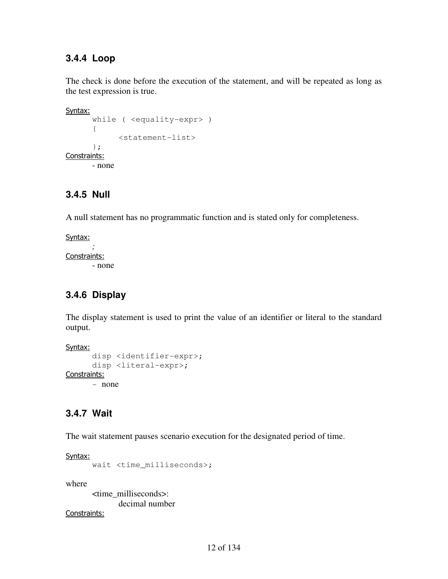#### **3.4.4 Loop**

The check is done before the execution of the statement, and will be repeated as long as the test expression is true.

Syntax:

```
 while ( <equality-expr> ) 
        { 
               <statement-list> 
        }; 
Constraints: 
        - none
```
#### **3.4.5 Null**

A null statement has no programmatic function and is stated only for completeness.

Syntax: *;* 

Constraints:

- none

# **3.4.6 Display**

The display statement is used to print the value of an identifier or literal to the standard output.

Syntax:

```
 disp <identifier-expr>; 
      disp <literal-expr>; 
Constraints: 
       - none
```
# **3.4.7 Wait**

The wait statement pauses scenario execution for the designated period of time.

Syntax:

```
 wait <time_milliseconds>;
```
where

 <time\_milliseconds>: decimal number

Constraints: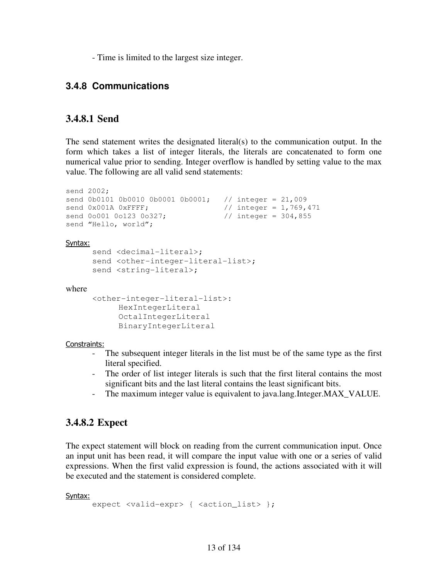- Time is limited to the largest size integer.

#### **3.4.8 Communications**

#### **3.4.8.1 Send**

The send statement writes the designated literal(s) to the communication output. In the form which takes a list of integer literals, the literals are concatenated to form one numerical value prior to sending. Integer overflow is handled by setting value to the max value. The following are all valid send statements:

```
send 2002; 
send 0b0101 0b0010 0b0001 0b0001; // integer = 21,009
send 0x001A 0xFFFF; \frac{1}{100} // integer = 1,769,471
send 0o001 0o123 0o327; \frac{1}{10} integer = 304,855
send "Hello, world";
```
Syntax:

```
send <decimal-literal>;
send <other-integer-literal-list>;
send <string-literal>;
```
where

```
 <other-integer-literal-list>: 
       HexIntegerLiteral 
       OctalIntegerLiteral 
       BinaryIntegerLiteral
```
Constraints:

- The subsequent integer literals in the list must be of the same type as the first literal specified.
- The order of list integer literals is such that the first literal contains the most significant bits and the last literal contains the least significant bits.
- The maximum integer value is equivalent to java.lang.Integer.MAX\_VALUE.

#### **3.4.8.2 Expect**

The expect statement will block on reading from the current communication input. Once an input unit has been read, it will compare the input value with one or a series of valid expressions. When the first valid expression is found, the actions associated with it will be executed and the statement is considered complete.

Syntax:

```
expect <valid-expr> { <action_list> };
```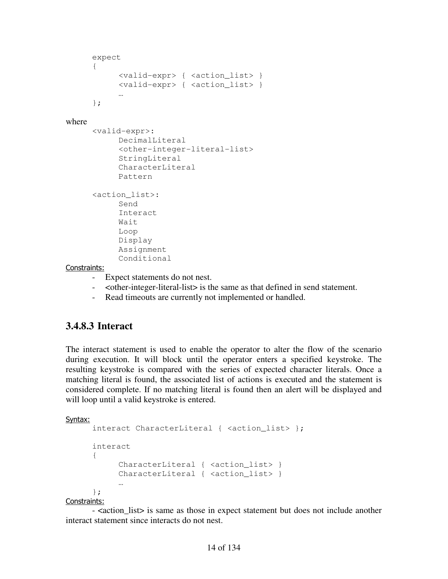```
 expect 
      { 
            <valid-expr> { <action_list> } 
            <valid-expr> { <action_list> } 
 … 
      };
```
#### where

```
 <valid-expr>: 
       DecimalLiteral 
       <other-integer-literal-list> 
       StringLiteral 
       CharacterLiteral 
       Pattern 
 <action_list>: 
       Send 
       Interact 
       Wait 
       Loop 
       Display 
       Assignment 
       Conditional
```
#### Constraints:

- Expect statements do not nest.
- <other-integer-literal-list> is the same as that defined in send statement.
- Read timeouts are currently not implemented or handled.

#### **3.4.8.3 Interact**

The interact statement is used to enable the operator to alter the flow of the scenario during execution. It will block until the operator enters a specified keystroke. The resulting keystroke is compared with the series of expected character literals. Once a matching literal is found, the associated list of actions is executed and the statement is considered complete. If no matching literal is found then an alert will be displayed and will loop until a valid keystroke is entered.

#### Syntax:

```
interact CharacterLiteral { <action list> };
      interact 
      { 
           CharacterLiteral { <action_list> }
           CharacterLiteral { <action_list> }
 … 
      }; 
Constraints:
```
 - <action\_list> is same as those in expect statement but does not include another interact statement since interacts do not nest.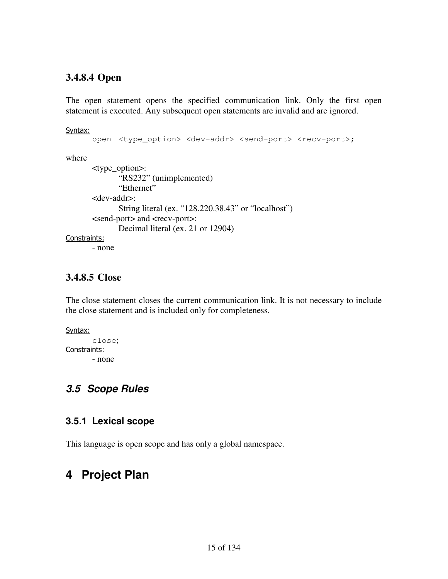#### **3.4.8.4 Open**

The open statement opens the specified communication link. Only the first open statement is executed. Any subsequent open statements are invalid and are ignored.

#### Syntax:

```
open <type_option> <dev-addr> <send-port> <recv-port>;
```
where

```
 <type_option>: 
                "RS232" (unimplemented) 
                "Ethernet" 
        <dev-addr>: 
                String literal (ex. "128.220.38.43" or "localhost") 
        <send-port> and <recv-port>: 
                Decimal literal (ex. 21 or 12904) 
Constraints: 
        - none
```
#### **3.4.8.5 Close**

The close statement closes the current communication link. It is not necessary to include the close statement and is included only for completeness.

```
Syntax:
         close; 
Constraints: 
         - none
```
## **3.5 Scope Rules**

#### **3.5.1 Lexical scope**

This language is open scope and has only a global namespace.

# **4 Project Plan**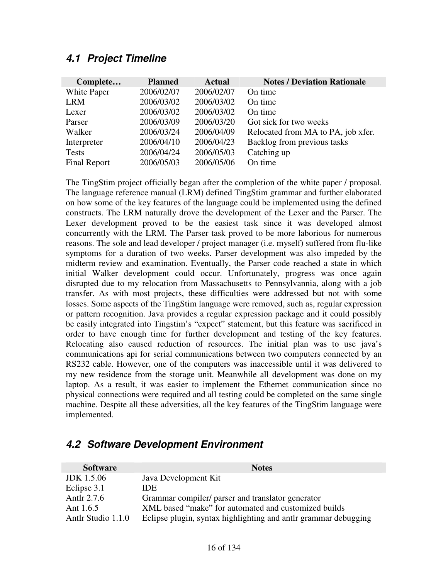#### **4.1 Project Timeline**

| Complete            | <b>Planned</b> | <b>Actual</b> | <b>Notes / Deviation Rationale</b> |
|---------------------|----------------|---------------|------------------------------------|
| White Paper         | 2006/02/07     | 2006/02/07    | On time                            |
| <b>LRM</b>          | 2006/03/02     | 2006/03/02    | On time                            |
| Lexer               | 2006/03/02     | 2006/03/02    | On time                            |
| Parser              | 2006/03/09     | 2006/03/20    | Got sick for two weeks             |
| Walker              | 2006/03/24     | 2006/04/09    | Relocated from MA to PA, job xfer. |
| Interpreter         | 2006/04/10     | 2006/04/23    | Backlog from previous tasks        |
| <b>Tests</b>        | 2006/04/24     | 2006/05/03    | Catching up                        |
| <b>Final Report</b> | 2006/05/03     | 2006/05/06    | On time                            |

The TingStim project officially began after the completion of the white paper / proposal. The language reference manual (LRM) defined TingStim grammar and further elaborated on how some of the key features of the language could be implemented using the defined constructs. The LRM naturally drove the development of the Lexer and the Parser. The Lexer development proved to be the easiest task since it was developed almost concurrently with the LRM. The Parser task proved to be more laborious for numerous reasons. The sole and lead developer / project manager (i.e. myself) suffered from flu-like symptoms for a duration of two weeks. Parser development was also impeded by the midterm review and examination. Eventually, the Parser code reached a state in which initial Walker development could occur. Unfortunately, progress was once again disrupted due to my relocation from Massachusetts to Pennsylvannia, along with a job transfer. As with most projects, these difficulties were addressed but not with some losses. Some aspects of the TingStim language were removed, such as, regular expression or pattern recognition. Java provides a regular expression package and it could possibly be easily integrated into Tingstim's "expect" statement, but this feature was sacrificed in order to have enough time for further development and testing of the key features. Relocating also caused reduction of resources. The initial plan was to use java's communications api for serial communications between two computers connected by an RS232 cable. However, one of the computers was inaccessible until it was delivered to my new residence from the storage unit. Meanwhile all development was done on my laptop. As a result, it was easier to implement the Ethernet communication since no physical connections were required and all testing could be completed on the same single machine. Despite all these adversities, all the key features of the TingStim language were implemented.

# **Software** Notes **Notes** JDK 1.5.06 Java Development Kit

### **4.2 Software Development Environment**

| <b>JDK</b> 1.5.06  | Java Development Kit                                             |
|--------------------|------------------------------------------------------------------|
| Eclipse 3.1        | IDE                                                              |
| Antlr 2.7.6        | Grammar compiler/ parser and translator generator                |
| Ant $1.6.5$        | XML based "make" for automated and customized builds             |
| Antlr Studio 1.1.0 | Eclipse plugin, syntax highlighting and antilreframmar debugging |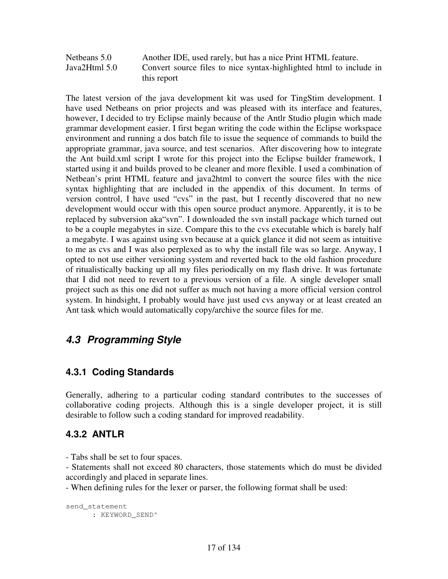Netbeans 5.0 Another IDE, used rarely, but has a nice Print HTML feature. Java2Html 5.0 Convert source files to nice syntax-highlighted html to include in this report

The latest version of the java development kit was used for TingStim development. I have used Netbeans on prior projects and was pleased with its interface and features, however, I decided to try Eclipse mainly because of the Antlr Studio plugin which made grammar development easier. I first began writing the code within the Eclipse workspace environment and running a dos batch file to issue the sequence of commands to build the appropriate grammar, java source, and test scenarios. After discovering how to integrate the Ant build.xml script I wrote for this project into the Eclipse builder framework, I started using it and builds proved to be cleaner and more flexible. I used a combination of Netbean's print HTML feature and java2html to convert the source files with the nice syntax highlighting that are included in the appendix of this document. In terms of version control, I have used "cvs" in the past, but I recently discovered that no new development would occur with this open source product anymore. Apparently, it is to be replaced by subversion aka"svn". I downloaded the svn install package which turned out to be a couple megabytes in size. Compare this to the cvs executable which is barely half a megabyte. I was against using svn because at a quick glance it did not seem as intuitive to me as cvs and I was also perplexed as to why the install file was so large. Anyway, I opted to not use either versioning system and reverted back to the old fashion procedure of ritualistically backing up all my files periodically on my flash drive. It was fortunate that I did not need to revert to a previous version of a file. A single developer small project such as this one did not suffer as much not having a more official version control system. In hindsight, I probably would have just used cvs anyway or at least created an Ant task which would automatically copy/archive the source files for me.

# **4.3 Programming Style**

## **4.3.1 Coding Standards**

Generally, adhering to a particular coding standard contributes to the successes of collaborative coding projects. Although this is a single developer project, it is still desirable to follow such a coding standard for improved readability.

#### **4.3.2 ANTLR**

- Tabs shall be set to four spaces.

- Statements shall not exceed 80 characters, those statements which do must be divided accordingly and placed in separate lines.

- When defining rules for the lexer or parser, the following format shall be used:

```
send_statement 
      : KEYWORD_SEND^
```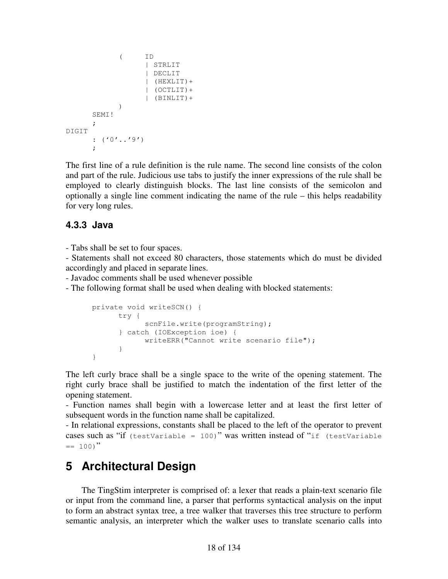```
 ( ID 
                      | STRLIT 
                      | DECLIT 
                      | (HEXLIT)+ 
                      | (OCTLIT)+ 
                      | (BINLIT)+ 
 ) 
       SEM<sub>I</sub>!
\mathcal{L}DIGIT 
      : ('0'.'.'9');
```
The first line of a rule definition is the rule name. The second line consists of the colon and part of the rule. Judicious use tabs to justify the inner expressions of the rule shall be employed to clearly distinguish blocks. The last line consists of the semicolon and optionally a single line comment indicating the name of the rule – this helps readability for very long rules.

#### **4.3.3 Java**

- Tabs shall be set to four spaces.

- Statements shall not exceed 80 characters, those statements which do must be divided accordingly and placed in separate lines.

- Javadoc comments shall be used whenever possible

- The following format shall be used when dealing with blocked statements:

```
 private void writeSCN() { 
            try { 
                 scnFile.write(programString);
            } catch (IOException ioe) { 
                  writeERR("Cannot write scenario file"); 
 } 
      }
```
The left curly brace shall be a single space to the write of the opening statement. The right curly brace shall be justified to match the indentation of the first letter of the opening statement.

- Function names shall begin with a lowercase letter and at least the first letter of subsequent words in the function name shall be capitalized.

- In relational expressions, constants shall be placed to the left of the operator to prevent cases such as "if (testVariable = 100)" was written instead of "if (testVariable  $= 100$ "

# **5 Architectural Design**

The TingStim interpreter is comprised of: a lexer that reads a plain-text scenario file or input from the command line, a parser that performs syntactical analysis on the input to form an abstract syntax tree, a tree walker that traverses this tree structure to perform semantic analysis, an interpreter which the walker uses to translate scenario calls into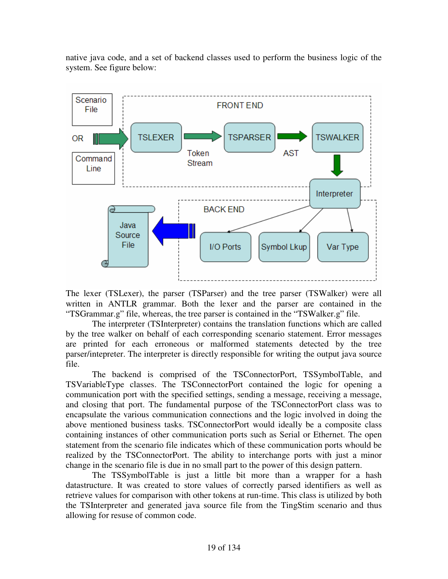native java code, and a set of backend classes used to perform the business logic of the system. See figure below:



The lexer (TSLexer), the parser (TSParser) and the tree parser (TSWalker) were all written in ANTLR grammar. Both the lexer and the parser are contained in the "TSGrammar.g" file, whereas, the tree parser is contained in the "TSWalker.g" file.

 The interpreter (TSInterpreter) contains the translation functions which are called by the tree walker on behalf of each corresponding scenario statement. Error messages are printed for each erroneous or malformed statements detected by the tree parser/intepreter. The interpreter is directly responsible for writing the output java source file.

The backend is comprised of the TSConnectorPort, TSSymbolTable, and TSVariableType classes. The TSConnectorPort contained the logic for opening a communication port with the specified settings, sending a message, receiving a message, and closing that port. The fundamental purpose of the TSConnectorPort class was to encapsulate the various communication connections and the logic involved in doing the above mentioned business tasks. TSConnectorPort would ideally be a composite class containing instances of other communication ports such as Serial or Ethernet. The open statement from the scenario file indicates which of these communication ports whould be realized by the TSConnectorPort. The ability to interchange ports with just a minor change in the scenario file is due in no small part to the power of this design pattern.

The TSSymbolTable is just a little bit more than a wrapper for a hash datastructure. It was created to store values of correctly parsed identifiers as well as retrieve values for comparison with other tokens at run-time. This class is utilized by both the TSInterpreter and generated java source file from the TingStim scenario and thus allowing for resuse of common code.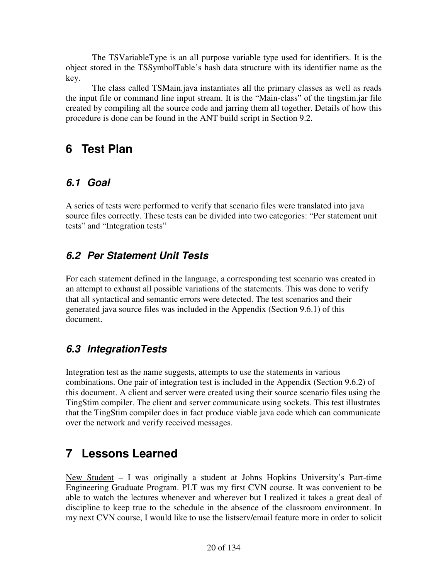The TSVariableType is an all purpose variable type used for identifiers. It is the object stored in the TSSymbolTable's hash data structure with its identifier name as the key.

 The class called TSMain.java instantiates all the primary classes as well as reads the input file or command line input stream. It is the "Main-class" of the tingstim.jar file created by compiling all the source code and jarring them all together. Details of how this procedure is done can be found in the ANT build script in Section 9.2.

# **6 Test Plan**

# **6.1 Goal**

A series of tests were performed to verify that scenario files were translated into java source files correctly. These tests can be divided into two categories: "Per statement unit tests" and "Integration tests"

# **6.2 Per Statement Unit Tests**

For each statement defined in the language, a corresponding test scenario was created in an attempt to exhaust all possible variations of the statements. This was done to verify that all syntactical and semantic errors were detected. The test scenarios and their generated java source files was included in the Appendix (Section 9.6.1) of this document.

# **6.3 IntegrationTests**

Integration test as the name suggests, attempts to use the statements in various combinations. One pair of integration test is included in the Appendix (Section 9.6.2) of this document. A client and server were created using their source scenario files using the TingStim compiler. The client and server communicate using sockets. This test illustrates that the TingStim compiler does in fact produce viable java code which can communicate over the network and verify received messages.

# **7 Lessons Learned**

New Student  $-$  I was originally a student at Johns Hopkins University's Part-time Engineering Graduate Program. PLT was my first CVN course. It was convenient to be able to watch the lectures whenever and wherever but I realized it takes a great deal of discipline to keep true to the schedule in the absence of the classroom environment. In my next CVN course, I would like to use the listserv/email feature more in order to solicit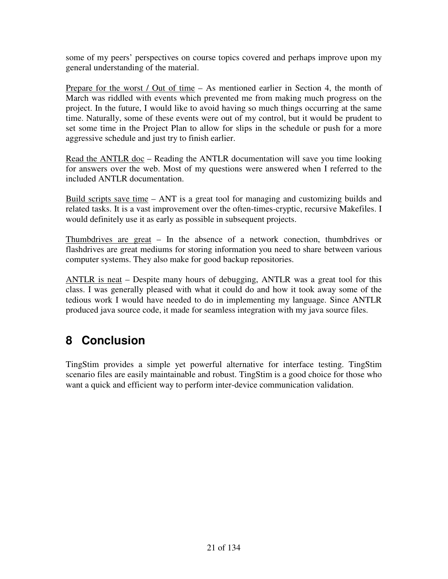some of my peers' perspectives on course topics covered and perhaps improve upon my general understanding of the material.

Prepare for the worst / Out of time – As mentioned earlier in Section 4, the month of March was riddled with events which prevented me from making much progress on the project. In the future, I would like to avoid having so much things occurring at the same time. Naturally, some of these events were out of my control, but it would be prudent to set some time in the Project Plan to allow for slips in the schedule or push for a more aggressive schedule and just try to finish earlier.

Read the ANTLR doc – Reading the ANTLR documentation will save you time looking for answers over the web. Most of my questions were answered when I referred to the included ANTLR documentation.

Build scripts save time – ANT is a great tool for managing and customizing builds and related tasks. It is a vast improvement over the often-times-cryptic, recursive Makefiles. I would definitely use it as early as possible in subsequent projects.

Thumbdrives are great – In the absence of a network conection, thumbdrives or flashdrives are great mediums for storing information you need to share between various computer systems. They also make for good backup repositories.

ANTLR is neat – Despite many hours of debugging, ANTLR was a great tool for this class. I was generally pleased with what it could do and how it took away some of the tedious work I would have needed to do in implementing my language. Since ANTLR produced java source code, it made for seamless integration with my java source files.

# **8 Conclusion**

TingStim provides a simple yet powerful alternative for interface testing. TingStim scenario files are easily maintainable and robust. TingStim is a good choice for those who want a quick and efficient way to perform inter-device communication validation.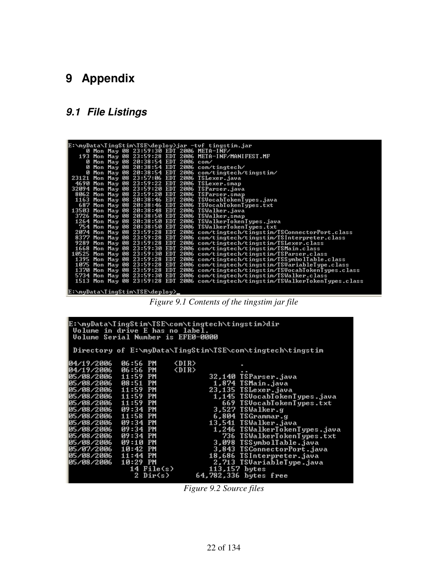# **9 Appendix**

# **9.1 File Listings**

|  |  |                                     |  | E:\myData\TingStim\TSE\deploy>jar -tvf tingstim.jar                              |
|--|--|-------------------------------------|--|----------------------------------------------------------------------------------|
|  |  |                                     |  | 0 Mon May 08 23:59:30 EDT 2006 META-INF/                                         |
|  |  |                                     |  | 193 Mon May 08 23:59:28 EDT 2006 META-INF/MANIFEST.MF                            |
|  |  | 0 Mon May 08 20:38:54 EDT 2006 com/ |  |                                                                                  |
|  |  |                                     |  | 0 Mon May 08 20:38:54 EDT 2006 com/tingtech/                                     |
|  |  |                                     |  | 0 Mon May 08 20:38:54 EDT 2006 com/tingtech/tingstim/                            |
|  |  |                                     |  | 23121 Mon May 08 23:57:06 EDT 2006 TSLexer.java                                  |
|  |  |                                     |  | 4690 Mon May 08 23:59:22 EDT 2006 TSLexer.smap                                   |
|  |  |                                     |  | 32094 Mon May 08 23:59:20 EDT 2006 TSParser.java                                 |
|  |  |                                     |  | 8062 Mon May 08 23:59:20 EDT 2006 TSParser.smap                                  |
|  |  |                                     |  | 1163 Mon May 08 20:38:46 EDT 2006 TSVocabTokenTypes.java                         |
|  |  |                                     |  | 687 Mon May 08 20:38:46 EDT 2006 TSVocabTokenTypes.txt                           |
|  |  |                                     |  | 13503 Mon May 08 20:38:48 EDT 2006 TSWalker.java                                 |
|  |  |                                     |  | 3726 Mon May 08 20:38:50 EDT 2006 TSWalker.smap                                  |
|  |  |                                     |  | 1264 Mon May 08 20:38:50 EDT 2006 TSWalkerTokenTypes.java                        |
|  |  |                                     |  | 754 Mon May 08 20:38:50 EDT 2006 TSWalkerTokenTypes.txt                          |
|  |  |                                     |  | 2074 Mon May 08 23:59:28 EDT 2006 com/tingtech/tingstim/TSConnectorPort.class    |
|  |  |                                     |  | 8377 Mon May 08 23:59:28 EDT 2006 com/tingtech/tingstim/TSInterpreter.class      |
|  |  |                                     |  | 9289 Mon May 08 23:59:28 EDT 2006 com/tingtech/tingstim/TSLexer.class            |
|  |  |                                     |  | 1668 Mon May 08 23:59:30 EDT 2006 com/tingtech/tingstim/TSMain.class             |
|  |  |                                     |  | 10525 Mon May 08 23:59:30 EDT 2006 com/tingtech/tingstim/TSParser.class          |
|  |  |                                     |  | 1395 Mon May 08 23:59:28 EDT 2006 com/tingtech/tingstim/TSSymbolTable.class      |
|  |  |                                     |  | 1075 Mon May 08 23:59:28 EDT 2006 com/tingtech/tingstim/TSUariableType.class     |
|  |  |                                     |  | 1370 Mon May 08 23:59:28 EDT 2006 com/tingtech/tingstim/TSUocabTokenTypes.class  |
|  |  |                                     |  | 5734 Mon May 08 23:59:30 EDT 2006 com/tingtech/tingstim/TSWalker.class           |
|  |  |                                     |  | 1513 Mon May 08 23:59:28 EDT 2006 com/tingtech/tingstim/TSWalkerTokenTypes.class |
|  |  |                                     |  |                                                                                  |
|  |  | [E:\muData\TinαQtim\TQF\denlou}     |  |                                                                                  |

*Figure 9.1 Contents of the tingstim jar file* 

| E:\myData\TingStim\TSE\com\tingtech\tingstim>dir<br>Volume in drive E has no label.<br>Volume Serial Number is EFE0-0000 |                                                |                                                                                                                                                                                                    |  |  |
|--------------------------------------------------------------------------------------------------------------------------|------------------------------------------------|----------------------------------------------------------------------------------------------------------------------------------------------------------------------------------------------------|--|--|
|                                                                                                                          |                                                | Directory of E:\myData\TingStim\TSE\com\tingtech\tingstim                                                                                                                                          |  |  |
| 04/19/2006<br>04/19/2006<br>05/08/2006 11:59 PM                                                                          | 06:56 PM<br>06:56 PM                           | $\langle DIR \rangle$<br>$\langle DIR \rangle$<br>32,140 TSParser.java                                                                                                                             |  |  |
| 05/08/2006<br>05/08/2006<br>05/08/2006                                                                                   | 08:51 PM<br>11:59 PM<br>11:59 PM               | 1,874 ISMain.java<br><u> Alikuwa mwaka 1989 ya Afrika amin'ny fisika amin'ny fisika amin'ny fisika amin'ny fisika amin'ny fisika amin'n</u><br>23,135 TSLexer.java<br>1,145 ISVocabTokenTypes.java |  |  |
| 05/08/2006<br>05/08/2006<br>05/08/2006<br>05/08/2006                                                                     | 11:59 PM<br>$09:34$ PM<br>11:58 PM<br>09:34 PM | 669 ISVocabTokenTypes.txt<br>3,527 ISWalker.g<br>6,804 ISGrammar.g<br>13,541 TSWalker.java                                                                                                         |  |  |
| 05/08/2006<br>05/08/2006<br>05/08/2006                                                                                   | 09:34 PM<br>09:34 PM<br>09:10 PM               | $\frac{1}{3}$<br>1,246 ISWalkerTokenTypes.java<br>736 ISWalkerTokenTypes.txt<br>3,098 ISSymbolTable.java                                                                                           |  |  |
| 05/07/2006<br>05/08/2006<br>05/08/2006                                                                                   | $10:42$ PM<br>$11:44$ PM<br>10:29 PM           | 3,843 ISConnectorPort.java<br>18,686 ISInterpreter.java<br>2,713 ISVariableType.java                                                                                                               |  |  |
|                                                                                                                          | $14$ File $(s)$<br>2 Dir(s)                    | $113.157$ bytes<br>64,782,336 bytes free                                                                                                                                                           |  |  |

*Figure 9.2 Source files*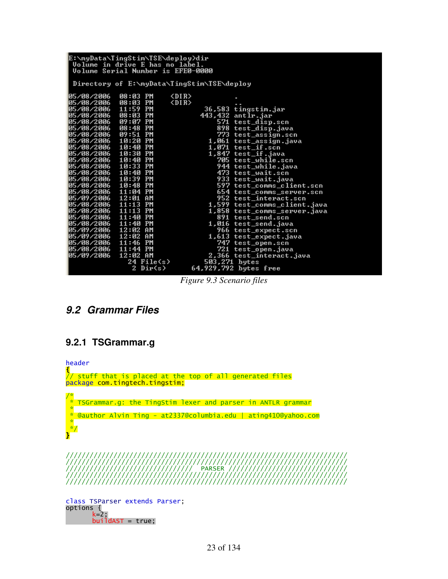| E:\myData\TingStim\TSE\deploy>dir<br>Volume in drive E has no label.<br><b>Volume Serial Number is EFE0-0000</b>                                                                                                                                                                                                                                                                                                                |                                                          |                                                                                                                                                                                                                                                                                                                                                                                                                                                                           |  |  |
|---------------------------------------------------------------------------------------------------------------------------------------------------------------------------------------------------------------------------------------------------------------------------------------------------------------------------------------------------------------------------------------------------------------------------------|----------------------------------------------------------|---------------------------------------------------------------------------------------------------------------------------------------------------------------------------------------------------------------------------------------------------------------------------------------------------------------------------------------------------------------------------------------------------------------------------------------------------------------------------|--|--|
|                                                                                                                                                                                                                                                                                                                                                                                                                                 |                                                          | Directory of E:\myData\TingStim\TSE\deploy                                                                                                                                                                                                                                                                                                                                                                                                                                |  |  |
| 05/08/2006<br>05/08/2006<br>05/08/2006 11:59 PM<br>05/08/2006 08:48 PM<br>05/08/2006 09:51 PM<br>05/08/2006 10:20 PM<br>05/08/2006 10:40 PM<br>05/08/2006 10:30 PM<br>05/08/2006 10:40 PM<br>05/08/2006 10:33 PM<br>05/08/2006 10:40 PM<br>05/08/2006 10:39 PM<br>05/08/2006 10:48 PM<br>05/08/2006 11:04 PM<br>05/09/2006 12:01 AM<br>05/08/2006 11:13 PM<br>05/08/2006 11:13 PM<br>05/08/2006 11:40 PM<br>05/08/2006 11:40 PM | $\langle$ DIR><br>08:03 PM<br>08:03 PM<br>$\langle$ DIR> | 36,583 tingstim.jar<br>443,432 antlr.jar<br>571 test_disp.scn<br>898 test_disp.java<br>773 test_assign.scn<br>1,061 test_assign.java<br>$1.071$ test_if.scn<br>1,847 test_if.java<br>705 test_while.scn<br>944 test_while.java<br>473 test_wait.scn<br>933 test_wait.java<br>597 test_comms_client.scn<br>654 test_comms_server.scn<br>952 test_interact.scn<br>1,599 test_comms_client.java<br>1,858 test_comms_server.java<br>891 test_send.scn<br>1,016 test_send.java |  |  |
| 05/09/2006 12:02 AM<br>05/09/2006 12:02 AM<br>05/08/2006 11:46 PM<br>05/08/2006 11:44 PM<br>105/09/2006                                                                                                                                                                                                                                                                                                                         | 12:02 AM                                                 | 966 test_expect.scn<br>1,613 test_expect.java<br>747 test_open.scn<br>721 test_open.java<br>2,366 test_interact.java                                                                                                                                                                                                                                                                                                                                                      |  |  |
|                                                                                                                                                                                                                                                                                                                                                                                                                                 | 24 File(s)<br>$2$ Dir(s)                                 | 503,271 bytes<br>64,929,792 bytes free                                                                                                                                                                                                                                                                                                                                                                                                                                    |  |  |

*Figure 9.3 Scenario files* 

## **9.2 Grammar Files**

#### **9.2.1 TSGrammar.g**

header  $\frac{1}{\sqrt{2}}$ // stuff that is placed at the top of all generated files package com.tingtech.tingstim; /\*  $*$  TSGrammar.g: the TingStim lexer and parser in ANTLR grammar \* \* @author Alvin Ting - at2337@columbia.edu | ating410@yahoo.com \* \*/ } /////////////////////////////////////////////////////////////////////// /////////////////////////////////////////////////////////////////////// //////////////////////////////// PARSER ////////////////////////////// /////////////////////////////////////////////////////////////////////// ///////////////////////////////////////////////////////////////////////

class TSParser extends Parser; options { k=2; buildAST = true;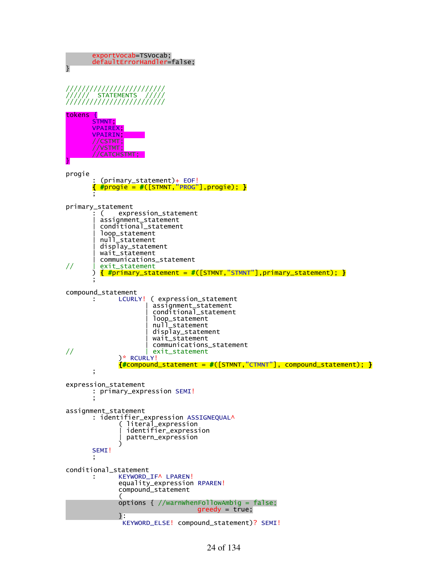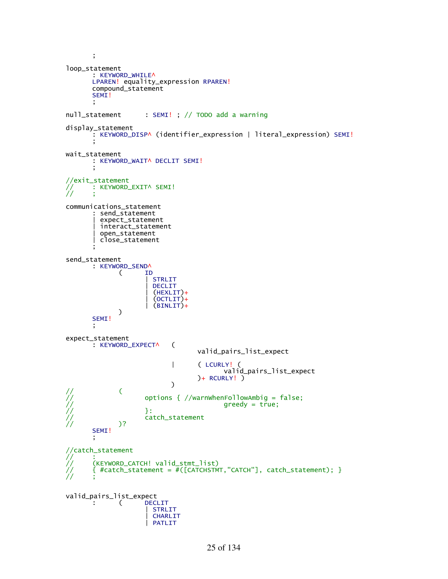```
 ; 

loop_statement 
        : KEYWORD_WHILE^ 
      LPAREN! equality_expression RPAREN! 
        compound_statement 
      SEM<sub>I</sub>!
\mathbf{z} ;
null_statement : SEMI! ; // TODO add a warning
display_statement 
        : KEYWORD_DISP^ (identifier_expression | literal_expression) SEMI!
\mathbf{z} ;
wait_statement 
       : KEYWORD_WAIT^ DECLIT SEMI!
\mathbf{z} ;
//exit_statement 
       : KEYWORD_EXIT^ SEMI!
// ;
communications_statement 
         : send_statement 
          | expect_statement 
          | interact_statement 
          | open_statement 
         | close_statement 
\mathbf{z} ;
send_statement 
        : KEYWORD_SEND^ 
 ( ID 
                       | STRLIT
                       | DECLIT
                        | (HEXLIT)+
                       (0CTLIT) +| (BINLIT)+<br>)
\overline{\phantom{a}}SEMI!
\mathbf{z} ;
expect_statement 
        : KEYWORD_EXPECT^ ( 
                                   valid_pairs_list_expect 
                             | ( LCURLY! ( 
                                          valid_pairs_list_expect 
                           ) + RCURLY! )) )
// (
                    // options { //warnWhenFollowAmbig = false;
                    \text{greedy} = \text{true};\frac{1}{2} }:
                    catch_statement
             // )? 
      SEMI!
\mathbf{z} ;
//catch_statement
// :
       // (KEYWORD_CATCH! valid_stmt_list)
       { #catch_statement = #([CATCHSTMT, "CATCH"], catch_statement); }
// ;
valid_pairs_list_expect 
        : ( DECLIT 
                       | STRLIT
                      CHARLIT
                      | PATLIT
```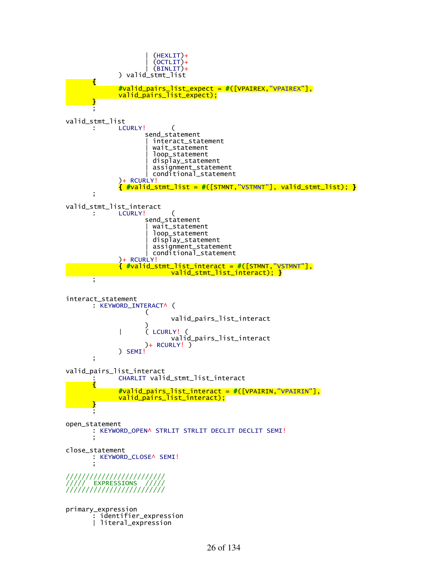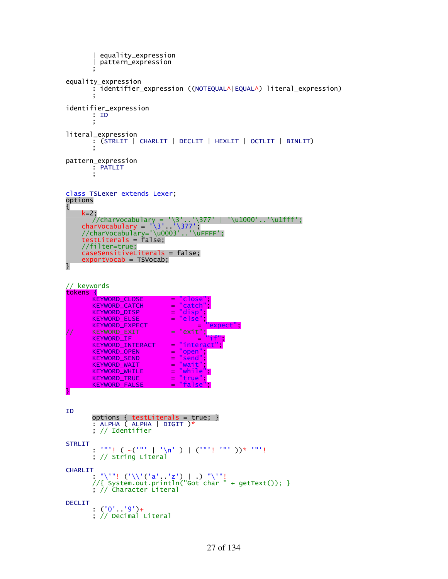```
 | equality_expression 
           | pattern_expression 
\mathbf{z} ;
equality_expression 
          : identifier_expression ((NOTEQUAL^|EQUAL^) literal_expression) 
\mathbf{z} ;
identifier_expression 
         : ID 
\mathbf{z} ;
literal_expression 
         \overline{\cdot} (STRLIT | CHARLIT | DECLIT | HEXLIT | OCTLIT | BINLIT)
\mathbf{z} ;
pattern_expression 
         : PATLIT
\mathbf{z} ;
class TSLexer extends Lexer; 
options 
{ 
      k=2; 
         //charVocabulary = '\3'..'\377' | '\u1000'..'\u1fff';
 charVocabulary = '\3'..'\377'; 
 //charVocabulary='\u0003'..'\uFFFF';
 testLiterals = false; 
      //filter=true;
      caseSensitiveLiterals = false; 
      exportVocab = TSVocab; 
} 
// keywords
tokens {
        KEYWORD_CLOSE = "close";<br>KEYWORD_CATCH = "catch";<br>KEYWORD_DISP = "disp";
         KEYWORD_CATCH = "catch"; 
         KEYWORD_DISP = "disp"; 
         KEYWORD_ELSE = "else"; 
         KEYWORD_EXPECT = "expect";
// KEYWORD_EXIT = "exit";
        KEYWORD_EXPECT<br>
KEYWORD_EXIT = "exit";<br>
KEYWORD_IF = "interact<br>
KEYWORD_INTERACT = "interact
        \begin{array}{lll} \textsf{KEYWORD\_INTERACT} & = \textsf{''interact} \\ \textsf{KEYWORD\_OPEN} & = \textsf{''open''}; \\ \textsf{KEYWORD\_SEND} & = \textsf{''send''}; \\ \textsf{KEYWORD\_WAIT} & = \textsf{''wait''}; \\ \textsf{KEYWORD\_WHILE} & = \textsf{''while''}; \\ \textsf{KEYWORD\_TRUE} & = \textsf{''true''}; \\ \textsf{KEYWORD\_FALSE} & = \textsf{''false''}; \\ \end{array}KEYWORD_OPEN = "open"; 
         KEYWORD_SEND = "send"; 
        KEYWORD_WAIT
         KEYWORD_WHILE = "while";
         KEYWORD_TRUE = "true"; 
         KEYWORD_FALSE = "false"; 
} 
ID 
 options { testLiterals = true; } 
 : ALPHA ( ALPHA | DIGIT )*
          ; // Identifier
STRLIT
         : '"'! (\sim('"' | '\n' ) | ('"'! '"' ))* '"'!
          ; // String Literal 
CHARLIT
 : "\'"! ('\\'('a'..'z') | .) "\'"! 
         //{ System.out.println("Got char " + getText()); }
 ; // Character Literal
DECLIT
( '0'_{\phantom{0}} '9') + ; // Decimal Literal
```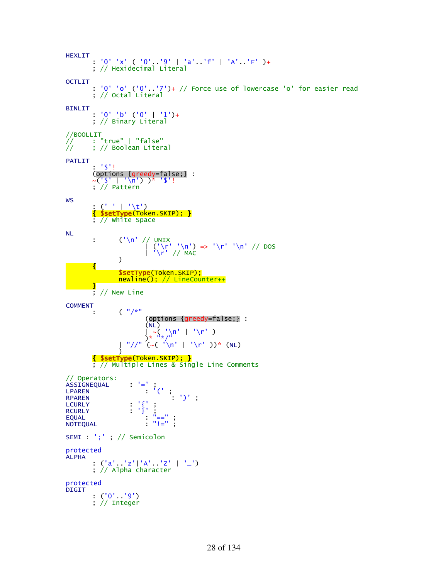```
HEXLIT
           : '0' 'x' ( '0'..'9' | 'a'..'f' | 'A'..'F' )+
            ; // Hexidecimal Literal
OCTLIT
 : '0' 'o' ('0'..'7')+ // Force use of lowercase 'o' for easier read
 ; // Octal Literal
BINLIT
            : '0' 'b' ('0' | '1')+
            ; // Binary Literal
//BOOLLIT
// : "true" | "false"
// ; // Boolean Literal
PATLIT
            : '$'! 
 (options {greedy=false;} : 
           ~('$' | '\n') )* '$'!
 ; // Pattern
WS
\mathbf{C} \cdot \mathbf{C} \cdot \mathbf{C} \cdot \mathbf{C} { $setType(Token.SKIP); } 
 ; // White Space
NL 
: ('\n' // UNIX
|\n\begin{pmatrix}\n\frac{1}{n!} \\
\frac{1}{n!}\n\end{pmatrix}\n\Rightarrow\n\begin{pmatrix}\n\frac{1}{n!} \\
\frac{1}{n!}\n\end{pmatrix}\n= 5 \quad \frac{1}{n!} \quad \frac{1}{n!} \quad \frac{1}{n!} \quad \frac{1}{n!} \quad \frac{1}{n!} \quad \frac{1}{n!} \quad \frac{1}{n!} \quad \frac{1}{n!} \quad \frac{1}{n!} \quad \frac{1}{n!} \quad \frac{1}{n!} \quad \frac{1}{n!} \quad \frac{1}{n!} \quad \frac{1}{n!} \quad \frac{1}{n | '\r' // MAC
\overline{\phantom{a}} { 
SsetType(Token.SKIP);
 newline(); // LineCounter++
           } 
           \frac{1}{2} // New Line
COMMENT 
                     (^{-n}/*n) (options {greedy=false;} : 
(NL)\sim ( '\n' | '\r' )
\frac{1}{2} \frac{1}{2} \frac{1}{2} \frac{1}{2} \frac{1}{2} \frac{1}{2} \frac{1}{2} \frac{1}{2} \frac{1}{2} \frac{1}{2} \frac{1}{2} \frac{1}{2} \frac{1}{2} \frac{1}{2} \frac{1}{2} \frac{1}{2} \frac{1}{2} \frac{1}{2} \frac{1}{2} \frac{1}{2} \frac{1}{2} \frac{1}{2} | "//" <sup>'</sup>(~( '<sup>'</sup>\n' | '\r' ))* (NL)<br>}
\overline{\phantom{a}} { $setType(Token.SKIP); } 
 ; // Multiple Lines & Single Line Comments
// Operators:
ASSIGNEQUAL<br>LPAREN
LPAREN : '(' ; 
RPAREN : ')',
LCURLY : '{' ; 
RCURLY : '}';
\begin{array}{ccc} \text{RCURLY} & \cdot & \cdot & \cdot & \cdot \\ \text{EQUAL} & & & \cdot & \cdot & \cdot \\ \text{NOTEQUAL} & & & \cdot & \cdot & \cdot \\ \end{array} \; ;NOTEQUAL
SEMI : ';' ; // Semicolon
protected
ALPHA 
 : ('a'..'z'|'A'..'Z' | '_') 
 ; // Alpha character
protected
DIGIT 
           : (^{1}0^{1}...^{1}9^{1}) ; // Integer
```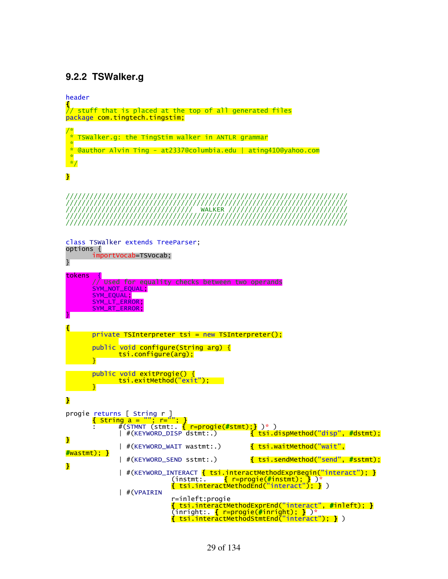#### **9.2.2 TSWalker.g**

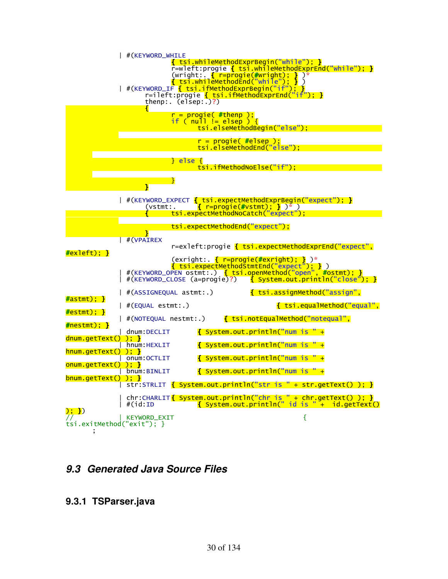

# **9.3 Generated Java Source Files**

#### **9.3.1 TSParser.java**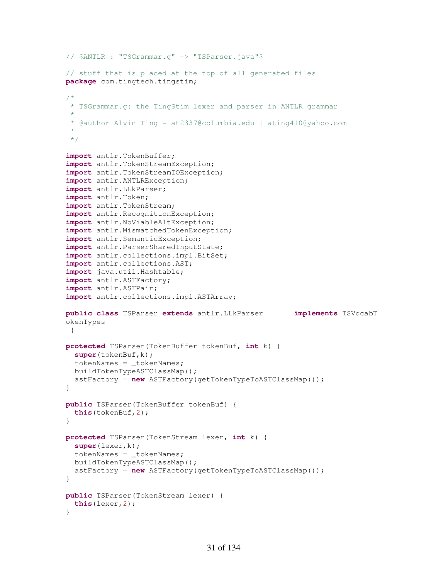```
// $ANTLR : "TSGrammar.g" -> "TSParser.java"$
// stuff that is placed at the top of all generated files
package com.tingtech.tingstim; 
/*
 * TSGrammar.g: the TingStim lexer and parser in ANTLR grammar
 * 
 * @author Alvin Ting - at2337@columbia.edu | ating410@yahoo.com
 * 
 */
import antlr.TokenBuffer; 
import antlr.TokenStreamException; 
import antlr.TokenStreamIOException; 
import antlr.ANTLRException; 
import antlr.LLkParser; 
import antlr.Token; 
import antlr.TokenStream; 
import antlr.RecognitionException; 
import antlr.NoViableAltException; 
import antlr.MismatchedTokenException; 
import antlr.SemanticException; 
import antlr.ParserSharedInputState; 
import antlr.collections.impl.BitSet; 
import antlr.collections.AST; 
import java.util.Hashtable; 
import antlr.ASTFactory; 
import antlr.ASTPair; 
import antlr.collections.impl.ASTArray; 
public class TSParser extends antlr.LLkParser implements TSVocabT
okenTypes 
 { 
protected TSParser(TokenBuffer tokenBuf, int k) { 
   super(tokenBuf,k); 
   tokenNames = _tokenNames; 
   buildTokenTypeASTClassMap(); 
   astFactory = new ASTFactory(getTokenTypeToASTClassMap()); 
} 
public TSParser(TokenBuffer tokenBuf) { 
   this(tokenBuf,2); 
} 
protected TSParser(TokenStream lexer, int k) { 
   super(lexer,k); 
   tokenNames = _tokenNames; 
   buildTokenTypeASTClassMap(); 
   astFactory = new ASTFactory(getTokenTypeToASTClassMap()); 
} 
public TSParser(TokenStream lexer) { 
   this(lexer,2); 
}
```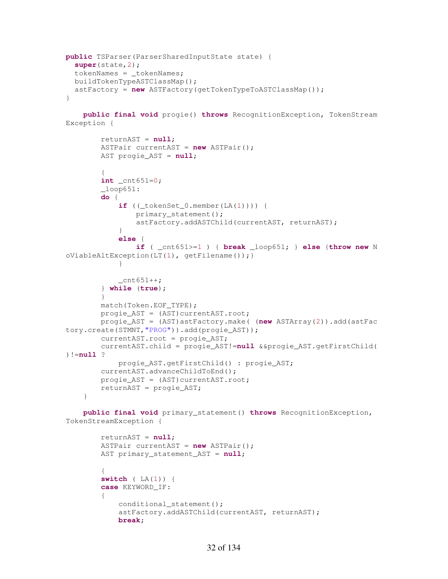```
public TSParser(ParserSharedInputState state) { 
   super(state,2); 
   tokenNames = _tokenNames; 
   buildTokenTypeASTClassMap(); 
   astFactory = new ASTFactory(getTokenTypeToASTClassMap()); 
}
```
 **public final void** progie() **throws** RecognitionException, TokenStream Exception {

```
 returnAST = null; 
         ASTPair currentAST = new ASTPair(); 
         AST progie_AST = null; 
\{ int _cnt651=0; 
        \lnotloop651:
         do { 
            if ((\text{tokenSet}\_0.\text{member}(\text{LA}(1)))) primary_statement(); 
                 astFactory.addASTChild(currentAST, returnAST); 
 } 
             else { 
                 if ( _cnt651>=1 ) { break _loop651; } else {throw new N
oViableAltException(LT(1), getFilename());} 
 } 
            cnt651++; } while (true); 
         } 
         match(Token.EOF_TYPE); 
         progie_AST = (AST)currentAST.root; 
         progie_AST = (AST)astFactory.make( (new ASTArray(2)).add(astFac
tory.create(STMNT,"PROG")).add(progie_AST)); 
         currentAST.root = progie_AST; 
         currentAST.child = progie_AST!=null &&progie_AST.getFirstChild(
)!=null ? 
             progie_AST.getFirstChild() : progie_AST; 
         currentAST.advanceChildToEnd(); 
        progie_AST = (AST)currentAST.root;
         returnAST = progie_AST; 
     }
```
 **public final void** primary\_statement() **throws** RecognitionException, TokenStreamException {

```
 returnAST = null; 
        ASTPair currentAST = new ASTPair(); 
        AST primary_statement_AST = null; 
\{ switch ( LA(1)) { 
        case KEYWORD_IF: 
\{conditional statement();
            astFactory.addASTChild(currentAST, returnAST); 
            break;
```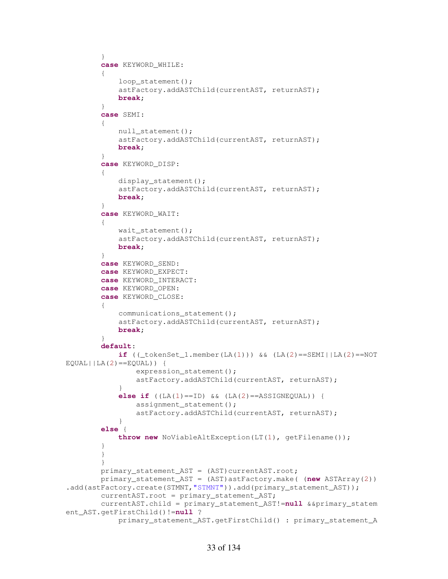```
 } 
         case KEYWORD_WHILE: 
\{ loop_statement(); 
             astFactory.addASTChild(currentAST, returnAST); 
             break; 
 } 
         case SEMI: 
\{null_statement();
             astFactory.addASTChild(currentAST, returnAST); 
             break; 
         } 
         case KEYWORD_DISP: 
\{ display_statement(); 
             astFactory.addASTChild(currentAST, returnAST); 
             break; 
 } 
         case KEYWORD_WAIT: 
\{ wait_statement(); 
             astFactory.addASTChild(currentAST, returnAST); 
             break; 
 } 
         case KEYWORD_SEND: 
         case KEYWORD_EXPECT: 
         case KEYWORD_INTERACT: 
         case KEYWORD_OPEN: 
         case KEYWORD_CLOSE: 
\{ communications_statement(); 
             astFactory.addASTChild(currentAST, returnAST); 
             break; 
 } 
         default: 
            \textbf{if} ((\text{tokenSet}\_1.\text{member}(\text{LA}(1))) \& (\text{LA}(2) == \text{SEMI} \mid \text{LA}(2) == \text{NOT}EQUAL||LA(2) ==EQUAL)) {
                 expression_statement(); 
                 astFactory.addASTChild(currentAST, returnAST); 
 } 
             else if ((LA(1)==ID) && (LA(2)==ASSIGNEQUAL)) { 
                 assignment_statement(); 
                 astFactory.addASTChild(currentAST, returnAST); 
 } 
         else { 
             throw new NoViableAltException(LT(1), getFilename()); 
 } 
         } 
 } 
        primary_statement_AST = (AST)currentAST.root;
         primary_statement_AST = (AST)astFactory.make( (new ASTArray(2))
.add(astFactory.create(STMNT,"STMNT")).add(primary_statement_AST));
        currentAST.root = primary statement AST;
         currentAST.child = primary_statement_AST!=null &&primary_statem
ent_AST.getFirstChild()!=null ? 
             primary_statement_AST.getFirstChild() : primary_statement_A
```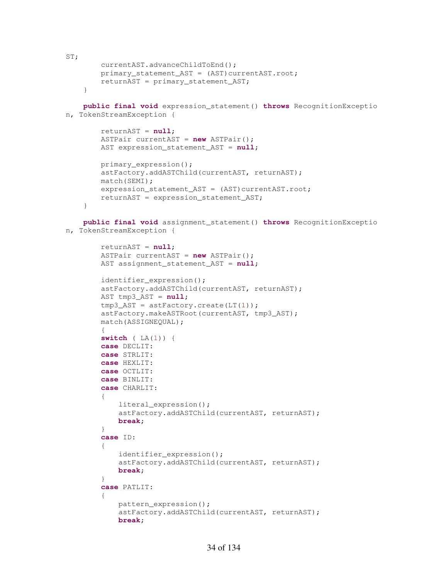```
ST; 
         currentAST.advanceChildToEnd(); 
         primary_statement_AST = (AST)currentAST.root; 
         returnAST = primary_statement_AST; 
     }
```

```
 public final void expression_statement() throws RecognitionExceptio
n, TokenStreamException {
```

```
 returnAST = null; 
 ASTPair currentAST = new ASTPair(); 
 AST expression_statement_AST = null; 
 primary_expression(); 
 astFactory.addASTChild(currentAST, returnAST); 
 match(SEMI); 
expression_statement_AST = (AST)currentAST.root;
 returnAST = expression_statement_AST;
```
}

 **public final void** assignment\_statement() **throws** RecognitionExceptio n, TokenStreamException {

```
 returnAST = null; 
        ASTPair currentAST = new ASTPair(); 
        AST assignment_statement_AST = null; 
       identifier expression();
        astFactory.addASTChild(currentAST, returnAST); 
        AST tmp3_AST = null; 
       tmp3_AST = astFactory.create(LT(1)); astFactory.makeASTRoot(currentAST, tmp3_AST); 
        match(ASSIGNEQUAL); 
\{ switch ( LA(1)) { 
        case DECLIT: 
        case STRLIT: 
        case HEXLIT: 
        case OCTLIT: 
        case BINLIT: 
        case CHARLIT: 
\{ literal_expression(); 
             astFactory.addASTChild(currentAST, returnAST); 
            break; 
         } 
         case ID: 
\{ identifier_expression(); 
             astFactory.addASTChild(currentAST, returnAST); 
            break; 
 } 
        case PATLIT: 
\{pattern_expression();
            astFactory.addASTChild(currentAST, returnAST); 
            break;
```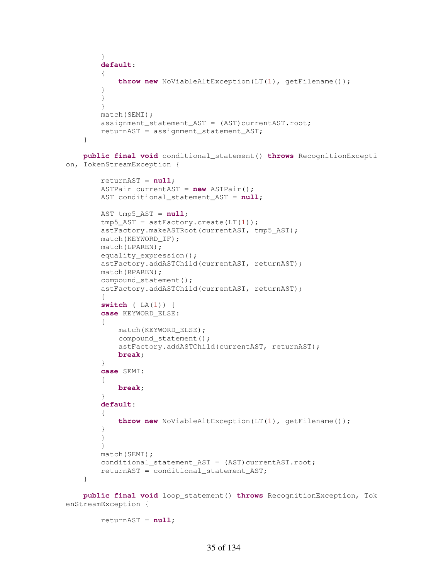```
 } 
         default: 
\{ throw new NoViableAltException(LT(1), getFilename()); 
 } 
         } 
         } 
         match(SEMI); 
        assignment_statement_AST = (AST) currentAST.root;
         returnAST = assignment_statement_AST; 
     } 
     public final void conditional_statement() throws RecognitionExcepti
on, TokenStreamException { 
         returnAST = null; 
         ASTPair currentAST = new ASTPair(); 
         AST conditional_statement_AST = null; 
         AST tmp5_AST = null; 
        tmp5 AST = astFactory.create(LT(1)); astFactory.makeASTRoot(currentAST, tmp5_AST); 
         match(KEYWORD_IF); 
         match(LPAREN); 
         equality_expression(); 
         astFactory.addASTChild(currentAST, returnAST); 
         match(RPAREN); 
         compound_statement(); 
         astFactory.addASTChild(currentAST, returnAST); 
\{ switch ( LA(1)) { 
         case KEYWORD_ELSE: 
         { 
             match(KEYWORD_ELSE); 
             compound_statement(); 
             astFactory.addASTChild(currentAST, returnAST); 
             break; 
         } 
         case SEMI: 
         { 
             break; 
 } 
         default: 
\{ throw new NoViableAltException(LT(1), getFilename()); 
         } 
         } 
         } 
         match(SEMI); 
        conditional_statement_AST = (AST) currentAST.root;
         returnAST = conditional_statement_AST; 
     } 
     public final void loop_statement() throws RecognitionException, Tok
```

```
enStreamException {
```

```
 returnAST = null;
```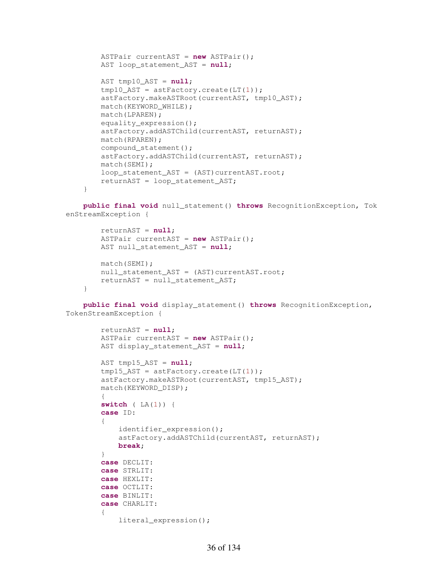```
 ASTPair currentAST = new ASTPair(); 
 AST loop_statement_AST = null; 
 AST tmp10_AST = null; 
tmp10 AST = astFactory.create(LT(1));
astFactory.makeASTRoot(currentAST, tmp10 AST);
match(KEYWORD WHILE);
 match(LPAREN); 
 equality_expression(); 
 astFactory.addASTChild(currentAST, returnAST); 
 match(RPAREN); 
 compound_statement(); 
 astFactory.addASTChild(currentAST, returnAST); 
 match(SEMI); 
loop_statement_AST = (AST)currentAST.root;
 returnAST = loop_statement_AST;
```
 **public final void** null\_statement() **throws** RecognitionException, Tok enStreamException {

```
 returnAST = null; 
     ASTPair currentAST = new ASTPair(); 
    AST null statement AST = null;
    match(SEMI); 
   null statement AST = (AST)currentAST.root;
    returnAST = null_statement_AST; 
 }
```
}

 **public final void** display\_statement() **throws** RecognitionException, TokenStreamException {

```
 returnAST = null; 
         ASTPair currentAST = new ASTPair(); 
         AST display_statement_AST = null; 
        AST tmp15 AST = null;
        tmp15\_AST = astFactory.create(LT(1));astFactory.makeASTRoot(currentAST, tmp15 AST);
         match(KEYWORD_DISP); 
\{ switch ( LA(1)) { 
         case ID: 
         { 
             identifier_expression(); 
             astFactory.addASTChild(currentAST, returnAST); 
             break; 
         } 
         case DECLIT: 
         case STRLIT: 
         case HEXLIT: 
         case OCTLIT: 
         case BINLIT: 
         case CHARLIT: 
\{ literal_expression();
```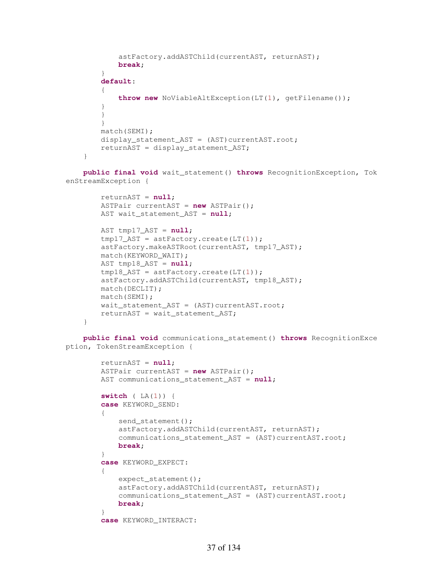```
 astFactory.addASTChild(currentAST, returnAST); 
            break; 
 } 
        default: 
\{ throw new NoViableAltException(LT(1), getFilename()); 
 } 
        } 
 } 
        match(SEMI); 
       display_statement_AST = (AST)currentAST.root;
        returnAST = display_statement_AST; 
    }
```
 **public final void** wait\_statement() **throws** RecognitionException, Tok enStreamException {

```
 returnAST = null; 
 ASTPair currentAST = new ASTPair(); 
 AST wait_statement_AST = null;
```

```
 AST tmp17_AST = null; 
tmp17\_AST = astFactory.create(LT(1)); astFactory.makeASTRoot(currentAST, tmp17_AST); 
 match(KEYWORD_WAIT); 
 AST tmp18_AST = null; 
tmp18 AST = astFactory.create(LT(1));
 astFactory.addASTChild(currentAST, tmp18_AST); 
 match(DECLIT); 
 match(SEMI); 
wait statement AST = (AST) currentAST(root; returnAST = wait_statement_AST;
```

```
 public final void communications_statement() throws RecognitionExce
ption, TokenStreamException {
```

```
 returnAST = null; 
        ASTPair currentAST = new ASTPair(); 
       AST communications statement AST = null;
        switch ( LA(1)) { 
        case KEYWORD_SEND: 
\{send_statement();
             astFactory.addASTChild(currentAST, returnAST); 
            communications_statement_AST = (AST)currentAST.root;
            break; 
         } 
        case KEYWORD_EXPECT: 
\{ expect_statement(); 
            astFactory.addASTChild(currentAST, returnAST); 
           communications statement AST = (AST)currentAST.root;
            break; 
 } 
        case KEYWORD_INTERACT:
```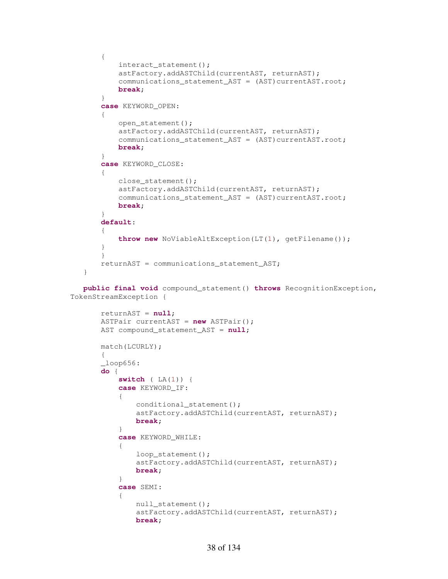```
 { 
            interact_statement(); 
            astFactory.addASTChild(currentAST, returnAST); 
           communications_statement_AST = (AST)currentAST.root;
            break; 
        } 
        case KEYWORD_OPEN: 
\{ open_statement(); 
            astFactory.addASTChild(currentAST, returnAST); 
           communications_statement_AST = (AST)currentAST.root;
            break; 
        } 
        case KEYWORD_CLOSE: 
\{ close_statement(); 
            astFactory.addASTChild(currentAST, returnAST); 
           communications_statement_AST = (AST)currentAST.root;
            break; 
        } 
        default: 
\{ throw new NoViableAltException(LT(1), getFilename()); 
 } 
 } 
        returnAST = communications_statement_AST; 
    } 
    public final void compound_statement() throws RecognitionException,
 TokenStreamException { 
        returnAST = null; 
        ASTPair currentAST = new ASTPair(); 
        AST compound_statement_AST = null; 
        match(LCURLY); 
        { 
       \_\loop656: do { 
            switch ( LA(1)) { 
            case KEYWORD_IF: 
\{ conditional_statement(); 
                astFactory.addASTChild(currentAST, returnAST); 
               break; 
 } 
            case KEYWORD_WHILE: 
\{ loop_statement(); 
                astFactory.addASTChild(currentAST, returnAST); 
               break; 
 } 
            case SEMI: 
\{null_statement();
                astFactory.addASTChild(currentAST, returnAST); 
               break;
```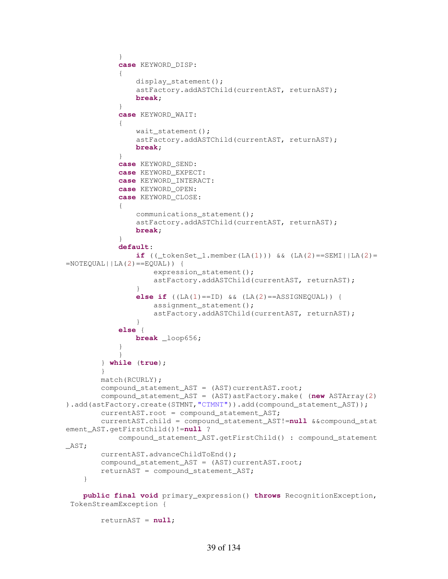```
 } 
            case KEYWORD_DISP: 
\{ display_statement(); 
                astFactory.addASTChild(currentAST, returnAST); 
               break; 
 } 
            case KEYWORD_WAIT: 
\{wait statement();
                astFactory.addASTChild(currentAST, returnAST); 
               break; 
 } 
            case KEYWORD_SEND: 
            case KEYWORD_EXPECT: 
            case KEYWORD_INTERACT: 
            case KEYWORD_OPEN: 
            case KEYWORD_CLOSE: 
\{ communications_statement(); 
                astFactory.addASTChild(currentAST, returnAST); 
               break; 
 } 
            default: 
                if ((_tokenSet_1.member(LA(1))) && (LA(2)==SEMI||LA(2)=
=NOTEQUAL | | LA(2) = =EQUAL)) {
                   expression statement();
                   astFactory.addASTChild(currentAST, returnAST); 
 } 
               else if ((LA(1)==ID) \& (LA(2)==ASSIGNEQUAL))assignment statement();
                   astFactory.addASTChild(currentAST, returnAST); 
 } 
            else { 
                break _loop656; 
 } 
 } 
        } while (true); 
        } 
        match(RCURLY); 
       compound_statement_AST = (AST)currentAST.root;
        compound_statement_AST = (AST)astFactory.make( (new ASTArray(2)
).add(astFactory.create(STMNT,"CTMNT")).add(compound_statement_AST));
       currentAST.root = compound statement AST;
        currentAST.child = compound_statement_AST!=null &&compound_stat
ement_AST.getFirstChild()!=null ? 
            compound_statement_AST.getFirstChild() : compound_statement
_AST; 
        currentAST.advanceChildToEnd(); 
       compound_statement_AST = (AST)currentAST.root;
        returnAST = compound_statement_AST; 
    } 
    public final void primary_expression() throws RecognitionException,
 TokenStreamException {
```

```
 returnAST = null;
```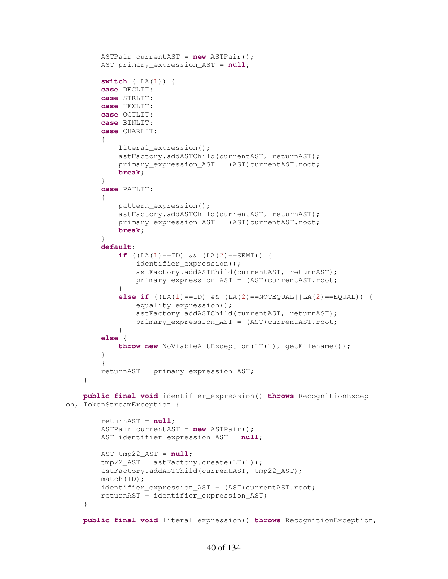```
 ASTPair currentAST = new ASTPair(); 
         AST primary_expression_AST = null; 
         switch ( LA(1)) { 
         case DECLIT: 
         case STRLIT: 
         case HEXLIT: 
         case OCTLIT: 
         case BINLIT: 
         case CHARLIT: 
\{ literal_expression(); 
             astFactory.addASTChild(currentAST, returnAST); 
             primary_expression_AST = (AST)currentAST.root; 
             break; 
 } 
         case PATLIT: 
\{ pattern_expression(); 
             astFactory.addASTChild(currentAST, returnAST); 
             primary_expression_AST = (AST)currentAST.root; 
             break; 
 } 
         default: 
            if (LA(1) == ID) & (LA(2) == SEMI) {
                 identifier_expression(); 
                 astFactory.addASTChild(currentAST, returnAST); 
                 primary_expression_AST = (AST)currentAST.root; 
 } 
            else if (LA(1) == ID) & (LA(2) == NOTEQUAL | LA(2) == EQUAL) {
                equality_expression();
                 astFactory.addASTChild(currentAST, returnAST); 
                 primary_expression_AST = (AST)currentAST.root; 
 } 
         else { 
             throw new NoViableAltException(LT(1), getFilename()); 
 } 
 } 
        returnAST = primary_expression_AST; 
     } 
    public final void identifier_expression() throws RecognitionExcepti
on, TokenStreamException { 
         returnAST = null; 
         ASTPair currentAST = new ASTPair(); 
         AST identifier_expression_AST = null; 
         AST tmp22_AST = null; 
        tmp22\_AST = astFactory.create(LT(1)); astFactory.addASTChild(currentAST, tmp22_AST); 
         match(ID); 
        identifier expression AST = (AST)currentAST.root;
        returnAST = identifier expression AST;
     }
```
**public final void** literal\_expression() **throws** RecognitionException,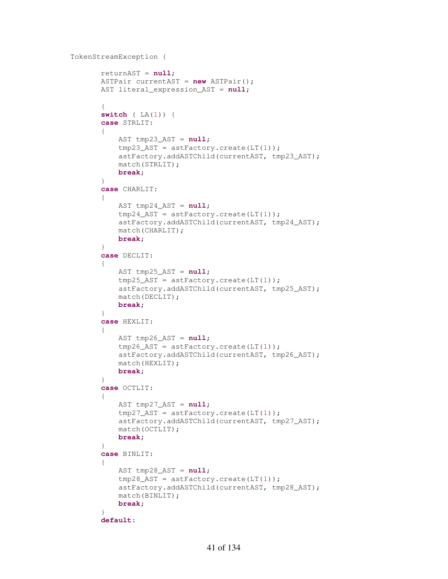```
 TokenStreamException {
```

```
 returnAST = null; 
         ASTPair currentAST = new ASTPair(); 
         AST literal_expression_AST = null; 
\{ switch ( LA(1)) { 
         case STRLIT: 
\{ AST tmp23_AST = null; 
            tmp23_AST = astFactory.create(LT(1)); astFactory.addASTChild(currentAST, tmp23_AST); 
             match(STRLIT); 
             break; 
 } 
         case CHARLIT: 
         { 
             AST tmp24_AST = null; 
            tmp24\_AST = astFactory.create(LT(1)); astFactory.addASTChild(currentAST, tmp24_AST); 
             match(CHARLIT); 
             break; 
         } 
         case DECLIT: 
         { 
            AST tmp25_AST = null;tmp25\_AST = astFactory.create(LT(1)); astFactory.addASTChild(currentAST, tmp25_AST); 
             match(DECLIT); 
             break; 
         } 
         case HEXLIT: 
         { 
             AST tmp26_AST = null; 
            tmp26\_AST = astFactory.create(LT(1)); astFactory.addASTChild(currentAST, tmp26_AST); 
             match(HEXLIT); 
             break; 
         } 
         case OCTLIT: 
\{ AST tmp27_AST = null; 
            tmp27\_AST = astFactory.create(LT(1)); astFactory.addASTChild(currentAST, tmp27_AST); 
             match(OCTLIT); 
             break; 
         } 
         case BINLIT: 
\{ AST tmp28_AST = null; 
             tmp28_AST = astFactory.create(LT(1)); 
             astFactory.addASTChild(currentAST, tmp28_AST); 
             match(BINLIT); 
             break; 
 } 
         default:
```

```
41 of 134
```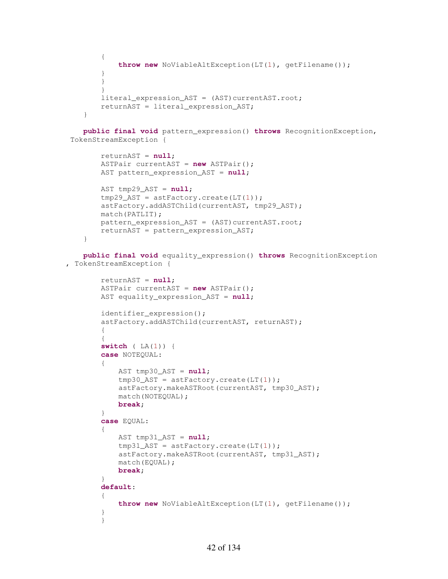```
 { 
            throw new NoViableAltException(LT(1), getFilename()); 
 } 
 } 
 } 
       literal expression AST = (AST)currentAST.root;
        returnAST = literal_expression_AST; 
    }
```
 **public final void** pattern\_expression() **throws** RecognitionException, TokenStreamException {

```
 returnAST = null; 
     ASTPair currentAST = new ASTPair(); 
     AST pattern_expression_AST = null; 
     AST tmp29_AST = null; 
     tmp29_AST = astFactory.create(LT(1)); 
     astFactory.addASTChild(currentAST, tmp29_AST); 
     match(PATLIT); 
    pattern expression AST = (AST) currentAST(root; returnAST = pattern_expression_AST; 
 }
```
 **public final void** equality\_expression() **throws** RecognitionException , TokenStreamException {

```
 returnAST = null; 
        ASTPair currentAST = new ASTPair(); 
        AST equality_expression_AST = null; 
        identifier_expression(); 
        astFactory.addASTChild(currentAST, returnAST); 
        { 
\{ switch ( LA(1)) { 
        case NOTEQUAL: 
\{ AST tmp30_AST = null; 
           tmp30_AST = astFactory.create(LT(1)); astFactory.makeASTRoot(currentAST, tmp30_AST); 
            match(NOTEQUAL); 
            break; 
 } 
        case EQUAL: 
        { 
            AST tmp31_AST = null; 
           tmp31_AST = astFactory.create(LT(1)); astFactory.makeASTRoot(currentAST, tmp31_AST); 
            match(EQUAL); 
            break; 
 } 
        default: 
\{ throw new NoViableAltException(LT(1), getFilename()); 
 } 
 }
```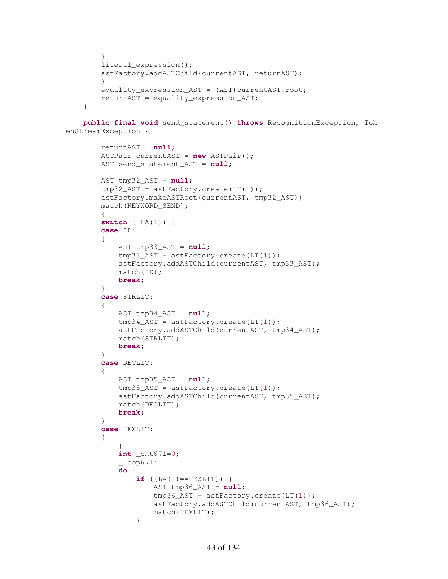```
 } 
     literal_expression(); 
     astFactory.addASTChild(currentAST, returnAST); 
     } 
    equality_expression_AST = (AST)currentAST.root;
    returnAST = equality expression AST; }
```
 **public final void** send\_statement() **throws** RecognitionException, Tok enStreamException {

```
 returnAST = null; 
        ASTPair currentAST = new ASTPair(); 
       AST send statement AST = null;
        AST tmp32_AST = null; 
        tmp32_AST = astFactory.create(LT(1)); 
        astFactory.makeASTRoot(currentAST, tmp32_AST); 
        match(KEYWORD_SEND); 
         { 
        switch ( LA(1)) { 
        case ID: 
\{ AST tmp33_AST = null; 
            tmp33_AST = astFactory.create(LT(1)); astFactory.addASTChild(currentAST, tmp33_AST); 
            match(ID); 
            break; 
         } 
         case STRLIT: 
         { 
             AST tmp34_AST = null; 
             tmp34_AST = astFactory.create(LT(1)); 
             astFactory.addASTChild(currentAST, tmp34_AST); 
            match(STRLIT); 
            break; 
 } 
        case DECLIT: 
\{ AST tmp35_AST = null; 
             tmp35_AST = astFactory.create(LT(1)); 
             astFactory.addASTChild(currentAST, tmp35_AST); 
             match(DECLIT); 
            break; 
         } 
         case HEXLIT: 
\{\{ int _cnt671=0; 
            \_\loop671:
             do { 
                if (LA(1) == HEXLIT) {
                     AST tmp36_AST = null; 
                    tmp36 AST = astFactory.create(LT(1));
                    astFactory.addASTChild(currentAST, tmp36_AST); 
                    match(HEXLIT); 
 }
```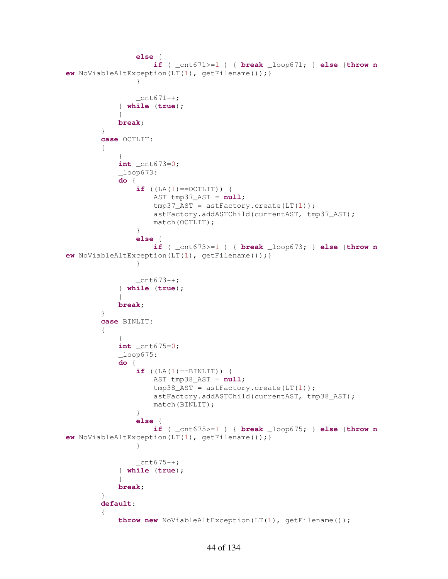```
 else { 
                    if ( _cnt671>=1 ) { break _loop671; } else {throw n
ew NoViableAltException(LT(1), getFilename());} 
 } 
                _cnt671++; 
            } while (true); 
 } 
            break; 
 } 
        case OCTLIT: 
\{\{ int _cnt673=0; 
           \_\loop673: do { 
               if (LA(1) == OCTLIT) {
                   AST tmp37_AST = null; 
                  tmp37\_AST = astFactory.create(LT(1));astFactory.addASTChild(currentAST, tmp37_AST); 
                  match(OCTLIT); 
 } 
               else { 
                   if ( _cnt673>=1 ) { break _loop673; } else {throw n
ew NoViableAltException(LT(1), getFilename());} 
 } 
               Cnt673++; } while (true); 
 } 
            break; 
        } 
        case BINLIT: 
        { 
\{ int _cnt675=0; 
            _loop675: 
            do { 
               if (LA(1) == BINLIT) {
                   AST tmp38_AST = null; 
                  tmp38_AST = astFactory.create(LT(1)); 
                  astFactory.addASTChild(currentAST, tmp38_AST); 
                  match(BINLIT); 
 } 
               else { 
                   if ( _cnt675>=1 ) { break _loop675; } else {throw n
ew NoViableAltException(LT(1), getFilename());} 
 } 
               _{\text{cnt675++}}; } while (true); 
 } 
            break; 
        } 
        default: 
\{ throw new NoViableAltException(LT(1), getFilename());
```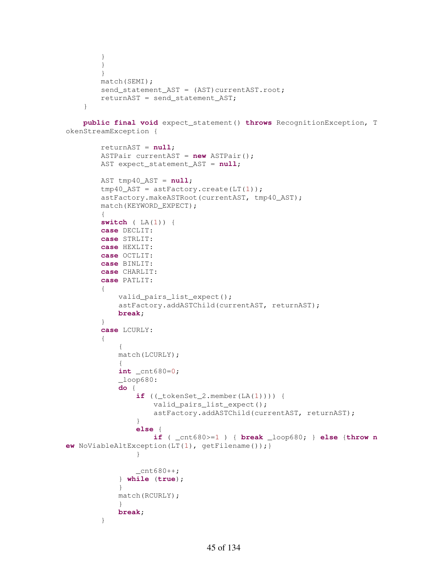```
 } 
     } 
     } 
     match(SEMI); 
    send_statement_AST = (AST) currentAST.root;
     returnAST = send_statement_AST; 
 }
```
 **public final void** expect\_statement() **throws** RecognitionException, T okenStreamException {

```
 returnAST = null; 
         ASTPair currentAST = new ASTPair(); 
         AST expect_statement_AST = null; 
         AST tmp40_AST = null; 
         tmp40_AST = astFactory.create(LT(1)); 
         astFactory.makeASTRoot(currentAST, tmp40_AST); 
         match(KEYWORD_EXPECT); 
         { 
         switch ( LA(1)) { 
         case DECLIT: 
         case STRLIT: 
         case HEXLIT: 
         case OCTLIT: 
         case BINLIT: 
         case CHARLIT: 
         case PATLIT: 
\{ valid_pairs_list_expect(); 
             astFactory.addASTChild(currentAST, returnAST); 
             break; 
         } 
         case LCURLY: 
         { 
\{ match(LCURLY); 
\{ int _cnt680=0; 
            \angleloop680:
             do { 
                if ((\text{tokenSet}_2.\text{member}(\text{LA}(1)))) valid_pairs_list_expect(); 
                     astFactory.addASTChild(currentAST, returnAST); 
 } 
                else { 
                      if ( _cnt680>=1 ) { break _loop680; } else {throw n
ew NoViableAltException(LT(1), getFilename());} 
 } 
                 _{\text{cnt680++}}; } while (true); 
 } 
             match(RCURLY); 
             } 
             break; 
 }
```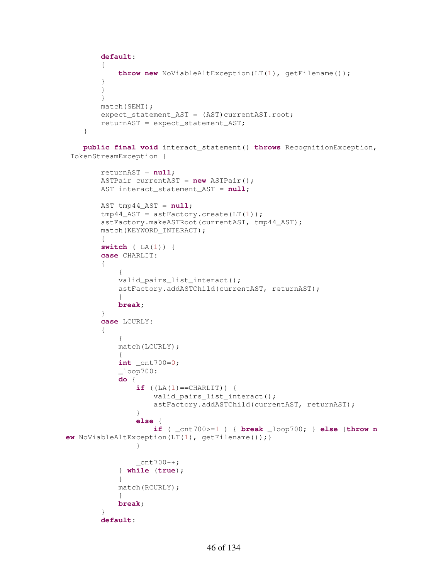```
 default: 
\{ throw new NoViableAltException(LT(1), getFilename()); 
 } 
 } 
        } 
        match(SEMI); 
       expect_statement_AST = (AST) currentAST.root;
        returnAST = expect_statement_AST; 
    }
```

```
 public final void interact_statement() throws RecognitionException,
 TokenStreamException {
```

```
 returnAST = null; 
        ASTPair currentAST = new ASTPair(); 
        AST interact_statement_AST = null; 
        AST tmp44_AST = null; 
       tmp44_AST = astFactory.create(LT(1)); astFactory.makeASTRoot(currentAST, tmp44_AST); 
        match(KEYWORD_INTERACT); 
\{ switch ( LA(1)) { 
        case CHARLIT: 
        { 
\{ valid_pairs_list_interact(); 
            astFactory.addASTChild(currentAST, returnAST); 
 } 
            break; 
 } 
        case LCURLY: 
        { 
\{ match(LCURLY); 
\{ int _cnt700=0; 
           \_\loop700:
            do { 
               if (LA(1) == CHARLIT) {
                   valid_pairs_list_interact(); 
                  astFactory.addASTChild(currentAST, returnAST); 
 } 
               else { 
                   if ( _cnt700>=1 ) { break _loop700; } else {throw n
ew NoViableAltException(LT(1), getFilename());} 
 } 
                _cnt700++; 
            } while (true); 
 } 
            match(RCURLY); 
 } 
            break; 
 } 
        default:
```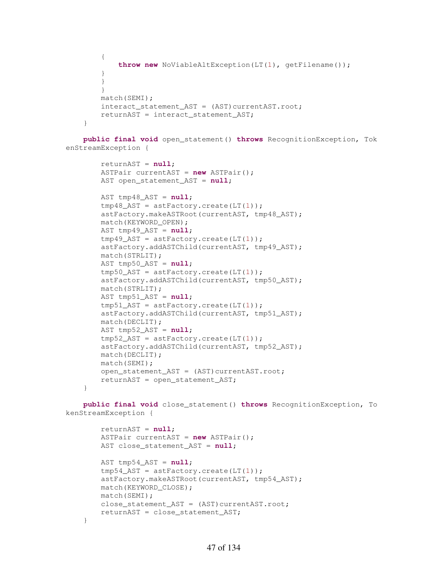```
 { 
             throw new NoViableAltException(LT(1), getFilename()); 
 } 
         } 
         } 
         match(SEMI); 
        interact statement AST = (AST)currentAST.root;
         returnAST = interact_statement_AST; 
     }
```
 **public final void** open\_statement() **throws** RecognitionException, Tok enStreamException {

```
 returnAST = null; 
 ASTPair currentAST = new ASTPair(); 
 AST open_statement_AST = null;
```

```
 AST tmp48_AST = null; 
 tmp48_AST = astFactory.create(LT(1)); 
 astFactory.makeASTRoot(currentAST, tmp48_AST); 
 match(KEYWORD_OPEN); 
 AST tmp49_AST = null; 
tmp49_AST = astFactory.create(LT(1)); astFactory.addASTChild(currentAST, tmp49_AST); 
 match(STRLIT); 
 AST tmp50_AST = null; 
tmp50 AST = astFactory.create(LT(1));
 astFactory.addASTChild(currentAST, tmp50_AST); 
 match(STRLIT); 
 AST tmp51_AST = null; 
tmp51\_AST = astFactory.create(LT(1)); astFactory.addASTChild(currentAST, tmp51_AST); 
 match(DECLIT); 
 AST tmp52_AST = null; 
 tmp52_AST = astFactory.create(LT(1)); 
 astFactory.addASTChild(currentAST, tmp52_AST); 
 match(DECLIT); 
 match(SEMI); 
open statement AST = (AST)currentAST.root;
 returnAST = open_statement_AST;
```
 **public final void** close\_statement() **throws** RecognitionException, To kenStreamException {

```
 returnAST = null; 
     ASTPair currentAST = new ASTPair(); 
    AST close statement AST = null;
     AST tmp54_AST = null; 
    tmp54\_AST = astFactory.create(LT(1)); astFactory.makeASTRoot(currentAST, tmp54_AST); 
    match(KEYWORD_CLOSE); 
    match(SEMI); 
   close statement AST = (AST)currentAST.root;
    returnAST = close_statement_AST; 
 }
```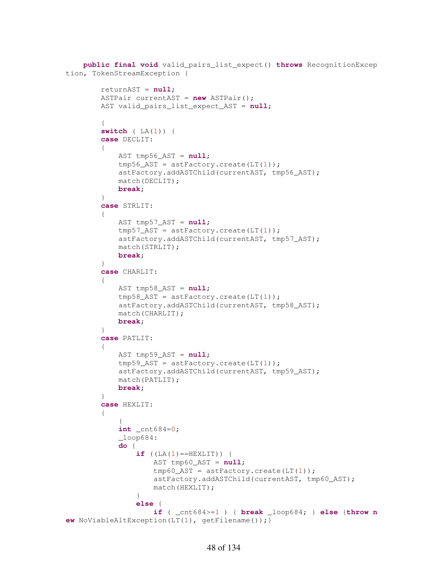```
 public final void valid_pairs_list_expect() throws RecognitionExcep
tion, TokenStreamException { 
         returnAST = null; 
         ASTPair currentAST = new ASTPair(); 
         AST valid_pairs_list_expect_AST = null; 
\{ switch ( LA(1)) { 
         case DECLIT: 
\{ AST tmp56_AST = null; 
             tmp56_AST = astFactory.create(LT(1)); 
             astFactory.addASTChild(currentAST, tmp56_AST); 
             match(DECLIT); 
             break; 
         } 
         case STRLIT: 
         { 
            AST tmp57 AST = null;
            tmp57_AST = astFactory.create(LT(1)); astFactory.addASTChild(currentAST, tmp57_AST); 
             match(STRLIT); 
             break; 
         } 
         case CHARLIT: 
\{ AST tmp58_AST = null; 
            tmp58_AST = astFactory.create(LT(1)); astFactory.addASTChild(currentAST, tmp58_AST); 
             match(CHARLIT); 
             break; 
         } 
         case PATLIT: 
\{ AST tmp59_AST = null; 
            tmp59 AST = astFactory.create(LT(1));
             astFactory.addASTChild(currentAST, tmp59_AST); 
             match(PATLIT); 
             break; 
         } 
         case HEXLIT: 
         { 
\{ int _cnt684=0; 
            \angleloop684:
             do { 
                if (LA(1) == HEXLIT) } {
                     AST tmp60_AST = null; 
                    tmp60_AST = astFactory.create(LT(1)); 
                    astFactory.addASTChild(currentAST, tmp60_AST); 
                    match(HEXLIT); 
 } 
                else { 
                     if ( _cnt684>=1 ) { break _loop684; } else {throw n
ew NoViableAltException(LT(1), getFilename());}
```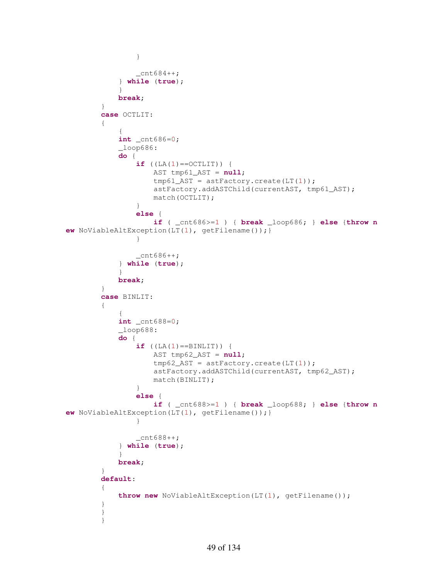```
 } 
                  _ _ cnt684++;
               } while (true); 
 } 
              break; 
          } 
          case OCTLIT: 
\{\{ int _cnt686=0; 
             \lnot \lnot \lnot \lnot \lnot \lnot \lnot \lnot \lnot \lnot \lnot \lnot \lnot \lnot \lnot \lnot \lnot \lnot \lnot \lnot \lnot \lnot \lnot \lnot \lnot \lnot \lnot \lnot \lnot \lnot \lnot \lnot \lnot \lnot \lnot \lnot \lnot do { 
                  if (LA(1) == OCTLIT) {
                        AST tmp61_AST = null; 
                       tmp61_AST = astFactory.create(LT(1)); 
                       astFactory.addASTChild(currentAST, tmp61_AST); 
                       match(OCTLIT); 
 } 
                  else { 
                        if ( _cnt686>=1 ) { break _loop686; } else {throw n
ew NoViableAltException(LT(1), getFilename());} 
 } 
                  _ _cnt686++;
               } while (true); 
 } 
              break; 
          } 
          case BINLIT: 
          { 
\{ int _cnt688=0; 
             \angleloop688:
              do { 
                  if ((LA(1) == BINLIT)) {
                        AST tmp62_AST = null; 
                       tmp62_AST = astFactory.create(LT(1));astFactory.addASTChild(currentAST, tmp62_AST); 
                       match(BINLIT); 
 } 
                  else { 
                        if ( _cnt688>=1 ) { break _loop688; } else {throw n
ew NoViableAltException(LT(1), getFilename());} 
 } 
                  _{\text{cnt688++}}; } while (true); 
 } 
              break; 
 } 
          default: 
\{ throw new NoViableAltException(LT(1), getFilename()); 
          } 
          } 
 }
```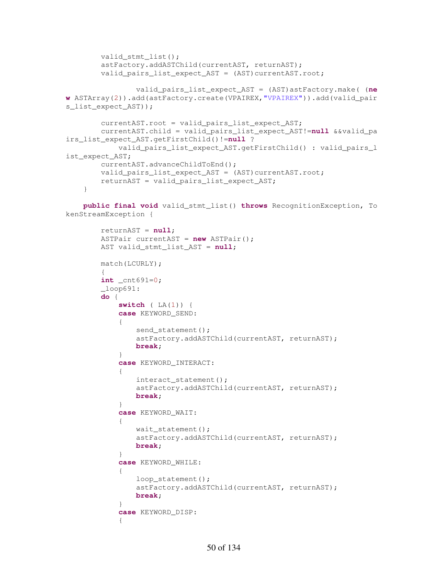```
 valid_stmt_list(); 
         astFactory.addASTChild(currentAST, returnAST); 
        valid_pairs_list_expect_AST = (AST)currentAST.root;
                 valid_pairs_list_expect_AST = (AST)astFactory.make( (ne
w ASTArray(2)).add(astFactory.create(VPAIREX,"VPAIREX")).add(valid_pair
s_list_expect_AST)); 
         currentAST.root = valid_pairs_list_expect_AST; 
         currentAST.child = valid_pairs_list_expect_AST!=null &&valid_pa
irs_list_expect_AST.getFirstChild()!=null ? 
             valid_pairs_list_expect_AST.getFirstChild() : valid_pairs_l
ist_expect_AST; 
         currentAST.advanceChildToEnd(); 
         valid_pairs_list_expect_AST = (AST)currentAST.root;
         returnAST = valid_pairs_list_expect_AST; 
     }
```
 **public final void** valid\_stmt\_list() **throws** RecognitionException, To kenStreamException {

```
 returnAST = null; 
        ASTPair currentAST = new ASTPair(); 
        AST valid_stmt_list_AST = null; 
       match(LCURLY); 
\{ int _cnt691=0; 
       \angleloop691:
        do { 
           switch ( LA(1)) { 
           case KEYWORD_SEND: 
\{send statement();
               astFactory.addASTChild(currentAST, returnAST); 
              break; 
 } 
           case KEYWORD_INTERACT: 
\{interact statement();
               astFactory.addASTChild(currentAST, returnAST); 
              break; 
 } 
           case KEYWORD_WAIT: 
\{ wait_statement(); 
               astFactory.addASTChild(currentAST, returnAST); 
              break; 
 } 
           case KEYWORD_WHILE: 
\{loop_statement();
               astFactory.addASTChild(currentAST, returnAST); 
              break; 
 } 
           case KEYWORD_DISP: 
\{
```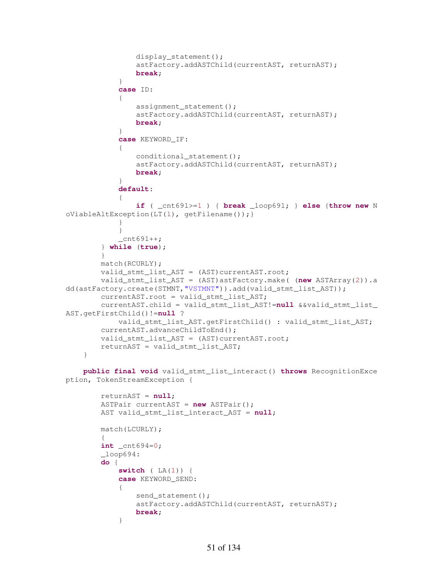```
 display_statement(); 
                astFactory.addASTChild(currentAST, returnAST); 
               break; 
 } 
            case ID: 
\{assignment statement();
                astFactory.addASTChild(currentAST, returnAST); 
               break; 
 } 
            case KEYWORD_IF: 
\{ conditional_statement(); 
                astFactory.addASTChild(currentAST, returnAST); 
               break; 
 } 
            default: 
\{ if ( _cnt691>=1 ) { break _loop691; } else {throw new N
oViableAltException(LT(1), getFilename());} 
 } 
 } 
            _{\text{cnt691++}}; } while (true); 
        } 
        match(RCURLY); 
       valid stmt list AST = (AST)currentAST.root;
        valid_stmt_list_AST = (AST)astFactory.make( (new ASTArray(2)).a
dd(astFactory.create(STMNT,"VSTMNT")).add(valid_stmt_list_AST)); 
        currentAST.root = valid_stmt_list_AST; 
        currentAST.child = valid_stmt_list_AST!=null &&valid_stmt_list_
AST.getFirstChild()!=null ? 
            valid_stmt_list_AST.getFirstChild() : valid_stmt_list_AST; 
        currentAST.advanceChildToEnd(); 
        valid_stmt_list_AST = (AST)currentAST.root; 
        returnAST = valid_stmt_list_AST; 
    } 
    public final void valid_stmt_list_interact() throws RecognitionExce
ption, TokenStreamException { 
        returnAST = null; 
        ASTPair currentAST = new ASTPair(); 
        AST valid_stmt_list_interact_AST = null; 
        match(LCURLY); 
\{int cnt694=0;
```

```
\textcolor{red}{\text{loop694}}: do {
```

```
 switch ( LA(1)) { 
           case KEYWORD_SEND: 
\{send statement();
               astFactory.addASTChild(currentAST, returnAST); 
              break; 
 }
```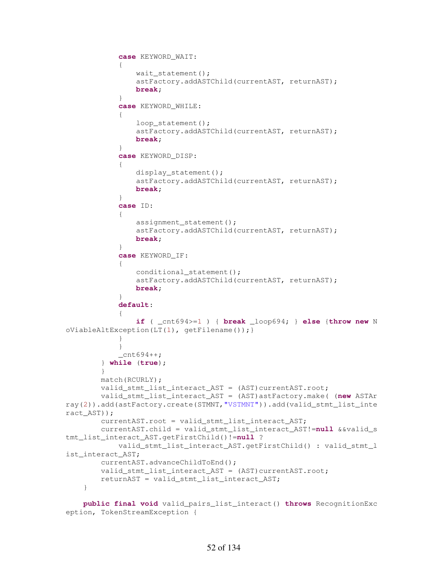```
 case KEYWORD_WAIT: 
\{ wait_statement(); 
                astFactory.addASTChild(currentAST, returnAST); 
               break; 
 } 
            case KEYWORD_WHILE: 
\{loop_statement();
                astFactory.addASTChild(currentAST, returnAST); 
               break; 
 } 
            case KEYWORD_DISP: 
\{ display_statement(); 
                astFactory.addASTChild(currentAST, returnAST); 
               break; 
 } 
            case ID: 
\{assignment statement();
                astFactory.addASTChild(currentAST, returnAST); 
               break; 
 } 
            case KEYWORD_IF: 
\{conditional statement();
                astFactory.addASTChild(currentAST, returnAST); 
               break; 
 } 
            default: 
\{ if ( _cnt694>=1 ) { break _loop694; } else {throw new N
oViableAltException(LT(1), getFilename());} 
 } 
 } 
           cnt694++; } while (true); 
        } 
        match(RCURLY); 
        valid_stmt_list_interact_AST = (AST)currentAST.root; 
        valid_stmt_list_interact_AST = (AST)astFactory.make( (new ASTAr
ray(2)).add(astFactory.create(STMNT,"VSTMNT")).add(valid_stmt_list_inte
ract_AST)); 
        currentAST.root = valid_stmt_list_interact_AST; 
        currentAST.child = valid_stmt_list_interact_AST!=null &&valid_s
tmt_list_interact_AST.getFirstChild()!=null ? 
            valid_stmt_list_interact_AST.getFirstChild() : valid_stmt_l
ist_interact_AST; 
        currentAST.advanceChildToEnd(); 
        valid_stmt_list_interact_AST = (AST)currentAST.root; 
        returnAST = valid_stmt_list_interact_AST; 
    } 
    public final void valid_pairs_list_interact() throws RecognitionExc
```

```
eption, TokenStreamException {
```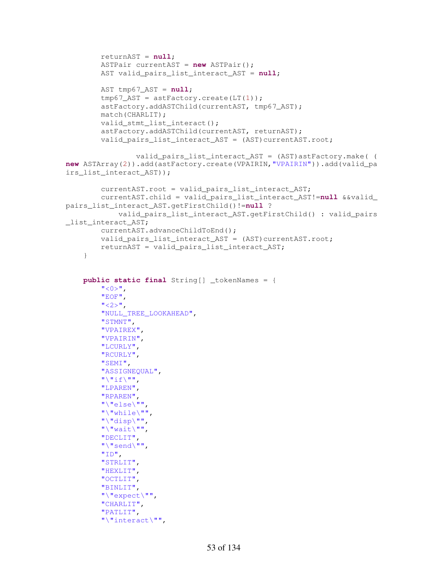```
 returnAST = null; 
          ASTPair currentAST = new ASTPair(); 
          AST valid_pairs_list_interact_AST = null; 
         AST tmp67_AST = null;tmp67AST = astFactory.create(LT(1)); astFactory.addASTChild(currentAST, tmp67_AST); 
          match(CHARLIT); 
          valid_stmt_list_interact(); 
          astFactory.addASTChild(currentAST, returnAST); 
          valid_pairs_list_interact_AST = (AST)currentAST.root; 
                   valid_pairs_list_interact_AST = (AST)astFactory.make( (
new ASTArray(2)).add(astFactory.create(VPAIRIN,"VPAIRIN")).add(valid_pa
irs_list_interact_AST)); 
          currentAST.root = valid_pairs_list_interact_AST; 
          currentAST.child = valid_pairs_list_interact_AST!=null &&valid_
pairs_list_interact_AST.getFirstChild()!=null ? 
              valid_pairs_list_interact_AST.getFirstChild() : valid_pairs
_list_interact_AST; 
          currentAST.advanceChildToEnd(); 
         valid_pairs_list_interact_AST = (AST)currentAST.root;
         returnAST = valid_pairs_list_interact_AST; 
     } 
     public static final String[] _tokenNames = { 
         " < 0 >",
          "EOF", 
         "<2>",
          "NULL_TREE_LOOKAHEAD", 
          "STMNT", 
          "VPAIREX", 
          "VPAIRIN", 
          "LCURLY", 
          "RCURLY", 
          "SEMI", 
          "ASSIGNEQUAL", 
         "\n\sqrt{\mathbf{n}}\text{if}\n\sqrt{\mathbf{n}}\text{ in},
          "LPAREN", 
          "RPAREN", 
          "\"else\"", 
          "\"while\"", 
          "\"disp\"", 
          "\"wait\"", 
          "DECLIT", 
          "\"send\"", 
          "ID", 
          "STRLIT", 
          "HEXLIT", 
          "OCTLIT", 
          "BINLIT", 
          "\"expect\"", 
          "CHARLIT", 
          "PATLIT", 
          "\"interact\"",
```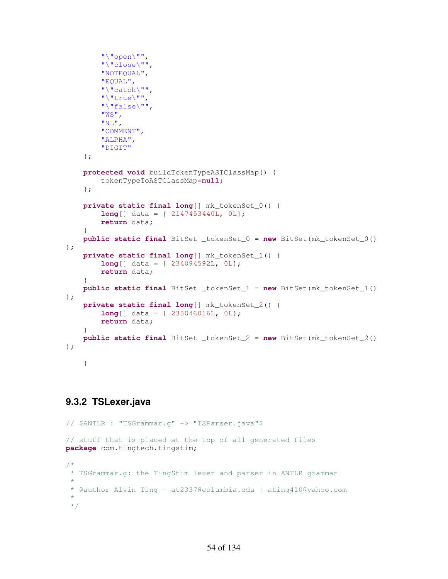```
"\wedge"open\vee"'',
          "\"close\"", 
          "NOTEQUAL", 
         "EQUAL", 
         "\"catch\"", 
          "\"true\"", 
          "\"false\"", 
          "WS", 
          "NL", 
          "COMMENT", 
          "ALPHA", 
         "DIGIT"
     }; 
     protected void buildTokenTypeASTClassMap() { 
          tokenTypeToASTClassMap=null; 
     }; 
     private static final long[] mk_tokenSet_0() { 
          long[] data = { 2147453440L, 0L}; 
         return data; 
     } 
     public static final BitSet _tokenSet_0 = new BitSet(mk_tokenSet_0()
); 
     private static final long[] mk_tokenSet_1() { 
         long[] data = { 234094592L, 0L}; 
         return data; 
     } 
     public static final BitSet _tokenSet_1 = new BitSet(mk_tokenSet_1()
); 
     private static final long[] mk_tokenSet_2() { 
         long[] data = { 233046016L, 0L}; 
         return data; 
     } 
     public static final BitSet _tokenSet_2 = new BitSet(mk_tokenSet_2()
); 
     }
```
## **9.3.2 TSLexer.java**

```
// $ANTLR : "TSGrammar.g" -> "TSParser.java"$
// stuff that is placed at the top of all generated files
package com.tingtech.tingstim; 
/*
* TSGrammar.g: the TingStim lexer and parser in ANTLR grammar
 * 
 * @author Alvin Ting - at2337@columbia.edu | ating410@yahoo.com
 * 
 */
```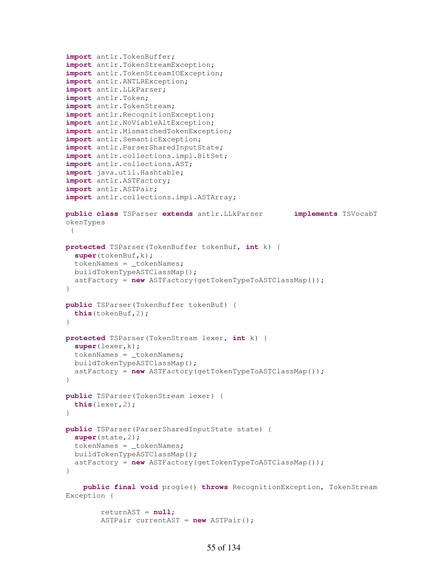```
import antlr.TokenBuffer; 
import antlr.TokenStreamException; 
import antlr.TokenStreamIOException; 
import antlr.ANTLRException; 
import antlr.LLkParser; 
import antlr.Token; 
import antlr.TokenStream; 
import antlr.RecognitionException; 
import antlr.NoViableAltException; 
import antlr.MismatchedTokenException; 
import antlr.SemanticException; 
import antlr.ParserSharedInputState; 
import antlr.collections.impl.BitSet; 
import antlr.collections.AST; 
import java.util.Hashtable; 
import antlr.ASTFactory; 
import antlr.ASTPair; 
import antlr.collections.impl.ASTArray; 
public class TSParser extends antlr.LLkParser implements TSVocabT
okenTypes 
 { 
protected TSParser(TokenBuffer tokenBuf, int k) { 
   super(tokenBuf,k); 
   tokenNames = _tokenNames; 
   buildTokenTypeASTClassMap(); 
   astFactory = new ASTFactory(getTokenTypeToASTClassMap()); 
} 
public TSParser(TokenBuffer tokenBuf) { 
   this(tokenBuf,2); 
} 
protected TSParser(TokenStream lexer, int k) { 
   super(lexer,k); 
   tokenNames = _tokenNames; 
   buildTokenTypeASTClassMap(); 
   astFactory = new ASTFactory(getTokenTypeToASTClassMap()); 
} 
public TSParser(TokenStream lexer) { 
   this(lexer,2); 
} 
public TSParser(ParserSharedInputState state) { 
   super(state,2); 
   tokenNames = _tokenNames; 
   buildTokenTypeASTClassMap(); 
   astFactory = new ASTFactory(getTokenTypeToASTClassMap()); 
} 
     public final void progie() throws RecognitionException, TokenStream
Exception {
```

```
 returnAST = null; 
 ASTPair currentAST = new ASTPair();
```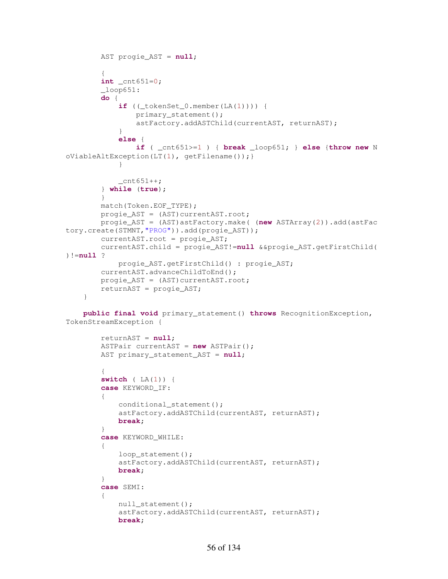```
 AST progie_AST = null; 
\{ int _cnt651=0; 
         _loop651: 
         do { 
            if ((\text{tokenSet}_0.\text{member}(\text{LA}(1)))) primary_statement(); 
                 astFactory.addASTChild(currentAST, returnAST); 
 } 
             else { 
                 if ( _cnt651>=1 ) { break _loop651; } else {throw new N
oViableAltException(LT(1), getFilename());} 
 } 
            _{\text{cnt651++}}; } while (true); 
         } 
         match(Token.EOF_TYPE); 
         progie_AST = (AST)currentAST.root; 
         progie_AST = (AST)astFactory.make( (new ASTArray(2)).add(astFac
tory.create(STMNT,"PROG")).add(progie_AST)); 
         currentAST.root = progie_AST; 
         currentAST.child = progie_AST!=null &&progie_AST.getFirstChild(
)!=null ? 
             progie_AST.getFirstChild() : progie_AST; 
         currentAST.advanceChildToEnd(); 
         progie_AST = (AST)currentAST.root; 
         returnAST = progie_AST; 
     } 
     public final void primary_statement() throws RecognitionException,
```

```
TokenStreamException {
```

```
 returnAST = null; 
        ASTPair currentAST = new ASTPair(); 
        AST primary_statement_AST = null; 
\{ switch ( LA(1)) { 
        case KEYWORD_IF: 
\{ conditional_statement(); 
            astFactory.addASTChild(currentAST, returnAST); 
            break; 
        } 
        case KEYWORD_WHILE: 
\{ loop_statement(); 
            astFactory.addASTChild(currentAST, returnAST); 
            break; 
 } 
        case SEMI: 
\{null_statement();
            astFactory.addASTChild(currentAST, returnAST); 
            break;
```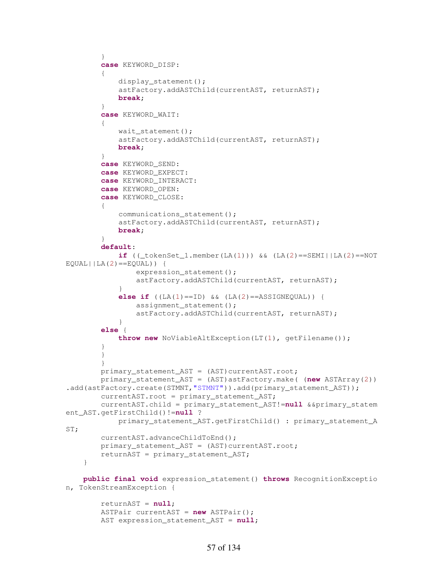```
 } 
         case KEYWORD_DISP: 
\{ display_statement(); 
             astFactory.addASTChild(currentAST, returnAST); 
             break; 
 } 
         case KEYWORD_WAIT: 
\{wait statement();
             astFactory.addASTChild(currentAST, returnAST); 
             break; 
         } 
         case KEYWORD_SEND: 
         case KEYWORD_EXPECT: 
         case KEYWORD_INTERACT: 
         case KEYWORD_OPEN: 
         case KEYWORD_CLOSE: 
         { 
             communications_statement(); 
             astFactory.addASTChild(currentAST, returnAST); 
             break; 
 } 
         default: 
            if ((\text{tokenSet}\_1.\text{member}(\text{LA}(1))) \& (\text{LA}(2)) == \text{SEMI} || \text{LA}(2) == \text{NOT}EQUAL||LA(2) ==EQUAL)) {
                expression statement();
                 astFactory.addASTChild(currentAST, returnAST); 
 } 
            else if (LA(1) == ID) && (LA(2) == ASSIGNEQUAL) {
                assignment statement();
                 astFactory.addASTChild(currentAST, returnAST); 
 } 
         else { 
             throw new NoViableAltException(LT(1), getFilename()); 
 } 
 } 
 } 
        primary_statement_AST = (AST)currentAST.root;
         primary_statement_AST = (AST)astFactory.make( (new ASTArray(2))
.add(astFactory.create(STMNT,"STMNT")).add(primary_statement_AST));
         currentAST.root = primary_statement_AST; 
         currentAST.child = primary_statement_AST!=null &&primary_statem
ent_AST.getFirstChild()!=null ? 
             primary_statement_AST.getFirstChild() : primary_statement_A
ST; 
         currentAST.advanceChildToEnd(); 
        primary statement AST = (AST)currentAST.root;
         returnAST = primary_statement_AST; 
     } 
     public final void expression_statement() throws RecognitionExceptio
n, TokenStreamException { 
         returnAST = null; 
         ASTPair currentAST = new ASTPair();
```
AST expression statement AST =  $null$ ;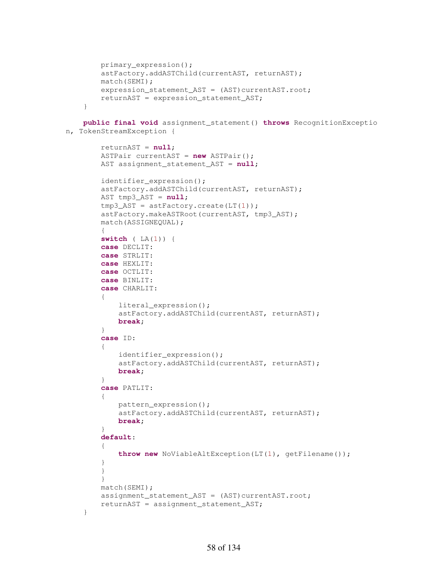```
 primary_expression(); 
     astFactory.addASTChild(currentAST, returnAST); 
     match(SEMI); 
    expression_statement_AST = (AST)currentAST.root;
     returnAST = expression_statement_AST; 
 }
```

```
 public final void assignment_statement() throws RecognitionExceptio
n, TokenStreamException {
```

```
 returnAST = null; 
        ASTPair currentAST = new ASTPair(); 
        AST assignment_statement_AST = null; 
        identifier_expression(); 
        astFactory.addASTChild(currentAST, returnAST); 
        AST tmp3_AST = null; 
        tmp3_AST = astFactory.create(LT(1)); 
        astFactory.makeASTRoot(currentAST, tmp3_AST); 
        match(ASSIGNEQUAL); 
\{ switch ( LA(1)) { 
        case DECLIT: 
        case STRLIT: 
        case HEXLIT: 
        case OCTLIT: 
        case BINLIT: 
        case CHARLIT: 
\{ literal_expression(); 
             astFactory.addASTChild(currentAST, returnAST); 
            break; 
         } 
        case ID: 
\{identifier expression();
             astFactory.addASTChild(currentAST, returnAST); 
             break; 
 } 
         case PATLIT: 
\{ pattern_expression(); 
             astFactory.addASTChild(currentAST, returnAST); 
            break; 
 } 
         default: 
         { 
             throw new NoViableAltException(LT(1), getFilename()); 
 } 
         } 
         } 
        match(SEMI); 
       assignment statement AST = (AST)currentAST.root;
       returnAST = assignment statement AST;
```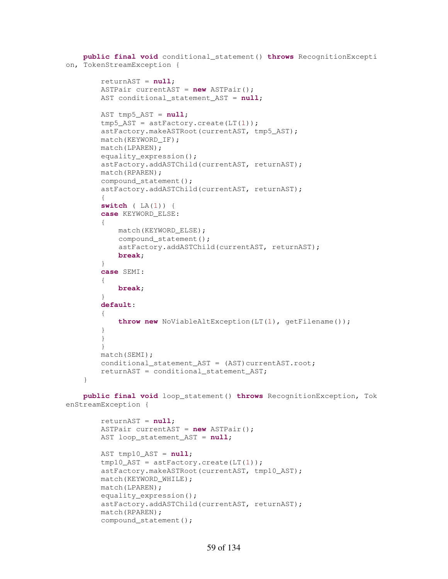```
 public final void conditional_statement() throws RecognitionExcepti
on, TokenStreamException { 
         returnAST = null; 
         ASTPair currentAST = new ASTPair(); 
         AST conditional_statement_AST = null; 
         AST tmp5_AST = null; 
         tmp5_AST = astFactory.create(LT(1)); 
         astFactory.makeASTRoot(currentAST, tmp5_AST); 
         match(KEYWORD_IF); 
         match(LPAREN); 
         equality_expression(); 
         astFactory.addASTChild(currentAST, returnAST); 
         match(RPAREN); 
         compound_statement(); 
         astFactory.addASTChild(currentAST, returnAST); 
\{ switch ( LA(1)) { 
         case KEYWORD_ELSE: 
         { 
             match(KEYWORD_ELSE); 
             compound_statement(); 
             astFactory.addASTChild(currentAST, returnAST); 
             break; 
         } 
         case SEMI: 
\{ break; 
 } 
         default: 
\{ throw new NoViableAltException(LT(1), getFilename()); 
 } 
         } 
 } 
         match(SEMI); 
        conditional statement AST = (AST)currentAST.root;
         returnAST = conditional_statement_AST; 
     } 
    public final void loop_statement() throws RecognitionException, Tok
enStreamException { 
         returnAST = null; 
         ASTPair currentAST = new ASTPair(); 
         AST loop_statement_AST = null; 
         AST tmp10_AST = null; 
         tmp10_AST = astFactory.create(LT(1)); 
         astFactory.makeASTRoot(currentAST, tmp10_AST); 
         match(KEYWORD_WHILE); 
         match(LPAREN); 
        equality expression();
```

```
 astFactory.addASTChild(currentAST, returnAST); 
 match(RPAREN);
```
compound\_statement();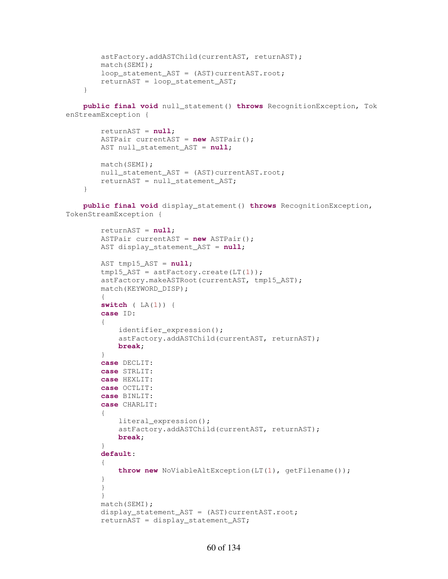```
 astFactory.addASTChild(currentAST, returnAST); 
     match(SEMI); 
    loop_statement_AST = (AST)currentAST.root;
     returnAST = loop_statement_AST; 
 }
```
 **public final void** null\_statement() **throws** RecognitionException, Tok enStreamException {

```
 returnAST = null; 
 ASTPair currentAST = new ASTPair(); 
 AST null_statement_AST = null; 
 match(SEMI); 
null_statement_AST = (AST)currentAST.root;
 returnAST = null_statement_AST;
```
}

 **public final void** display\_statement() **throws** RecognitionException, TokenStreamException {

```
 returnAST = null; 
         ASTPair currentAST = new ASTPair(); 
       AST display statement AST = null;
        AST tmp15_AST = null; 
       tmp15 AST = astFactory.create(LT(1));
        astFactory.makeASTRoot(currentAST, tmp15_AST); 
        match(KEYWORD_DISP); 
\{ switch ( LA(1)) { 
         case ID: 
\{identifier expression();
             astFactory.addASTChild(currentAST, returnAST); 
             break; 
 } 
         case DECLIT: 
         case STRLIT: 
         case HEXLIT: 
         case OCTLIT: 
        case BINLIT: 
        case CHARLIT: 
\{ literal_expression(); 
             astFactory.addASTChild(currentAST, returnAST); 
             break; 
         } 
         default: 
\{ throw new NoViableAltException(LT(1), getFilename()); 
         } 
         } 
         } 
        match(SEMI); 
       display_statement_AST = (AST)currentAST.root;
         returnAST = display_statement_AST;
```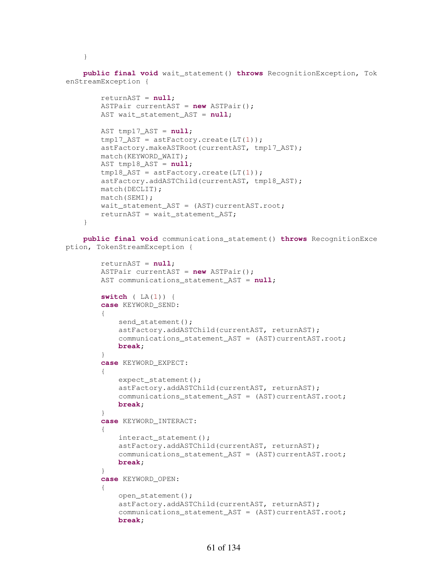}

 **public final void** wait\_statement() **throws** RecognitionException, Tok enStreamException {

```
 returnAST = null; 
     ASTPair currentAST = new ASTPair(); 
     AST wait_statement_AST = null; 
     AST tmp17_AST = null; 
    tmp17_AST = astFactory.create(LT(1)); astFactory.makeASTRoot(currentAST, tmp17_AST); 
     match(KEYWORD_WAIT); 
    AST tmp18 AST = null;
     tmp18_AST = astFactory.create(LT(1)); 
     astFactory.addASTChild(currentAST, tmp18_AST); 
     match(DECLIT); 
     match(SEMI); 
   wait_statement_AST = (AST)currentAST.root;
    returnAST = wait_statement_AST; 
 }
```
 **public final void** communications\_statement() **throws** RecognitionExce ption, TokenStreamException {

```
 returnAST = null; 
        ASTPair currentAST = new ASTPair(); 
        AST communications_statement_AST = null; 
        switch ( LA(1)) { 
        case KEYWORD_SEND: 
         { 
           send_statement();
            astFactory.addASTChild(currentAST, returnAST); 
           communications_statement_AST = (AST)currentAST.root;
            break; 
 } 
        case KEYWORD_EXPECT: 
\{expect_statement();
            astFactory.addASTChild(currentAST, returnAST); 
           communications_statement_AST = (AST)currentAST.root;
            break; 
 } 
        case KEYWORD_INTERACT: 
\{ interact_statement(); 
            astFactory.addASTChild(currentAST, returnAST); 
           communications_statement_AST = (AST)currentAST.root;
            break; 
 } 
        case KEYWORD_OPEN: 
\{ open_statement(); 
            astFactory.addASTChild(currentAST, returnAST); 
           communications_statement_AST = (AST)currentAST.root;
            break;
```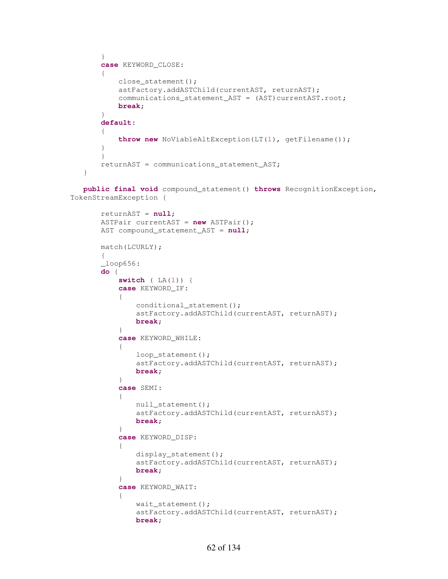```
 } 
         case KEYWORD_CLOSE: 
\{ close_statement(); 
             astFactory.addASTChild(currentAST, returnAST); 
            communications statement AST = (AST)currentAST.root;
             break; 
 } 
         default: 
         { 
             throw new NoViableAltException(LT(1), getFilename()); 
         } 
         } 
         returnAST = communications_statement_AST; 
     }
```
 **public final void** compound\_statement() **throws** RecognitionException, TokenStreamException {

```
 returnAST = null; 
        ASTPair currentAST = new ASTPair(); 
        AST compound_statement_AST = null; 
        match(LCURLY); 
        { 
       \_\loop656: do { 
           switch ( LA(1)) { 
           case KEYWORD_IF: 
\{conditional_statement();
               astFactory.addASTChild(currentAST, returnAST); 
              break; 
 } 
           case KEYWORD_WHILE: 
\{loop_statement();
               astFactory.addASTChild(currentAST, returnAST); 
              break; 
 } 
            case SEMI: 
\{ null_statement(); 
               astFactory.addASTChild(currentAST, returnAST); 
              break; 
 } 
            case KEYWORD_DISP: 
\{ display_statement(); 
               astFactory.addASTChild(currentAST, returnAST); 
              break; 
 } 
           case KEYWORD_WAIT: 
\{wait statement();
               astFactory.addASTChild(currentAST, returnAST); 
              break;
```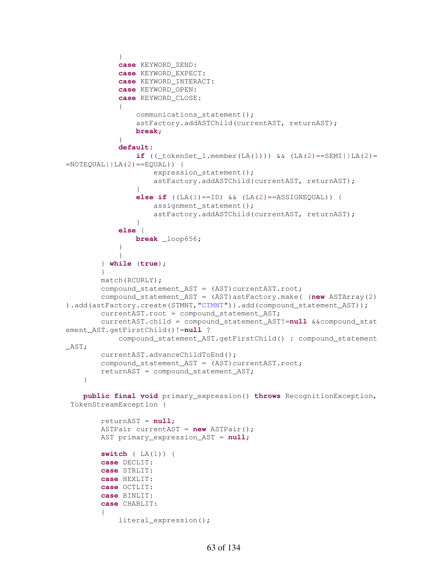```
 } 
             case KEYWORD_SEND: 
             case KEYWORD_EXPECT: 
             case KEYWORD_INTERACT: 
             case KEYWORD_OPEN: 
             case KEYWORD_CLOSE: 
\{ communications_statement(); 
                 astFactory.addASTChild(currentAST, returnAST); 
                break; 
 } 
             default: 
                if ((\text{tokenSet}\_1.\text{member}(\text{LA}(1))) \& (L\AA(2)) == \text{SEMI} || \text{LA}(2) ===NOTEQUAL | | LA(2) = =EQUAL)) {
                    expression_statement();
                    astFactory.addASTChild(currentAST, returnAST); 
 } 
                else if ((LA(1)==ID) \& (LA(2)==ASSIGNEQUAL)) assignment_statement(); 
                    astFactory.addASTChild(currentAST, returnAST); 
 } 
             else { 
                 break _loop656; 
 } 
 } 
         } while (true); 
         } 
        match(RCURLY); 
        compound_statement_AST = (AST)currentAST.root; 
         compound_statement_AST = (AST)astFactory.make( (new ASTArray(2)
).add(astFactory.create(STMNT,"CTMNT")).add(compound_statement_AST));
         currentAST.root = compound_statement_AST; 
         currentAST.child = compound_statement_AST!=null &&compound_stat
ement_AST.getFirstChild()!=null ? 
             compound_statement_AST.getFirstChild() : compound_statement
_AST; 
         currentAST.advanceChildToEnd(); 
        compound statement AST = (AST)currentAST.root;
        returnAST = compound_statement_AST; 
     } 
    public final void primary_expression() throws RecognitionException,
```

```
 TokenStreamException {
```

```
 returnAST = null; 
         ASTPair currentAST = new ASTPair(); 
         AST primary_expression_AST = null; 
         switch ( LA(1)) { 
         case DECLIT: 
         case STRLIT: 
         case HEXLIT: 
         case OCTLIT: 
         case BINLIT: 
         case CHARLIT: 
\{ literal_expression();
```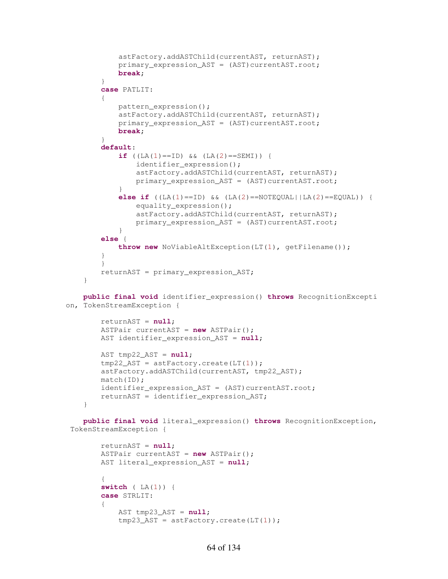```
 astFactory.addASTChild(currentAST, returnAST); 
             primary_expression_AST = (AST)currentAST.root; 
             break; 
 } 
         case PATLIT: 
\{ pattern_expression(); 
             astFactory.addASTChild(currentAST, returnAST); 
             primary_expression_AST = (AST)currentAST.root; 
             break; 
 } 
         default: 
            if ((LA(1) == ID) & & (LA(2) == SEMI)) {
                 identifier_expression(); 
                 astFactory.addASTChild(currentAST, returnAST); 
                 primary_expression_AST = (AST)currentAST.root; 
 } 
            else if (LA(1) == ID) & (LA(2) == NOTEQUAL | LA(2) == EQUAL) {
                 equality_expression(); 
                 astFactory.addASTChild(currentAST, returnAST); 
                primary_expression_AST = (AST)currentAST.root;
 } 
         else { 
             throw new NoViableAltException(LT(1), getFilename()); 
 } 
 } 
        returnAST = primary expression AST;
     } 
    public final void identifier_expression() throws RecognitionExcepti
on, TokenStreamException { 
         returnAST = null; 
         ASTPair currentAST = new ASTPair(); 
         AST identifier_expression_AST = null; 
        AST tmp22\_AST = null;tmp22 AST = astFactory.create(LT(1)); astFactory.addASTChild(currentAST, tmp22_AST); 
        match(ID); 
        identifier_expression_AST = (AST)currentAST.root; 
        returnAST = identifier_expression_AST; 
     } 
    public final void literal_expression() throws RecognitionException,
  TokenStreamException { 
         returnAST = null; 
         ASTPair currentAST = new ASTPair(); 
         AST literal_expression_AST = null; 
\{ switch ( LA(1)) { 
         case STRLIT: 
\{ AST tmp23_AST = null; 
            tmp23_AST = astFactory.create(LT(1));
```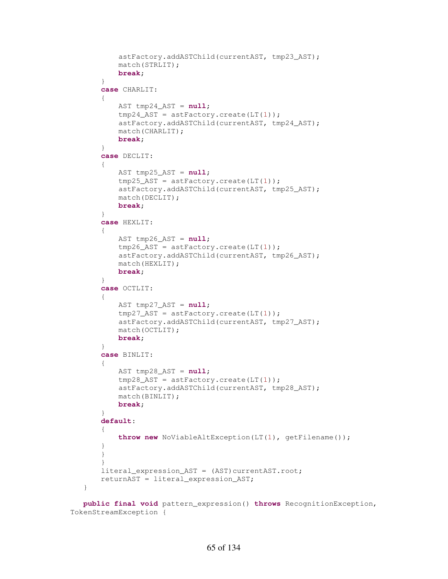```
 astFactory.addASTChild(currentAST, tmp23_AST); 
             match(STRLIT); 
             break; 
 } 
         case CHARLIT: 
\{ AST tmp24_AST = null; 
            tmp24\_AST = astFactory.create(LT(1)); astFactory.addASTChild(currentAST, tmp24_AST); 
             match(CHARLIT); 
             break; 
         } 
         case DECLIT: 
\{ AST tmp25_AST = null; 
             tmp25_AST = astFactory.create(LT(1)); 
             astFactory.addASTChild(currentAST, tmp25_AST); 
             match(DECLIT); 
            break; 
         } 
        case HEXLIT: 
\{ AST tmp26_AST = null; 
            tmp26\_AST = astFactory.create(LT(1)); astFactory.addASTChild(currentAST, tmp26_AST); 
             match(HEXLIT); 
             break; 
         } 
        case OCTLIT: 
\{ AST tmp27_AST = null; 
             tmp27_AST = astFactory.create(LT(1)); 
             astFactory.addASTChild(currentAST, tmp27_AST); 
             match(OCTLIT); 
             break; 
         } 
         case BINLIT: 
\{ AST tmp28_AST = null; 
            tmp28_AST = astFactory.create(LT(1)); astFactory.addASTChild(currentAST, tmp28_AST); 
             match(BINLIT); 
            break; 
 } 
         default: 
         { 
             throw new NoViableAltException(LT(1), getFilename()); 
 } 
         } 
 } 
        literal_expression_AST = (AST)currentAST.root; 
        returnAST = literal_expression_AST;
```

```
 public final void pattern_expression() throws RecognitionException,
 TokenStreamException {
```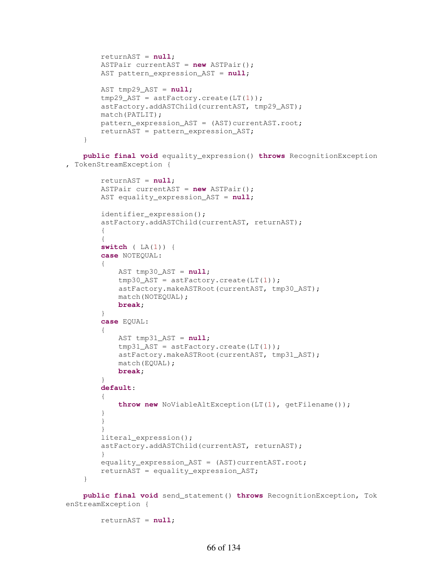```
 returnAST = null; 
         ASTPair currentAST = new ASTPair(); 
        AST pattern_expression_AST = null; 
        AST tmp29_AST = null; 
       tmp29 AST = astFactory.create(LT(1));
        astFactory.addASTChild(currentAST, tmp29_AST); 
        match(PATLIT); 
        pattern_expression_AST = (AST)currentAST.root; 
        returnAST = pattern_expression_AST; 
     } 
    public final void equality_expression() throws RecognitionException
, TokenStreamException { 
         returnAST = null; 
         ASTPair currentAST = new ASTPair(); 
        AST equality_expression_AST = null; 
         identifier_expression(); 
         astFactory.addASTChild(currentAST, returnAST); 
\{\{ switch ( LA(1)) { 
         case NOTEQUAL: 
\{AST tmp30_AST = null;tmp30 AST = astFactory.create(LT(1));
             astFactory.makeASTRoot(currentAST, tmp30_AST);
```

```
 match(NOTEQUAL); 
            break; 
        } 
        case EQUAL: 
         { 
            AST tmp31_AST = null; 
            tmp31_AST = astFactory.create(LT(1)); 
            astFactory.makeASTRoot(currentAST, tmp31_AST); 
            match(EQUAL); 
            break; 
 } 
        default: 
\{ throw new NoViableAltException(LT(1), getFilename()); 
 } 
 } 
 } 
        literal_expression(); 
        astFactory.addASTChild(currentAST, returnAST); 
 } 
       equality_expression_AST = (AST)currentAST.root;
        returnAST = equality_expression_AST;
```
 **public final void** send\_statement() **throws** RecognitionException, Tok enStreamException {

```
 returnAST = null;
```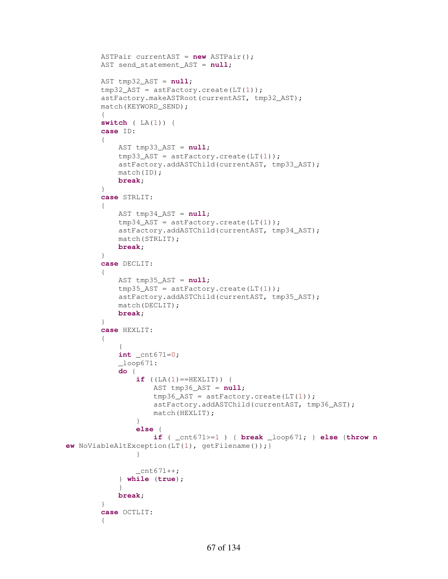```
 ASTPair currentAST = new ASTPair(); 
         AST send_statement_AST = null; 
         AST tmp32_AST = null; 
         tmp32_AST = astFactory.create(LT(1)); 
         astFactory.makeASTRoot(currentAST, tmp32_AST); 
         match(KEYWORD_SEND); 
\{ switch ( LA(1)) { 
         case ID: 
\{ AST tmp33_AST = null; 
             tmp33_AST = astFactory.create(LT(1)); 
             astFactory.addASTChild(currentAST, tmp33_AST); 
             match(ID); 
             break; 
         } 
         case STRLIT: 
         { 
             AST tmp34_AST = null; 
            tmp34 AST = astFactory.create(LT(1));
             astFactory.addASTChild(currentAST, tmp34_AST); 
             match(STRLIT); 
             break; 
         } 
         case DECLIT: 
\{ AST tmp35_AST = null; 
            tmp35\_AST = astFactory.create(LT(1)); astFactory.addASTChild(currentAST, tmp35_AST); 
             match(DECLIT); 
             break; 
         } 
         case HEXLIT: 
         { 
\{ int _cnt671=0; 
            \angleloop671:
             do { 
                if (LA(1) == HEXLIT) {
                     AST tmp36_AST = null; 
                    tmp36_AST = astFactory.create(LT(1)); 
                    astFactory.addASTChild(currentAST, tmp36_AST); 
                    match(HEXLIT); 
 } 
                else { 
                     if ( _cnt671>=1 ) { break _loop671; } else {throw n
ew NoViableAltException(LT(1), getFilename());} 
 } 
                 _{\text{cnt671++}}; } while (true); 
 } 
             break; 
         } 
         case OCTLIT: 
\{
```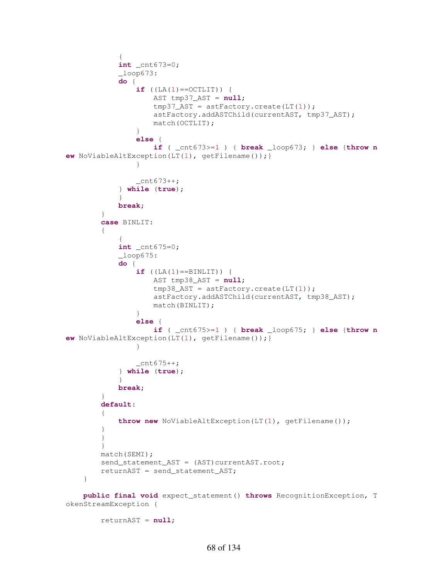```
\{ int _cnt673=0; 
           \_\text{loop673}: do { 
               if (LA(1) == OCTLIT) {
                    AST tmp37_AST = null; 
                   tmp37_AST = astFactory.create(LT(1)); 
                   astFactory.addASTChild(currentAST, tmp37_AST); 
                   match(OCTLIT); 
 } 
               else { 
                    if ( _cnt673>=1 ) { break _loop673; } else {throw n
ew NoViableAltException(LT(1), getFilename());} 
 } 
               Cnt673++; } while (true); 
 } 
            break; 
        } 
        case BINLIT: 
\{\{ int _cnt675=0; 
           \_\loop675: do { 
               if (LA(1) == BINLIT) {
                    AST tmp38_AST = null; 
                   tmp38_AST = astFactory.create(LT(1)); 
                   astFactory.addASTChild(currentAST, tmp38_AST); 
                   match(BINLIT); 
 } 
               else { 
                    if ( _cnt675>=1 ) { break _loop675; } else {throw n
ew NoViableAltException(LT(1), getFilename());} 
 } 
               cnt675++; } while (true); 
 } 
            break; 
 } 
        default: 
\{ throw new NoViableAltException(LT(1), getFilename()); 
        } 
        } 
        } 
        match(SEMI); 
       send_statement_AST = (AST) currentAST.root;
        returnAST = send_statement_AST; 
    } 
    public final void expect_statement() throws RecognitionException, T
okenStreamException {
```

```
 returnAST = null;
```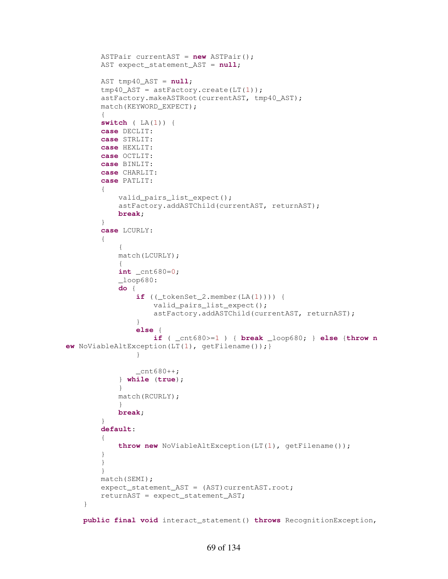```
 ASTPair currentAST = new ASTPair(); 
        AST expect_statement_AST = null; 
        AST tmp40_AST = null; 
       tmp40_AST = astFactory.create(LT(1)); astFactory.makeASTRoot(currentAST, tmp40_AST); 
       match(KEYWORD_EXPECT);
\{ switch ( LA(1)) { 
        case DECLIT: 
        case STRLIT: 
        case HEXLIT: 
        case OCTLIT: 
        case BINLIT: 
        case CHARLIT: 
        case PATLIT: 
         { 
             valid_pairs_list_expect(); 
             astFactory.addASTChild(currentAST, returnAST); 
            break; 
         } 
        case LCURLY: 
\{\{ match(LCURLY); 
\{ int _cnt680=0; 
            \_\loop680: do { 
                if ((\text{tokenSet}_2.\text{member}(\text{LA}(1)))) valid_pairs_list_expect(); 
                    astFactory.addASTChild(currentAST, returnAST); 
 } 
                else { 
                     if ( _cnt680>=1 ) { break _loop680; } else {throw n
ew NoViableAltException(LT(1), getFilename());} 
 } 
                _{\text{cnt680++}}; } while (true); 
 } 
            match(RCURLY); 
 } 
            break; 
 } 
        default: 
         { 
             throw new NoViableAltException(LT(1), getFilename()); 
 } 
 } 
         } 
        match(SEMI); 
       expect_statement_AST = (AST)currentAST.root;
        returnAST = expect_statement_AST; 
     } 
    public final void interact_statement() throws RecognitionException,
```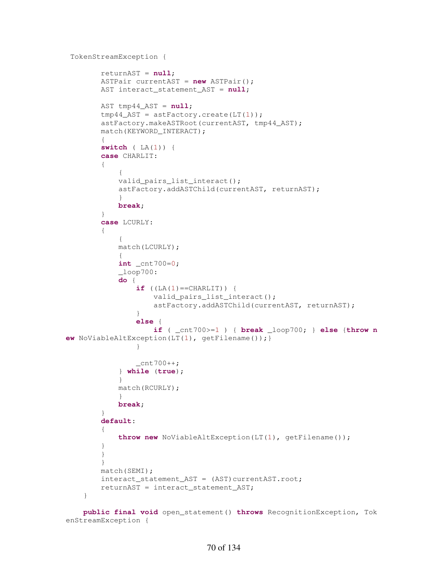```
 TokenStreamException {
```

```
 returnAST = null; 
        ASTPair currentAST = new ASTPair(); 
        AST interact_statement_AST = null; 
        AST tmp44_AST = null; 
       tmp44\_AST = astFactory.create(LT(1)); astFactory.makeASTRoot(currentAST, tmp44_AST); 
        match(KEYWORD_INTERACT); 
\{ switch ( LA(1)) { 
        case CHARLIT: 
        { 
\{ valid_pairs_list_interact(); 
            astFactory.addASTChild(currentAST, returnAST); 
 } 
            break; 
        } 
        case LCURLY: 
\{\{ match(LCURLY); 
\{ int _cnt700=0; 
           \_\text{loop700}:
            do { 
               if (IA(1)=CHARLIT) } {
                    valid_pairs_list_interact(); 
                   astFactory.addASTChild(currentAST, returnAST); 
 } 
               else { 
                    if ( _cnt700>=1 ) { break _loop700; } else {throw n
ew NoViableAltException(LT(1), getFilename());} 
 } 
               _{\text{cnt700++}}; } while (true); 
 } 
            match(RCURLY); 
 } 
            break; 
 } 
        default: 
        { 
            throw new NoViableAltException(LT(1), getFilename()); 
 } 
        } 
 } 
        match(SEMI); 
        interact_statement_AST = (AST)currentAST.root; 
        returnAST = interact_statement_AST; 
    }
```

```
 public final void open_statement() throws RecognitionException, Tok
enStreamException {
```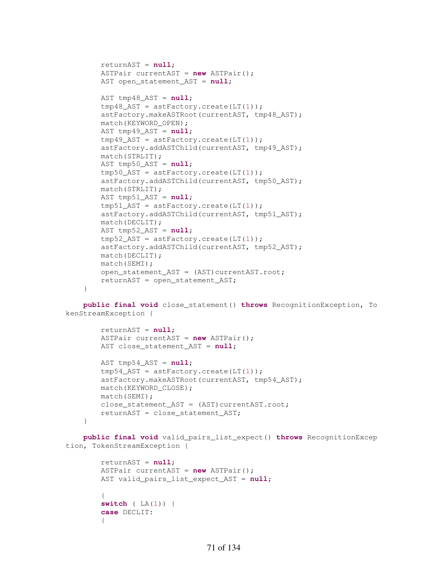```
 returnAST = null; 
 ASTPair currentAST = new ASTPair(); 
AST open statement AST = null;
AST tmp48_AST = null;tmp48AST = astFactory.create(LT(1)); astFactory.makeASTRoot(currentAST, tmp48_AST); 
 match(KEYWORD_OPEN); 
 AST tmp49_AST = null; 
tmp49\_AST = astFactory.create(LT(1)); astFactory.addASTChild(currentAST, tmp49_AST); 
 match(STRLIT); 
 AST tmp50_AST = null; 
 tmp50_AST = astFactory.create(LT(1)); 
 astFactory.addASTChild(currentAST, tmp50_AST); 
 match(STRLIT); 
 AST tmp51_AST = null; 
tmp51\_AST = astFactory.create(LT(1)); astFactory.addASTChild(currentAST, tmp51_AST); 
 match(DECLIT); 
 AST tmp52_AST = null; 
tmp52_AST = astFactory.create(LT(1)); astFactory.addASTChild(currentAST, tmp52_AST); 
 match(DECLIT); 
 match(SEMI); 
open statement AST = (AST)currentAST.root;
 returnAST = open_statement_AST;
```
 **public final void** close\_statement() **throws** RecognitionException, To kenStreamException {

}

**case** DECLIT:

 $\{$ 

```
 returnAST = null; 
         ASTPair currentAST = new ASTPair(); 
         AST close_statement_AST = null; 
         AST tmp54_AST = null; 
        tmp54\_AST = astFactory.create(LT(1)); astFactory.makeASTRoot(currentAST, tmp54_AST); 
         match(KEYWORD_CLOSE); 
         match(SEMI); 
       close_statement_AST = (AST)currentAST.root;
        returnAST = close_statement_AST; 
     } 
    public final void valid_pairs_list_expect() throws RecognitionExcep
tion, TokenStreamException { 
         returnAST = null; 
         ASTPair currentAST = new ASTPair(); 
         AST valid_pairs_list_expect_AST = null; 
\{ switch ( LA(1)) {
```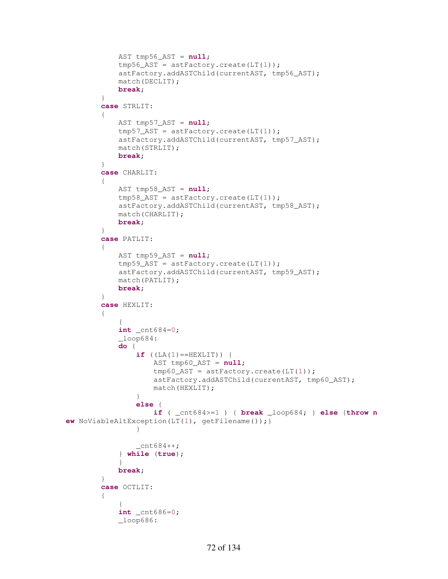```
 AST tmp56_AST = null; 
              tmp56\_AST = astFactory.create(LT(1)); astFactory.addASTChild(currentAST, tmp56_AST); 
               match(DECLIT); 
               break; 
           } 
          case STRLIT: 
\{ AST tmp57_AST = null; 
              tmp57_AST = astFactory.create(LT(1)); astFactory.addASTChild(currentAST, tmp57_AST); 
               match(STRLIT); 
               break; 
           } 
          case CHARLIT: 
\{ AST tmp58_AST = null; 
              tmp58\_AST = astFactory.create(LT(1)); astFactory.addASTChild(currentAST, tmp58_AST); 
               match(CHARLIT); 
               break; 
           } 
          case PATLIT: 
\{ AST tmp59_AST = null; 
              tmp59\_AST = astFactory.create(LT(1)); astFactory.addASTChild(currentAST, tmp59_AST); 
               match(PATLIT); 
               break; 
 } 
          case HEXLIT: 
           { 
\{ int _cnt684=0; 
              \angleloop684:
               do { 
                   if (LA(1) == HEXLIT) {
                         AST tmp60_AST = null; 
                        tmp60_AST = astFactory.create(LT(1));astFactory.addASTChild(currentAST, tmp60_AST); 
                        match(HEXLIT); 
 } 
                   else { 
                         if ( _cnt684>=1 ) { break _loop684; } else {throw n
ew NoViableAltException(LT(1), getFilename());} 
 } 
                   cnt684++; } while (true); 
 } 
               break; 
           } 
          case OCTLIT: 
           { 
\{ int _cnt686=0; 
              \lnot \lnot \lnot \lnot \lnot \lnot \lnot \lnot \lnot \lnot \lnot \lnot \lnot \lnot \lnot \lnot \lnot \lnot \lnot \lnot \lnot \lnot \lnot \lnot \lnot \lnot \lnot \lnot \lnot \lnot \lnot \lnot \lnot \lnot \lnot \lnot \lnot
```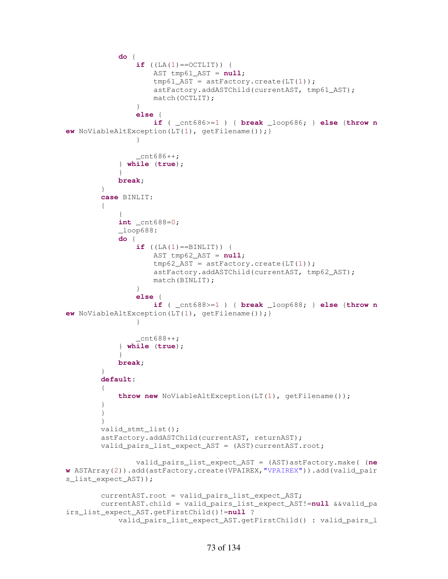```
 do { 
                if ((LA(1)==OCTLIT)) {
                    AST tmp61_AST = null; 
                    tmp61_AST = astFactory.create(LT(1)); 
                    astFactory.addASTChild(currentAST, tmp61_AST); 
                   match(OCTLIT); 
 } 
                else { 
                     if ( _cnt686>=1 ) { break _loop686; } else {throw n
ew NoViableAltException(LT(1), getFilename());} 
 } 
                _{\text{cnt686++}}; } while (true); 
 } 
            break; 
 } 
         case BINLIT: 
         { 
\{ int _cnt688=0; 
            \lceil \text{loop688} \rceil do { 
                if (LA(1) == BINLIT) {
                    AST tmp62_AST = null; 
                    tmp62_AST = astFactory.create(LT(1));astFactory.addASTChild(currentAST, tmp62_AST); 
                   match(BINLIT); 
 } 
                else { 
                     if ( _cnt688>=1 ) { break _loop688; } else {throw n
ew NoViableAltException(LT(1), getFilename());} 
 } 
                _{\text{cnt688++}}; } while (true); 
 } 
            break; 
 } 
         default: 
\{ throw new NoViableAltException(LT(1), getFilename()); 
 } 
         } 
         } 
        valid_stmt_list(); 
        astFactory.addASTChild(currentAST, returnAST); 
         valid_pairs_list_expect_AST = (AST)currentAST.root;
                 valid_pairs_list_expect_AST = (AST)astFactory.make( (ne
w ASTArray(2)).add(astFactory.create(VPAIREX,"VPAIREX")).add(valid_pair
s_list_expect_AST)); 
        currentAST.root = valid pairs list expect AST;
        currentAST.child = valid_pairs_list_expect_AST!=null &&valid_pa
irs_list_expect_AST.getFirstChild()!=null ? 
             valid_pairs_list_expect_AST.getFirstChild() : valid_pairs_l
```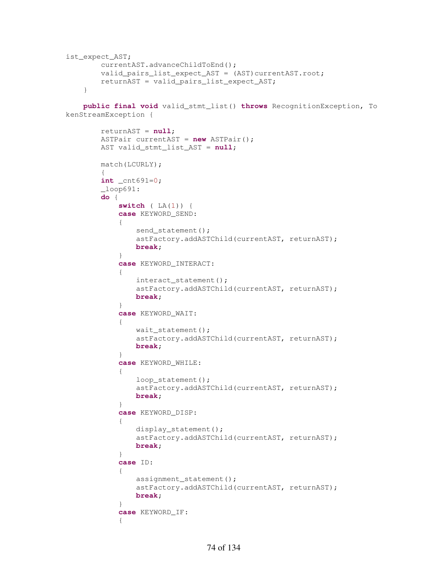```
ist_expect_AST; 
         currentAST.advanceChildToEnd(); 
         valid_pairs_list_expect_AST = (AST)currentAST.root;
         returnAST = valid_pairs_list_expect_AST; 
     }
```
 **public final void** valid\_stmt\_list() **throws** RecognitionException, To kenStreamException {

```
 returnAST = null; 
        ASTPair currentAST = new ASTPair(); 
       AST valid_stmt_list_AST = null; 
       match(LCURLY); 
        { 
        int _cnt691=0; 
       \lnotloop691:
        do { 
           switch ( LA(1)) { 
           case KEYWORD_SEND: 
\{send_statement();
               astFactory.addASTChild(currentAST, returnAST); 
              break; 
 } 
           case KEYWORD_INTERACT: 
\{ interact_statement(); 
               astFactory.addASTChild(currentAST, returnAST); 
              break; 
 } 
           case KEYWORD_WAIT: 
\{ wait_statement(); 
               astFactory.addASTChild(currentAST, returnAST); 
              break; 
 } 
           case KEYWORD_WHILE: 
\{ loop_statement(); 
               astFactory.addASTChild(currentAST, returnAST); 
              break; 
 } 
           case KEYWORD_DISP: 
\{ display_statement(); 
               astFactory.addASTChild(currentAST, returnAST); 
              break; 
 } 
           case ID: 
\{ assignment_statement(); 
               astFactory.addASTChild(currentAST, returnAST); 
              break; 
 } 
           case KEYWORD_IF: 
\{
```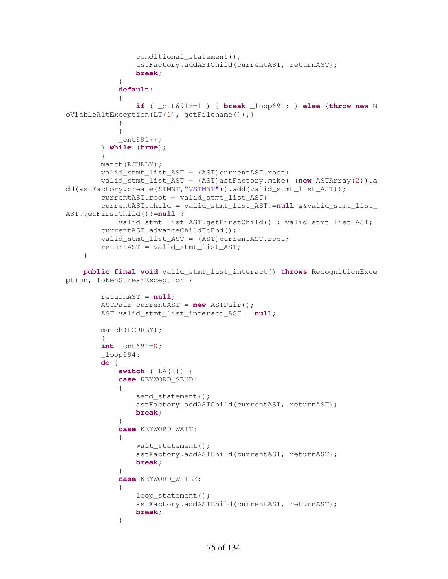```
conditional_statement();
                astFactory.addASTChild(currentAST, returnAST); 
               break; 
 } 
            default: 
\{ if ( _cnt691>=1 ) { break _loop691; } else {throw new N
oViableAltException(LT(1), getFilename());} 
 } 
 } 
           _{\text{cnt691++}}; } while (true); 
        } 
        match(RCURLY); 
        valid_stmt_list_AST = (AST)currentAST.root; 
        valid_stmt_list_AST = (AST)astFactory.make( (new ASTArray(2)).a
dd(astFactory.create(STMNT,"VSTMNT")).add(valid_stmt_list_AST)); 
        currentAST.root = valid_stmt_list_AST; 
         currentAST.child = valid_stmt_list_AST!=null &&valid_stmt_list_
AST.getFirstChild()!=null ? 
           valid stmt list AST.getFirstChild() : valid stmt list AST;
        currentAST.advanceChildToEnd(); 
        valid_stmt_list_AST = (AST)currentAST.root; 
        returnAST = valid_stmt_list_AST; 
     } 
    public final void valid_stmt_list_interact() throws RecognitionExce
ption, TokenStreamException { 
        returnAST = null; 
        ASTPair currentAST = new ASTPair(); 
        AST valid_stmt_list_interact_AST = null; 
        match(LCURLY); 
\{ int _cnt694=0; 
         _loop694: 
         do { 
            switch ( LA(1)) { 
            case KEYWORD_SEND: 
\{send_statement();
                astFactory.addASTChild(currentAST, returnAST); 
               break; 
 } 
            case KEYWORD_WAIT: 
\{wait statement();
                astFactory.addASTChild(currentAST, returnAST); 
               break; 
 } 
            case KEYWORD_WHILE: 
\{loop_statement();
                astFactory.addASTChild(currentAST, returnAST); 
               break; 
 }
```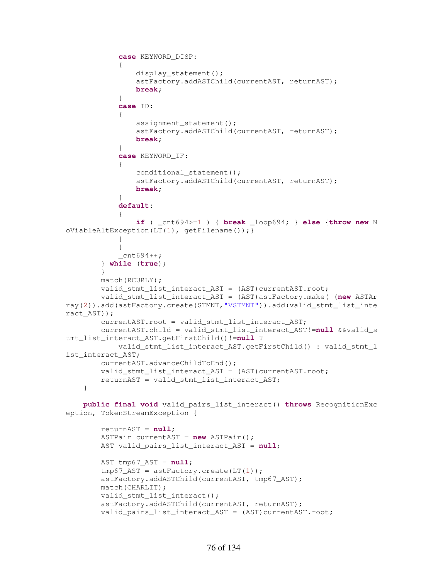```
 case KEYWORD_DISP: 
\{ display_statement(); 
                astFactory.addASTChild(currentAST, returnAST); 
               break; 
 } 
            case ID: 
\{ assignment_statement(); 
                astFactory.addASTChild(currentAST, returnAST); 
               break; 
 } 
            case KEYWORD_IF: 
\{conditional_statement();
                astFactory.addASTChild(currentAST, returnAST); 
               break; 
 } 
            default: 
\{ if ( _cnt694>=1 ) { break _loop694; } else {throw new N
oViableAltException(LT(1), qetFilename());
 } 
 } 
           _ _cnt694++;
        } while (true); 
        } 
        match(RCURLY); 
        valid_stmt_list_interact_AST = (AST)currentAST.root; 
        valid_stmt_list_interact_AST = (AST)astFactory.make( (new ASTAr
ray(2)).add(astFactory.create(STMNT,"VSTMNT")).add(valid_stmt_list_inte
ract_AST)); 
        currentAST.root = valid_stmt_list_interact_AST; 
        currentAST.child = valid_stmt_list_interact_AST!=null &&valid_s
tmt_list_interact_AST.getFirstChild()!=null ? 
            valid_stmt_list_interact_AST.getFirstChild() : valid_stmt_l
ist_interact_AST;
        currentAST.advanceChildToEnd(); 
       valid_stmt_list_interact_AST = (AST)currentAST.root;
        returnAST = valid_stmt_list_interact_AST; 
    } 
    public final void valid_pairs_list_interact() throws RecognitionExc
eption, TokenStreamException { 
        returnAST = null; 
        ASTPair currentAST = new ASTPair(); 
       AST valid pairs list interact AST = null;
        AST tmp67_AST = null; 
       tmp67_AST = astFactory.create(LT(1)); astFactory.addASTChild(currentAST, tmp67_AST); 
        match(CHARLIT); 
       valid stmt list interact();
        astFactory.addASTChild(currentAST, returnAST); 
        valid_pairs_list_interact_AST = (AST)currentAST.root;
```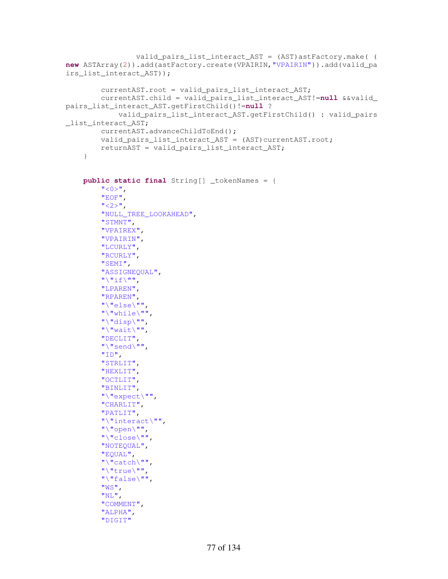```
 valid_pairs_list_interact_AST = (AST)astFactory.make( (
new ASTArray(2)).add(astFactory.create(VPAIRIN,"VPAIRIN")).add(valid_pa
irs_list_interact_AST)); 
          currentAST.root = valid_pairs_list_interact_AST; 
          currentAST.child = valid_pairs_list_interact_AST!=null &&valid_
pairs_list_interact_AST.getFirstChild()!=null ? 
               valid_pairs_list_interact_AST.getFirstChild() : valid_pairs
_list_interact_AST; 
          currentAST.advanceChildToEnd(); 
          valid_pairs_list_interact_AST = (AST)currentAST.root; 
          returnAST = valid_pairs_list_interact_AST; 
      } 
     public static final String[] _tokenNames = { 
          " < 0 >",
           "EOF", 
         ^{\prime\prime} <2>^{\prime\prime},
          "NULL_TREE_LOOKAHEAD", 
          "STMNT", 
          "VPAIREX", 
          "VPAIRIN", 
          "LCURLY", 
          "RCURLY", 
          "SEMI", 
          "ASSIGNEQUAL", 
         "\n\sqrt{\mathbf{n}}\text{if}\n\sqrt{\mathbf{n}}\text{ in},
          "LPAREN", 
          "RPAREN", 
           "\"else\"", 
          "\"while\"", 
          "\"disp\"", 
         "\"wait\"",
          "DECLIT", 
           "\"send\"", 
           "ID", 
           "STRLIT", 
          "HEXLIT", 
          "OCTLIT", 
          "BINLIT", 
           "\"expect\"", 
          "CHARLIT", 
           "PATLIT", 
           "\"interact\"", 
         "\"open\"",
          "\"close\"", 
          "NOTEQUAL", 
          "EQUAL", 
           "\"catch\"", 
           "\"true\"", 
           "\"false\"", 
          "WS", 
         "NL",
          "COMMENT", 
          "ALPHA", 
          "DIGIT"
```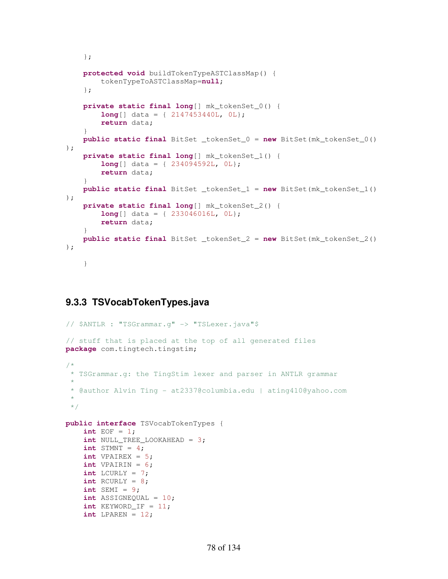```
 }; 
     protected void buildTokenTypeASTClassMap() { 
         tokenTypeToASTClassMap=null; 
     }; 
     private static final long[] mk_tokenSet_0() { 
         long[] data = { 2147453440L, 0L}; 
         return data; 
 } 
     public static final BitSet _tokenSet_0 = new BitSet(mk_tokenSet_0()
); 
     private static final long[] mk_tokenSet_1() { 
         long[] data = { 234094592L, 0L}; 
         return data; 
 } 
     public static final BitSet _tokenSet_1 = new BitSet(mk_tokenSet_1()
); 
     private static final long[] mk_tokenSet_2() { 
         long[] data = { 233046016L, 0L}; 
         return data; 
     } 
     public static final BitSet _tokenSet_2 = new BitSet(mk_tokenSet_2()
); 
     }
```
### **9.3.3 TSVocabTokenTypes.java**

```
// $ANTLR : "TSGrammar.g" -> "TSLexer.java"$
// stuff that is placed at the top of all generated files
package com.tingtech.tingstim; 
/*
 * TSGrammar.g: the TingStim lexer and parser in ANTLR grammar
 * 
 * @author Alvin Ting - at2337@columbia.edu | ating410@yahoo.com
 * 
 */
public interface TSVocabTokenTypes { 
     int EOF = 1; 
     int NULL_TREE_LOOKAHEAD = 3; 
    int STMNT = 4;
    int VPAIREX = 5;
     int VPAIRIN = 6; 
    int LCURLY = 7;
    int RCURLY = 8;
    int SEMI = 9;
     int ASSIGNEQUAL = 10; 
    int KEYWORDIF = 11;
    int LPAREN = 12;
```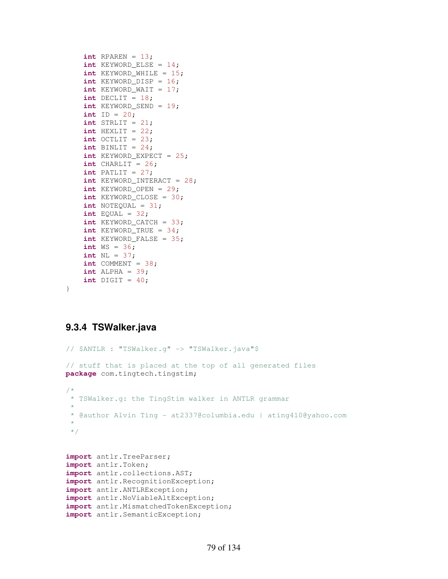```
int RPAREN = 13;
 int KEYWORD_ELSE = 14; 
 int KEYWORD_WHILE = 15; 
int KEYWORD DISP = 16;
 int KEYWORD_WAIT = 17; 
int DECLIT = 18;
 int KEYWORD_SEND = 19; 
int ID = 20; int STRLIT = 21; 
int HEXLIT = 22;
int OCTLIT = 23;
int BINLIT = 24;
 int KEYWORD_EXPECT = 25; 
int CHARLIT = 26;
 int PATLIT = 27; 
 int KEYWORD_INTERACT = 28; 
 int KEYWORD_OPEN = 29; 
 int KEYWORD_CLOSE = 30; 
 int NOTEQUAL = 31; 
int EQUAL = 32;int KEYWORD CATCH = 33;
 int KEYWORD_TRUE = 34; 
int KEYWORD FALSE = 35;
 int WS = 36; 
 int NL = 37; 
int COMMENT = 38;
int ALPHA = 39;
int DIGIT = 40;
```
#### **9.3.4 TSWalker.java**

}

```
// $ANTLR : "TSWalker.g" -> "TSWalker.java"$
// stuff that is placed at the top of all generated files
package com.tingtech.tingstim; 
/*
 * TSWalker.g: the TingStim walker in ANTLR grammar
 * 
 * @author Alvin Ting - at2337@columbia.edu | ating410@yahoo.com
 * 
 */
import antlr.TreeParser; 
import antlr.Token; 
import antlr.collections.AST; 
import antlr.RecognitionException; 
import antlr.ANTLRException; 
import antlr.NoViableAltException; 
import antlr.MismatchedTokenException; 
import antlr.SemanticException;
```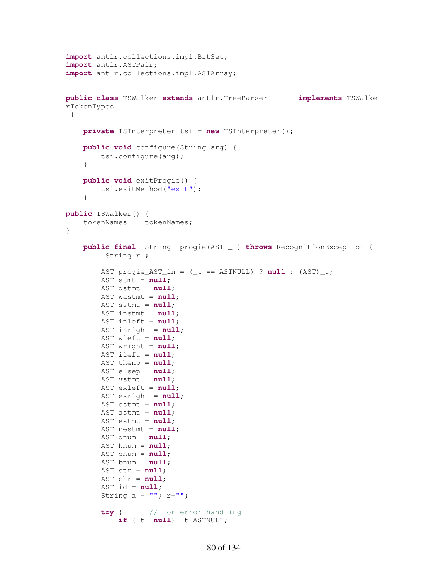```
import antlr.collections.impl.BitSet; 
import antlr.ASTPair; 
import antlr.collections.impl.ASTArray; 
public class TSWalker extends antlr.TreeParser implements TSWalke
rTokenTypes 
 { 
     private TSInterpreter tsi = new TSInterpreter(); 
     public void configure(String arg) { 
         tsi.configure(arg); 
     } 
     public void exitProgie() { 
         tsi.exitMethod("exit"); 
     } 
public TSWalker() { 
    tokenNames = tokenNames;
} 
     public final String progie(AST _t) throws RecognitionException { 
          String r ;
         AST progie_AST_in = (_t == ASTNULL) ? null : (AST)_t; 
         AST stmt = null; 
         AST dstmt = null; 
         AST wastmt = null; 
         AST sstmt = null; 
         AST instmt = null; 
         AST inleft = null; 
         AST inright = null; 
         AST wleft = null; 
         AST wright = null; 
         AST ileft = null; 
         AST thenp = null; 
         AST elsep = null; 
         AST vstmt = null; 
         AST exleft = null; 
         AST exright = null; 
         AST ostmt = null; 
         AST astmt = null; 
         AST estmt = null; 
         AST nestmt = null; 
         AST dnum = null; 
         AST hnum = null; 
         AST onum = null; 
         AST bnum = null; 
         AST str = null; 
         AST chr = null; 
         AST id = null; 
        String a = \cdots; r = \cdots;
         try { // for error handling
              if (_t==null) _t=ASTNULL;
```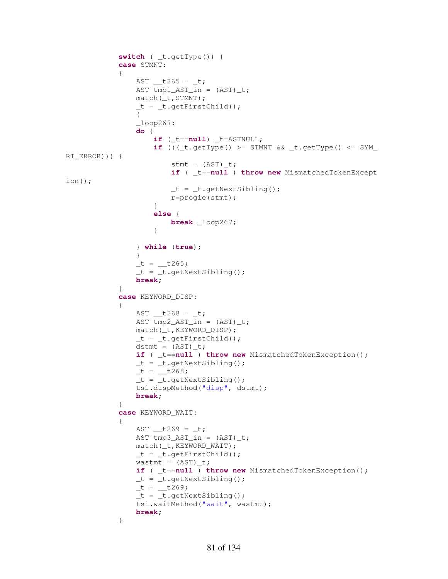```
 switch ( _t.getType()) { 
             case STMNT: 
\{AST _{\text{+}} t265 = _{\text{+}}t;
               AST tmp1_AST_in = (AST)_t;match(t,STMNT);
                _t = t \cdot getFirstChild();
 { 
                \_\loop267:
                do { 
                     if (_t==null) _t=ASTNULL; 
                    if ((\text{t.getType})) \geq \text{STMNT} & \text{t.getType}) \leq \text{SYM}RT_ERROR))) { 
                       stmt = (AST) _t;if ( _t==null ) throw new MismatchedTokenExcept
ion(); 
                       _t = _t.getNextSibling();
                       r=progie(stmt); 
 } 
                    else { 
                        break _loop267; 
 } 
                 } while (true); 
 } 
               _t = \_t 265;_t = t \cdot getNextSibling();
               break; 
 } 
             case KEYWORD_DISP: 
\{AST _{\text{1268}} = _{\text{1}};
                AST tmp2_AST_in = (AST)_t; 
                match(_t,KEYWORD_DISP); 
               _t = _t.getFirstChild();
               dstmt = (AST) _t;if ( _t==null ) throw new MismatchedTokenException(); 
               _t = _t.getNextSibling();
               _t = _t268;_t = t \cdot qetNextSibling();
                tsi.dispMethod("disp", dstmt); 
               break; 
 } 
             case KEYWORD_WAIT: 
\{AST _t269 = t;AST tmp3_AST_in = (AST)_t; match(_t,KEYWORD_WAIT); 
               _t = _t.getFirstChild();
                wastmt = (AST) _t;if ( _t==null ) throw new MismatchedTokenException(); 
               _t = t \cdot getNextSibling();
               -t =-t269;t = t.\text{qetNextSibling});
                tsi.waitMethod("wait", wastmt); 
               break; 
 }
```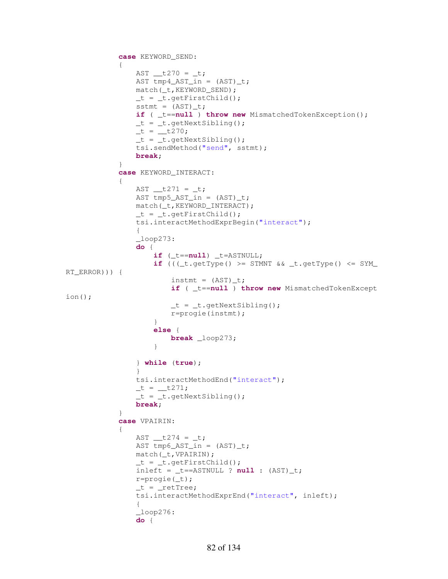```
 case KEYWORD_SEND: 
\{AST _t270 = t; AST tmp4_AST_in = (AST)_t; 
                match(_t,KEYWORD_SEND); 
                t = t.\text{qetFirstChild}();
                sstmt = (AST)_t;
                if ( _t==null ) throw new MismatchedTokenException(); 
                _t = t \cdot getNextSibling();
                _t = _t270;_t = t \cdot getNextSibling();
                 tsi.sendMethod("send", sstmt); 
                break; 
             } 
             case KEYWORD_INTERACT: 
\{AST _t271 = t;AST tmp5_AST_in = (AST)_t; match(_t,KEYWORD_INTERACT); 
                _t = t \cdot qetFirstChild();
                 tsi.interactMethodExprBegin("interact"); 
 { 
                \_\loop273:
                do { 
                     if (_t==null) _t=ASTNULL; 
                    if ((\text{t.getType})) \geq \text{STMNT} & \text{t.getType}) \leq \text{SYM}RT_ERROR))) { 
                        instant = (AST)_t;if ( _t==null ) throw new MismatchedTokenExcept
ion(); 
                        _t = _t.getNextSibling();
                        r=progie(instmt); 
 } 
                    else { 
                         break _loop273; 
 } 
                 } while (true); 
 } 
                 tsi.interactMethodEnd("interact"); 
                _t = \_t271;_t = _t.getNextSibling();
                break; 
 } 
             case VPAIRIN: 
\{AST _{\text{+}} t274 = _{\text{+}}t;
                AST tmp6_AST_in = (AST)_t; match(_t,VPAIRIN); 
                _t = t \cdot getFirstChild();
                inleft = _t=ASTNULL ? null : (AST) _t; r=progie(_t); 
                _t = \text{__return} tsi.interactMethodExprEnd("interact", inleft); 
 { 
                \_\text{loop276}:
                do {
```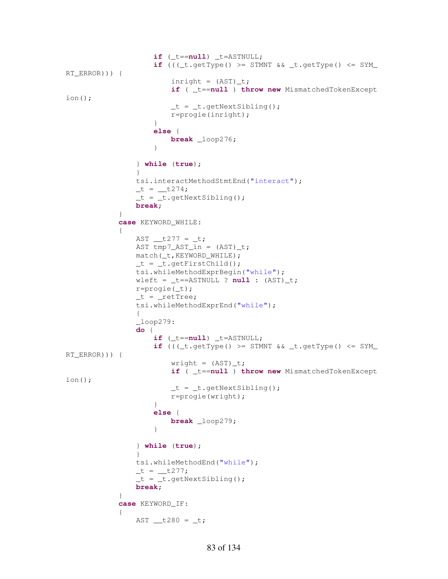```
 if (_t==null) _t=ASTNULL; 
                   if ((\text{t.getType})) \geq \text{STMNT } \& \text{t.getType() } \leq \text{SYM}RT_ERROR))) { 
                       inright = (AST) _t;if ( _t==null ) throw new MismatchedTokenExcept
ion(); 
                       _t = t \cdot \text{getNextSibling}r=progie(inright); 
 } 
                   else { 
                        break _loop276; 
 } 
                } while (true); 
 } 
                tsi.interactMethodStmtEnd("interact"); 
               _t = _t274;_t = t \cdot getNextSibling();
               break; 
 } 
            case KEYWORD_WHILE: 
\{AST _t277 = t;AST tmp7_AST_in = (AST)_t; match(_t,KEYWORD_WHILE); 
               _t = t \cdot getFirstChild();
                tsi.whileMethodExprBegin("while"); 
               wleft = _t = = = ASTNULL ? null : (AST) _t; r=progie(_t); 
               _t = \text{__return} tsi.whileMethodExprEnd("while"); 
 { 
               \_\text{loop279}:
               do { 
                    if (_t==null) _t=ASTNULL; 
                   if ((\text{t.getType})) \geq STMNT \& \text{t-test}RT_ERROR))) { 
                       writeht = (AST)_t;if ( _t==null ) throw new MismatchedTokenExcept
ion(); 
                       _t = t \cdot \text{getNextSibling}r=progie(wright); 
 } 
                   else { 
                        break _loop279; 
 } 
                } while (true); 
 } 
                tsi.whileMethodEnd("while"); 
               _t = _t277;_t = t \cdot \text{getNextSibling}break; 
 } 
            case KEYWORD_IF: 
\{AST \_t280 = t;
```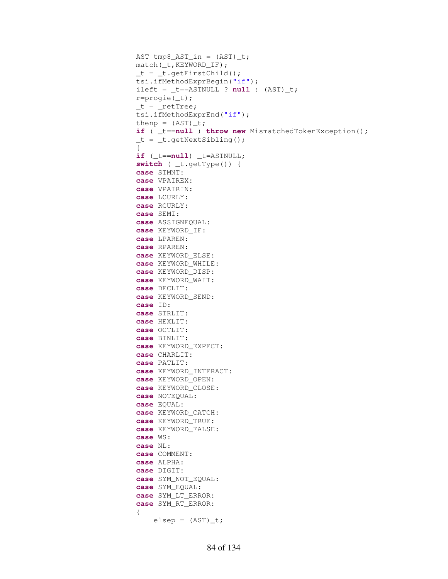```
AST tmp8_AST_in = (AST)_t; match(_t,KEYWORD_IF); 
                 _t = t \cdot getFirstChild();
                  tsi.ifMethodExprBegin("if"); 
                 ileft = _t = = = ASTNULL ? null : (AST) _t; r=progie(_t); 
                  _t = \text{__return} tsi.ifMethodExprEnd("if"); 
                 thenp = (AST) _t;if ( _t==null ) throw new MismatchedTokenException(); 
                 _t = t \cdot getNextSibling();
 { 
                 if (_t==null) _t=ASTNULL; 
                  switch ( _t.getType()) { 
                  case STMNT: 
                  case VPAIREX: 
                  case VPAIRIN: 
                  case LCURLY: 
                  case RCURLY: 
                  case SEMI: 
                  case ASSIGNEQUAL: 
                  case KEYWORD_IF: 
                  case LPAREN: 
                  case RPAREN: 
                  case KEYWORD_ELSE: 
                  case KEYWORD_WHILE: 
                  case KEYWORD_DISP: 
                  case KEYWORD_WAIT: 
                  case DECLIT: 
                  case KEYWORD_SEND: 
                  case ID: 
                  case STRLIT: 
                  case HEXLIT: 
                  case OCTLIT: 
                  case BINLIT: 
                  case KEYWORD_EXPECT: 
                  case CHARLIT: 
                  case PATLIT: 
                  case KEYWORD_INTERACT: 
                  case KEYWORD_OPEN: 
                  case KEYWORD_CLOSE: 
                  case NOTEQUAL: 
                  case EQUAL: 
                  case KEYWORD_CATCH: 
                  case KEYWORD_TRUE: 
                  case KEYWORD_FALSE: 
                  case WS: 
                  case NL: 
                  case COMMENT: 
                  case ALPHA: 
                  case DIGIT: 
                  case SYM_NOT_EQUAL: 
                  case SYM_EQUAL: 
                  case SYM_LT_ERROR: 
                  case SYM_RT_ERROR: 
 { 
                      \text{elsep} = (\text{AST}) \_\text{t};
```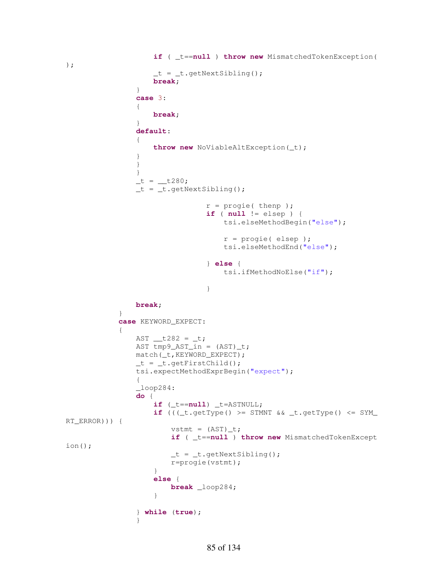```
 if ( _t==null ) throw new MismatchedTokenException(
); 
                 _t = _t.getNextSibling();
                 break; 
 } 
              case 3: 
 { 
                  break; 
 } 
              default: 
 { 
                  throw new NoViableAltException(_t); 
 } 
 } 
 } 
              _t = _t280;_t = t \cdot getNextSibling();
                            r = \text{progie}( \text{ then } p);
                            if ( null != elsep ) { 
                                 tsi.elseMethodBegin("else"); 
                                r = progie( elsep ); 
                                tsi.elseMethodEnd("else"); 
                             } else { 
                                tsi.ifMethodNoElse("if"); 
 } 
               break; 
 } 
           case KEYWORD_EXPECT: 
\{AST _{\text{+}} t282 = _{\text{+}}t;
              AST tmp9_AST_in = (AST)_t;match(t,KEYWORD EXPECT);
              _t = _t.getFirstChild();
               tsi.expectMethodExprBegin("expect"); 
 { 
              \_\loop284:
              do { 
                  if (_t==null) _t=ASTNULL; 
                 if (((-t.\text{getType})) \geq STMNT \& (t.\text{getType})) \leq STMRT_ERROR))) { 
                     vstmt = (AST) _t;if ( _t==null ) throw new MismatchedTokenExcept
ion(); 
                     _t = _t.getNextSibling();
                     r=progie(vstmt); 
 } 
                 else { 
                      break _loop284; 
 } 
               } while (true); 
 }
```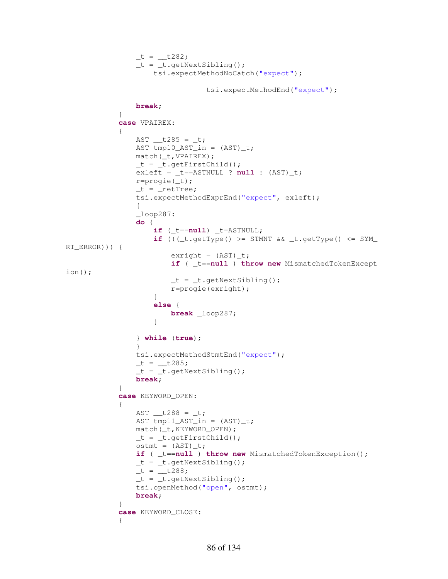```
_t = \_t 282;-t = t.getNextSibling();
                     tsi.expectMethodNoCatch("expect"); 
                                 tsi.expectMethodEnd("expect"); 
                 break; 
 } 
             case VPAIREX: 
\{AST _{\text{+}}t285 = _{\text{+}}t;
               AST tmp10_AST_in = (AST)_t; match(_t,VPAIREX); 
                _t = _t.getFirstChild();
                exleft = _t==ASTNULL ? null : (AST)_t; 
                 r=progie(_t); 
                _t = \text{__return} tsi.expectMethodExprEnd("expect", exleft); 
 { 
                \angleloop287:
                do { 
                     if (_t==null) _t=ASTNULL; 
                    if (((-t.\text{getType})) \geq STMNT \& (t.\text{getType})) \leq STMRT_ERROR))) { 
                        exright = (AST)_t;if ( _t==null ) throw new MismatchedTokenExcept
ion(); 
                        _t = t \cdot \text{getNextSibling}r=progie(exright); 
 } 
                    else { 
                        break _loop287; 
 } 
                 } while (true); 
 } 
                 tsi.expectMethodStmtEnd("expect"); 
                _t = \_t285;_t = _t.getNextSibling();
               break; 
 } 
             case KEYWORD_OPEN: 
\{AST _{\text{+}} t288 = _{\text{+}}t;
               AST tmp11_AST_in = (AST)_t; match(_t,KEYWORD_OPEN); 
                _t = t \cdot getFirstChild();
                ostmt = (AST) _t;if ( _t==null ) throw new MismatchedTokenException(); 
                _t = t \cdot getNextSibling();
                _t = _t288;_t = t \cdot getNextSibling();
                tsi.openMethod("open", ostmt); 
               break; 
 } 
             case KEYWORD_CLOSE: 
\{
```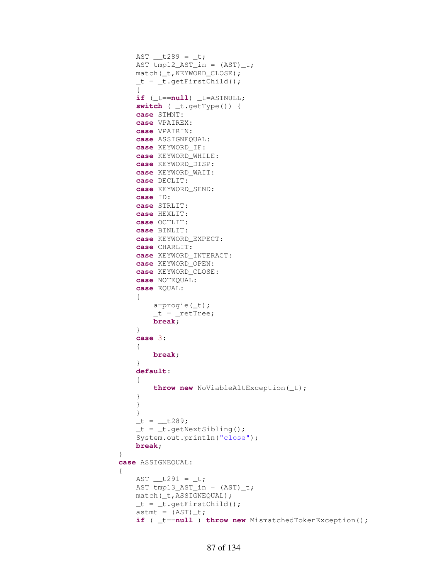```
AST _{\text{+}} t289 = _{\text{+}}t;
               AST tmp12_AST_in = (AST)_t; match(_t,KEYWORD_CLOSE); 
               _t = t \cdot getFirstChild();
 { 
               if (_t==null) _t=ASTNULL; 
                switch ( _t.getType()) { 
                case STMNT: 
                case VPAIREX: 
                case VPAIRIN: 
                case ASSIGNEQUAL: 
                case KEYWORD_IF: 
                case KEYWORD_WHILE: 
                case KEYWORD_DISP: 
                case KEYWORD_WAIT: 
                case DECLIT: 
                case KEYWORD_SEND: 
                case ID: 
                case STRLIT: 
               case HEXLIT: 
               case OCTLIT: 
                case BINLIT: 
                case KEYWORD_EXPECT: 
                case CHARLIT: 
                case KEYWORD_INTERACT: 
                case KEYWORD_OPEN: 
                case KEYWORD_CLOSE: 
                case NOTEQUAL: 
                case EQUAL: 
 { 
                   a=progie(_t); 
                  _t = \text{__return}break; 
 } 
               case 3: 
 { 
                   break; 
 } 
               default: 
 { 
                   throw new NoViableAltException(_t); 
 } 
 } 
 } 
              _t = \_t289;_t = _t.getNextSibling();
                System.out.println("close"); 
              break; 
 } 
            case ASSIGNEQUAL: 
\{AST \_t291 = t;AST tmp13_AST_in = (AST)_t;match(t,ASSIGNEQUAL);
               _t = t \cdot getFirstChild();
               astm = (AST) _t;if ( _t==null ) throw new MismatchedTokenException();
```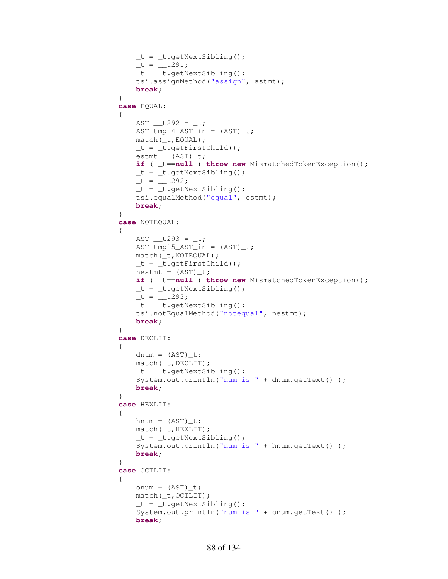```
_t = _t.getNextSibling();
               -t = -t291;_t = t \cdot \text{getNextSibling} tsi.assignMethod("assign", astmt); 
               break; 
 } 
            case EQUAL: 
\{AST _{\text{+}} t292 = _{\text{+}}t;
               AST tmp14_AST_in = (AST)_t; match(_t,EQUAL); 
               _t = _t.getFirstChild();
               estmt = (AST)_t;if ( _t==null ) throw new MismatchedTokenException(); 
               _t = _t.getNextSibling();
               _t = \_t 292;_t = _t.getNextSibling();
                tsi.equalMethod("equal", estmt); 
               break; 
 } 
            case NOTEQUAL: 
\{AST \_t293 = t;AST tmp15_AST_in = (AST)_t; match(_t,NOTEQUAL); 
               _t = t \cdot getFirstChild();
               nestmt = (AST) t;
               if ( _t==null ) throw new MismatchedTokenException(); 
               _t = t \cdot getNextSibling();
               -t = \pm 293;_t = t \cdot getNextSibling();
                tsi.notEqualMethod("notequal", nestmt); 
               break; 
 } 
            case DECLIT: 
\{dnum = (AST) t;
                match(_t,DECLIT); 
               _t = t \cdot qetNextSibling();
                System.out.println("num is " + dnum.getText() ); 
               break; 
 } 
            case HEXLIT: 
\{hnum = (AST)_t;
                match(_t,HEXLIT); 
               _t = t \cdot \text{getNextSibling} System.out.println("num is " + hnum.getText() ); 
               break; 
 } 
            case OCTLIT: 
\{onum = (AST) _t; match(_t,OCTLIT); 
               _t = t \cdot \text{getNextSibling} System.out.println("num is " + onum.getText() ); 
               break;
```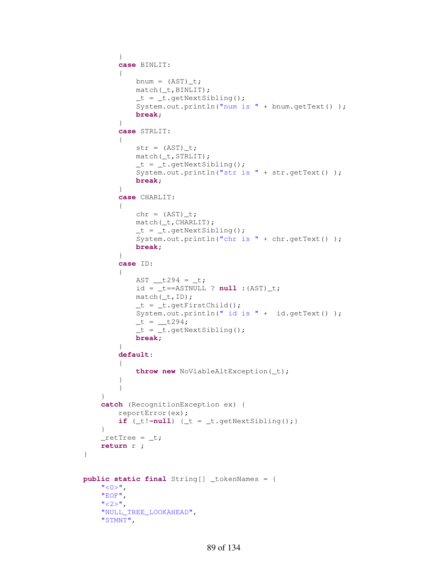```
 } 
            case BINLIT: 
\{bnum = (AST)_t;
                match(_t,BINLIT); 
               _t = t \cdot getNextSibling();
                System.out.println("num is " + bnum.getText() ); 
               break; 
 } 
            case STRLIT: 
\{str = (AST) _t; match(_t,STRLIT); 
               _t = _t.getNextSibling();
                System.out.println("str is " + str.getText() ); 
               break; 
 } 
            case CHARLIT: 
\{chr = (AST) _t; match(_t,CHARLIT); 
               _t = t \cdot qetNextSibling();
                System.out.println("chr is " + chr.getText() ); 
               break; 
 } 
            case ID: 
\{AST \_t294 = t;id = _t = -ASTMULL ? null : (AST) _t;
                match(_t,ID); 
               _t = _t.getFirstChild();
                System.out.println(" id is " + id.getText() ); 
               _t = _t294;_t = t \cdot getNextSibling();
               break; 
 } 
            default: 
\{ throw new NoViableAltException(_t); 
 } 
 } 
        } 
        catch (RecognitionException ex) { 
            reportError(ex); 
           if (\_t!=\texttt{null}) \{\_t = \_t.\text{getNextSibling();}\} } 
       retTree = _t;
        return r ; 
    public static final String[] _tokenNames = { 
       " < 0 >",
        "EOF", 
       "<2>",
        "NULL_TREE_LOOKAHEAD", 
        "STMNT",
```
}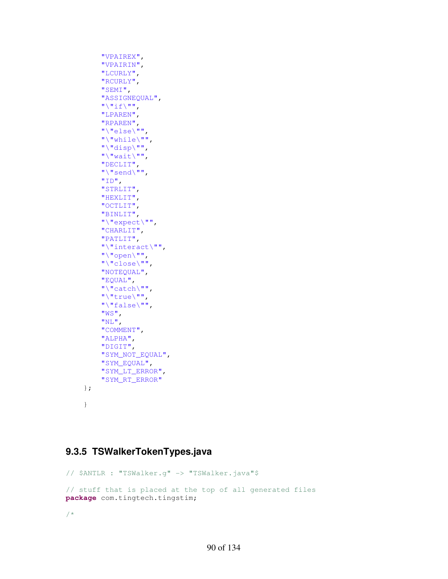```
 "VPAIREX", 
      "VPAIRIN", 
      "LCURLY", 
      "RCURLY", 
      "SEMI", 
      "ASSIGNEQUAL", 
     \sqrt{\frac{m}{1}} "LPAREN", 
      "RPAREN", 
      "\"else\"", 
      "\"while\"", 
      "\"disp\"", 
     \mathbf{W} \setminus \mathbf{W}wait\mathbf{W} \setminus \mathbf{W} "DECLIT", 
      "\"send\"", 
     "ID", "STRLIT", 
      "HEXLIT", 
      "OCTLIT", 
      "BINLIT", 
      "\"expect\"", 
      "CHARLIT", 
      "PATLIT", 
      "\"interact\"", 
     "\"open\"",
      "\"close\"", 
      "NOTEQUAL", 
      "EQUAL", 
      "\"catch\"", 
     "\"true\"",
      "\"false\"", 
      "WS", 
     "NL",
      "COMMENT", 
      "ALPHA", 
      "DIGIT", 
      "SYM_NOT_EQUAL", 
      "SYM_EQUAL", 
      "SYM_LT_ERROR", 
      "SYM_RT_ERROR"
 }; 
 }
```
# **9.3.5 TSWalkerTokenTypes.java**

// \$ANTLR : "TSWalker.g" -> "TSWalker.java"\$ // stuff that is placed at the top of all generated files **package** com.tingtech.tingstim;

/\*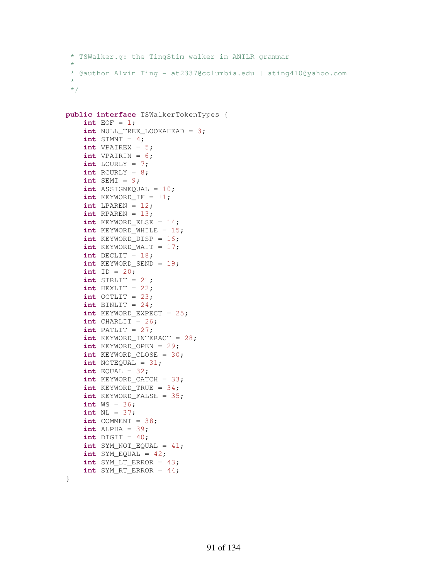```
* TSWalker.g: the TingStim walker in ANTLR grammar
* 
* @author Alvin Ting - at2337@columbia.edu | ating410@yahoo.com
* 
*/
```

```
public interface TSWalkerTokenTypes { 
    int EOF = 1; int NULL_TREE_LOOKAHEAD = 3; 
    int STMNT = 4;
     int VPAIREX = 5; 
     int VPAIRIN = 6; 
    int LCURLY = 7;
     int RCURLY = 8; 
    int SEMI = 9;
     int ASSIGNEQUAL = 10; 
     int KEYWORD_IF = 11; 
    int LPAREN = 12;
    int RPAREN = 13;
     int KEYWORD_ELSE = 14; 
    int KEYWORD WHILE = 15;
     int KEYWORD_DISP = 16; 
    int KEYWORD WAIT = 17;
    int DECLIT = 18;
     int KEYWORD_SEND = 19; 
    int ID = 20; int STRLIT = 21; 
    int HEXLIT = 22;
     int OCTLIT = 23; 
    int BINLIT = 24;
     int KEYWORD_EXPECT = 25; 
    int CHARLIT = 26;
    int PATLIT = 27;
     int KEYWORD_INTERACT = 28; 
     int KEYWORD_OPEN = 29; 
     int KEYWORD_CLOSE = 30; 
    int NOTEQUAL = 31;
    int EQUAL = 32; int KEYWORD_CATCH = 33; 
    int KEYWORD TRUE = 34;
    int KEYWORD FALSE = 35;
     int WS = 36; 
     int NL = 37; 
    int COMMENT = 38;
     int ALPHA = 39; 
     int DIGIT = 40; 
     int SYM_NOT_EQUAL = 41; 
     int SYM_EQUAL = 42; 
     int SYM_LT_ERROR = 43; 
     int SYM_RT_ERROR = 44;
```

```
}
```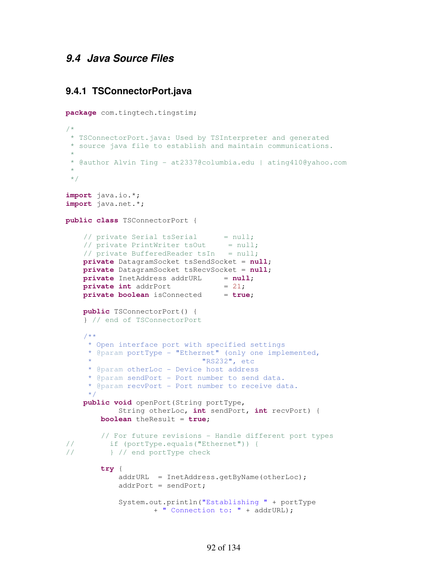### **9.4 Java Source Files**

#### **9.4.1 TSConnectorPort.java**

```
package com.tingtech.tingstim; 
/*
 * TSConnectorPort.java: Used by TSInterpreter and generated
 * source java file to establish and maintain communications.
 * 
 * @author Alvin Ting - at2337@columbia.edu | ating410@yahoo.com
 * 
 */
import java.io.*; 
import java.net.*; 
public class TSConnectorPort { 
\frac{1}{\sqrt{2}} private Serial tsSerial = null;
\frac{1}{\sqrt{2}} private PrintWriter tsOut = null;
    // private BufferedReader t sIn = null; private DatagramSocket tsSendSocket = null; 
     private DatagramSocket tsRecvSocket = null; 
    private InetAddress addrURL = null;private int addrPort = 21;private boolean isConnected = true;
     public TSConnectorPort() { 
     } // end of TSConnectorPort
     /**
      * Open interface port with specified settings
      * @param portType - "Ethernet" (only one implemented, 
                               "RS232", etc
      * @param otherLoc - Device host address
      * @param sendPort - Port number to send data.
      * @param recvPort - Port number to receive data.
      */
     public void openPort(String portType, 
             String otherLoc, int sendPort, int recvPort) { 
         boolean theResult = true; 
         // For future revisions - Handle different port types
// if (portType.equals("Ethernet")) {
// } // end portType check
         try { 
             addrURL = InetAddress.getByName(otherLoc); 
             addrPort = sendPort; 
             System.out.println("Establishing " + portType 
                     + " Connection to: " + addrURL);
```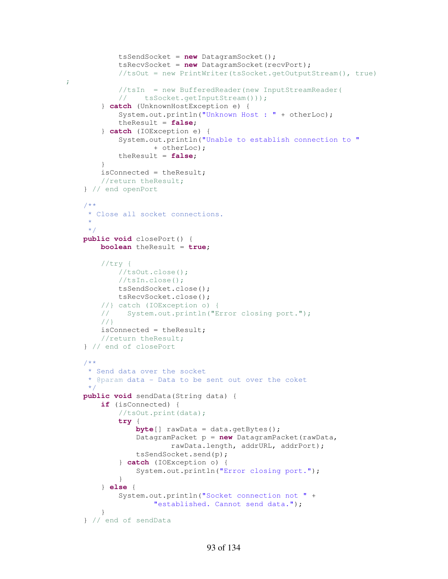```
 tsSendSocket = new DatagramSocket(); 
             tsRecvSocket = new DatagramSocket(recvPort); 
             //tsOut = new PrintWriter(tsSocket.getOutputStream(), true)
;
             //tsIn = new BufferedReader(new InputStreamReader(
             // tsSocket.getInputStream()));
         } catch (UnknownHostException e) { 
             System.out.println("Unknown Host : " + otherLoc); 
             theResult = false; 
         } catch (IOException e) { 
             System.out.println("Unable to establish connection to " 
                     + otherLoc); 
             theResult = false; 
         } 
         isConnected = theResult; 
         //return theResult;
     } // end openPort
     /**
      * Close all socket connections.
\star */
    public void closePort() { 
         boolean theResult = true; 
         //try {
             //tsOut.close();
             //tsIn.close();
             tsSendSocket.close(); 
             tsRecvSocket.close(); 
         //} catch (IOException o) {
         // System.out.println("Error closing port.");
         //}
         isConnected = theResult; 
         //return theResult;
     } // end of closePort
     /**
      * Send data over the socket
      * @param data - Data to be sent out over the coket
      */
    public void sendData(String data) { 
         if (isConnected) { 
             //tsOut.print(data);
             try { 
                 byte[] rawData = data.getBytes(); 
                 DatagramPacket p = new DatagramPacket(rawData, 
                         rawData.length, addrURL, addrPort); 
                 tsSendSocket.send(p); 
             } catch (IOException o) { 
                 System.out.println("Error closing port."); 
 } 
         } else { 
             System.out.println("Socket connection not " + 
                      "established. Cannot send data."); 
 } 
     } // end of sendData
```

```
93 of 134
```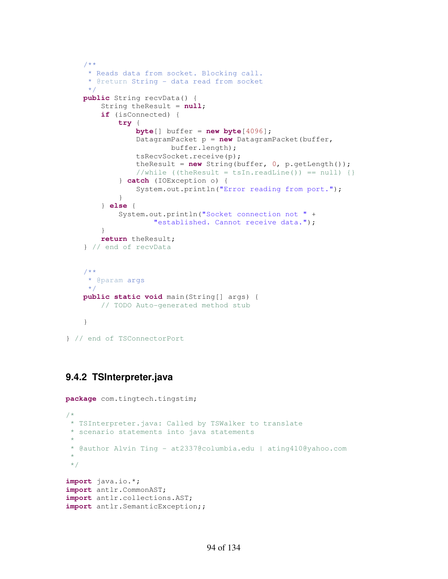```
 /**
     * Reads data from socket. Blocking call.
      * @return String - data read from socket
     */
    public String recvData() { 
         String theResult = null; 
         if (isConnected) { 
             try { 
                 byte[] buffer = new byte[4096]; 
                 DatagramPacket p = new DatagramPacket(buffer, 
                         buffer.length); 
                 tsRecvSocket.receive(p); 
                theResult = new String(buffer, 0, p.getLength());
                //while ((theResult = tsIn.readLine()) == null) {}
             } catch (IOException o) { 
                 System.out.println("Error reading from port."); 
 } 
         } else { 
             System.out.println("Socket connection not " + 
                     "established. Cannot receive data."); 
 } 
         return theResult; 
     } // end of recvData
    /**
     * @param args
      */
    public static void main(String[] args) { 
         // TODO Auto-generated method stub
    }
```
} // end of TSConnectorPort

# **9.4.2 TSInterpreter.java**

```
package com.tingtech.tingstim; 
/*
 * TSInterpreter.java: Called by TSWalker to translate
 * scenario statements into java statements
 * 
 * @author Alvin Ting - at2337@columbia.edu | ating410@yahoo.com
 * 
 */
import java.io.*; 
import antlr.CommonAST; 
import antlr.collections.AST; 
import antlr.SemanticException;;
```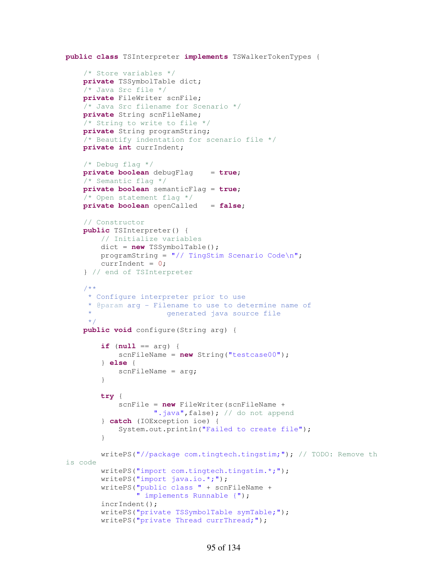```
public class TSInterpreter implements TSWalkerTokenTypes { 
     /* Store variables */
     private TSSymbolTable dict; 
     /* Java Src file */
     private FileWriter scnFile; 
     /* Java Src filename for Scenario */
     private String scnFileName; 
     /* String to write to file */
     private String programString; 
     /* Beautify indentation for scenario file */
     private int currIndent; 
     /* Debug flag */
     private boolean debugFlag = true; 
     /* Semantic flag */
     private boolean semanticFlag = true; 
     /* Open statement flag */
     private boolean openCalled = false; 
     // Constructor
     public TSInterpreter() { 
         // Initialize variables
         dict = new TSSymbolTable(); 
        programString = \sqrt{7} TingStim Scenario Code\n";
        currentndent = 0; } // end of TSInterpreter
     /**
      * Configure interpreter prior to use
      * @param arg - Filename to use to determine name of
                        generated java source file
      */
     public void configure(String arg) { 
         if (null == arg) { 
             scnFileName = new String("testcase00"); 
         } else { 
            scnFileName = arg;
         } 
         try { 
              scnFile = new FileWriter(scnFileName + 
                     ".java", false); // do not append
         } catch (IOException ioe) { 
             System.out.println("Failed to create file"); 
         } 
         writePS("//package com.tingtech.tingstim;"); // TODO: Remove th
is code
         writePS("import com.tingtech.tingstim.*;"); 
         writePS("import java.io.*;"); 
         writePS("public class " + scnFileName + 
                  " implements Runnable {"); 
         incrIndent(); 
         writePS("private TSSymbolTable symTable;"); 
         writePS("private Thread currThread;");
```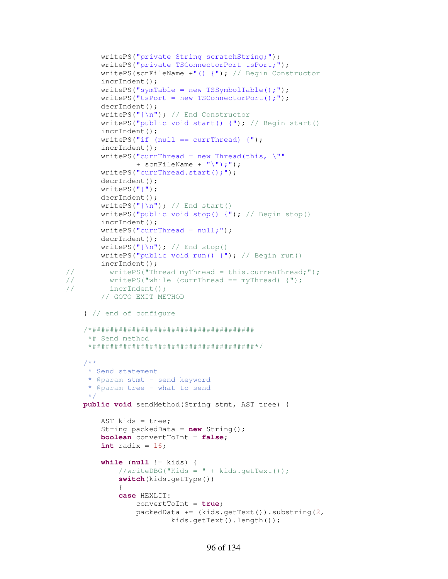```
 writePS("private String scratchString;"); 
         writePS("private TSConnectorPort tsPort;"); 
        writePS(scnFileName +"() {"); // Begin Constructor
         incrIndent(); 
        writePS("symTable = new TSSymbolTable();");
        writePS("tsPort = new TSConnectorPort();");
         decrIndent(); 
         writePS("}\n"); // End Constructor
         writePS("public void start() {"); // Begin start()
         incrIndent(); 
        writePS("if (null == currThread) \{\");
         incrIndent(); 
        writePS("currThread = new Thread(this, \mathcal{N}""
                 + scnFileName + "\n\langle"\n\rangle;"\n;
         writePS("currThread.start();"); 
         decrIndent(); 
         writePS("}"); 
         decrIndent(); 
        writePS("]\n', ' / End start()writePS("public void stop() \{\n"); // Begin stop()
         incrIndent(); 
        writePS("currThread = null;";
         decrIndent(); 
        writePS(")\n"); // End stop()
         writePS("public void run() {"); // Begin run()
         incrIndent(); 
// writePS("Thread myThread = this.currenThread;"); 
// writePS("while (currThread == myThread) {");
// incrIndent();
         // GOTO EXIT METHOD
     } // end of configure
     /*##################################### 
      *# Send method 
      *#####################################*/
     /**
      * Send statement 
      * @param stmt - send keyword
      * @param tree - what to send
      */
     public void sendMethod(String stmt, AST tree) { 
         AST kids = tree; 
         String packedData = new String(); 
         boolean convertToInt = false; 
        int radix = 16;
         while (null != kids) { 
             //writeDBG("Kids = " + kids.getText());
             switch(kids.getType()) 
\{ case HEXLIT: 
                 convertToInt = true; 
                  packedData += (kids.getText()).substring(2, 
                          kids.getText().length());
```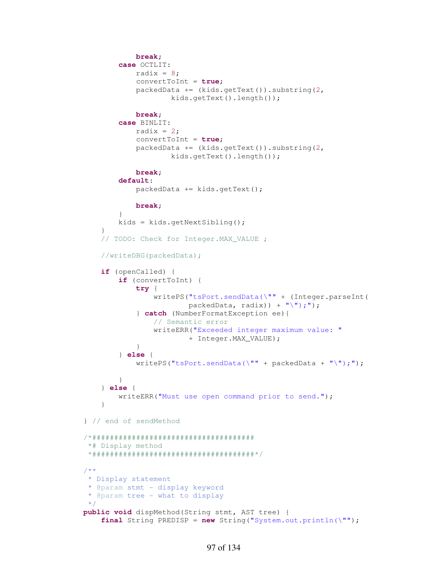```
 break; 
             case OCTLIT: 
                radix = 8;convertToInt = true; 
                packeta += (kids.getText()).substring(2,
                         kids.getText().length()); 
                 break; 
             case BINLIT: 
                radix = 2;
                convertToInt = true; 
                packedData += (kids.getText()).substring(2,
                         kids.getText().length()); 
                 break; 
             default: 
                 packedData += kids.getText(); 
                 break; 
 } 
             kids = kids.getNextSibling(); 
         } 
         // TODO: Check for Integer.MAX_VALUE ;
         //writeDBG(packedData);
        if (openCalled) { 
             if (convertToInt) { 
                 try { 
                     writePS("tsPort.sendData(\"" + (Integer.parseInt( 
                            packedData, radix)) + "\');");
                 } catch (NumberFormatException ee){ 
                     // Semantic error
                    writeERR("Exceeded integer maximum value: " 
                             + Integer.MAX_VALUE); 
 } 
             } else { 
                writePS("tsPort.sendData(\"" + packedData + "\");");
 } 
         } else { 
             writeERR("Must use open command prior to send."); 
 } 
    } // end of sendMethod 
    /*##################################### 
     *# Display method 
     *#####################################*/
     /**
     * Display statement 
     * @param stmt - display keyword
     * @param tree - what to display
     */
    public void dispMethod(String stmt, AST tree) { 
         final String PREDISP = new String("System.out.println(\"");
```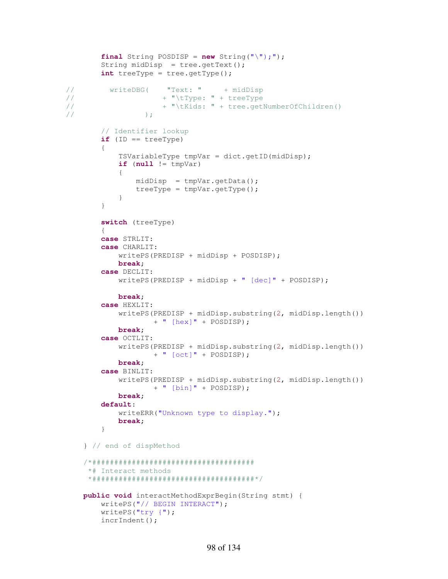```
final String POSDISP = new String("\'"\);");
        String midDisp = tree.getText();
         int treeType = tree.getType(); 
// writeDBG( "Text: " + midDisp
// + "\tType: " + treeType
// + "\tKids: " + tree.getNumberOfChildren() 
\frac{1}{i} );
         // Identifier lookup
         if (ID == treeType) 
\{ TSVariableType tmpVar = dict.getID(midDisp); 
            if (null := tmpVar)\{ midDisp = tmpVar.getData(); 
                treeType = tmpVar.getType(); 
 } 
         } 
         switch (treeType) 
\{ case STRLIT: 
         case CHARLIT: 
             writePS(PREDISP + midDisp + POSDISP); 
            break; 
         case DECLIT: 
             writePS(PREDISP + midDisp + " [dec]" + POSDISP); 
            break; 
         case HEXLIT: 
             writePS(PREDISP + midDisp.substring(2, midDisp.length()) 
                     + " [hex]" + POSDISP); 
            break; 
         case OCTLIT: 
             writePS(PREDISP + midDisp.substring(2, midDisp.length()) 
                     + " [oct]" + POSDISP); 
            break; 
         case BINLIT: 
             writePS(PREDISP + midDisp.substring(2, midDisp.length()) 
                     + " [bin]" + POSDISP); 
            break; 
         default: 
             writeERR("Unknown type to display."); 
            break; 
         } 
     } // end of dispMethod
     /*##################################### 
      *# Interact methods 
      *#####################################*/
     public void interactMethodExprBegin(String stmt) { 
        writePS("// BEGIN INTERACT"); 
        writePS("try {"); 
        incrIndent();
```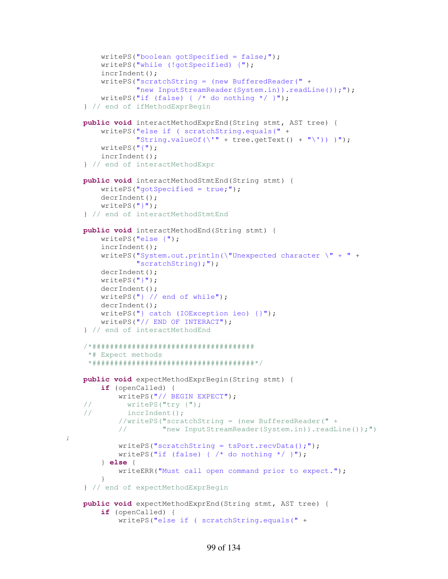```
writePS("boolean gotSpecified = false;");
     writePS("while (!gotSpecified) {"); 
     incrIndent(); 
     writePS("scratchString = (new BufferedReader(" + 
             "new InputStreamReader(System.in)).readLine());");
    writePS("if (false) { /* do nothing */ }");
 } // end of ifMethodExprBegin
 public void interactMethodExprEnd(String stmt, AST tree) { 
     writePS("else if ( scratchString.equals(" + 
             "String.valueOf(\langle ' " + tree.getText() + "\\'') \rangle )";
     writePS("{"); 
     incrIndent(); 
 } // end of interactMethodExpr
 public void interactMethodStmtEnd(String stmt) { 
    writePS("qotSpecialied = true;" decrIndent(); 
     writePS("}"); 
 } // end of interactMethodStmtEnd
 public void interactMethodEnd(String stmt) { 
     writePS("else {"); 
     incrIndent(); 
     writePS("System.out.println(\"Unexpected character \" + " + 
              "scratchString);"); 
     decrIndent(); 
    writePS("] ");
     decrIndent(); 
     writePS("} // end of while"); 
     decrIndent(); 
     writePS("} catch (IOException ieo) {}"); 
     writePS("// END OF INTERACT"); 
 } // end of interactMethodEnd
 /*##################################### 
  *# Expect methods 
  *#####################################*/
 public void expectMethodExprBegin(String stmt) { 
     if (openCalled) { 
         writePS("// BEGIN EXPECT"); 
 // writePS("try {");
 // incrIndent(); 
         //writePS("scratchString = (new BufferedReader(" +
         // "new InputStreamReader(System.in)).readLine());")
        writePS("scratchString = tsport.recvData();");writePS("if (false) { /* do nothing */ }");
     } else { 
         writeERR("Must call open command prior to expect."); 
     } 
 } // end of expectMethodExprBegin
 public void expectMethodExprEnd(String stmt, AST tree) { 
     if (openCalled) { 
         writePS("else if ( scratchString.equals(" +
```

```
99 of 134
```
;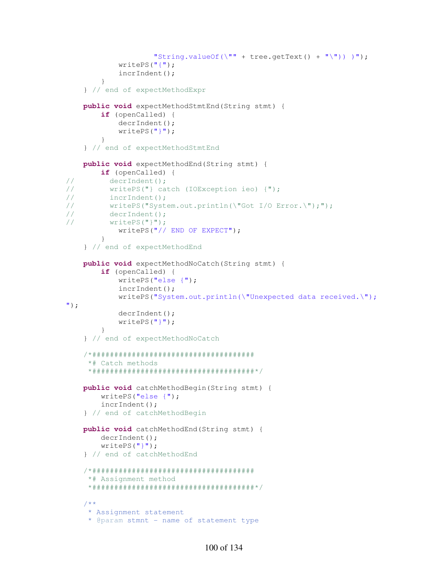```
"String.valueOf(\langle"" + tree.getText() + "\langle")) )");
             writePS("{"); 
             incrIndent(); 
         } 
     } // end of expectMethodExpr
     public void expectMethodStmtEnd(String stmt) { 
         if (openCalled) { 
             decrIndent(); 
             writePS("}"); 
         } 
     } // end of expectMethodStmtEnd
     public void expectMethodEnd(String stmt) { 
         if (openCalled) { 
// decrIndent();
// writePS("} catch (IOException ieo) {");
// incrIndent();
// writePS("System.out.println(\"Got I/O Error.\");");
// decrIndent();
// writePS("}");
             writePS("// END OF EXPECT"); 
         } 
     } // end of expectMethodEnd
     public void expectMethodNoCatch(String stmt) { 
         if (openCalled) { 
             writePS("else {"); 
             incrIndent(); 
             writePS("System.out.println(\"Unexpected data received.\");
"); 
             decrIndent(); 
             writePS("}"); 
         } 
     } // end of expectMethodNoCatch
     /*##################################### 
      *# Catch methods 
      *#####################################*/
     public void catchMethodBegin(String stmt) { 
         writePS("else {"); 
         incrIndent(); 
     } // end of catchMethodBegin
     public void catchMethodEnd(String stmt) { 
         decrIndent(); 
        writePS("]");
     } // end of catchMethodEnd 
     /*##################################### 
      *# Assignment method 
      *#####################################*/
     /**
      * Assignment statement
      * @param stmnt - name of statement type
```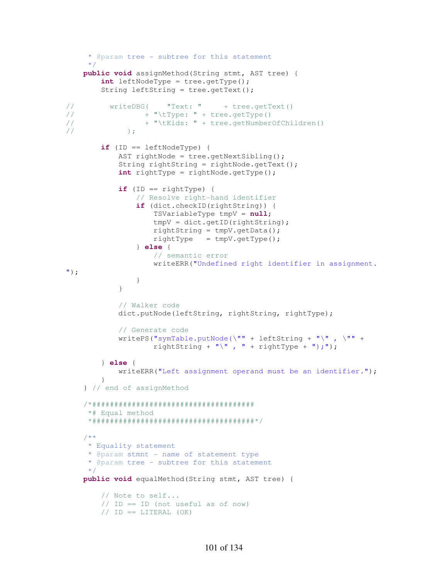```
 * @param tree - subtree for this statement
      */ 
     public void assignMethod(String stmt, AST tree) { 
         int leftNodeType = tree.getType(); 
         String leftString = tree.getText(); 
// writeDBG( "Text: " + tree.getText()
// + "\tType: " + tree.getType()<br>
+ "\tKids: " + tree.getNumber
// + "\tKids: " + tree.getNumberOfChildren()<br>// ):
               );
        if (ID == leftNodeType) {
             AST rightNode = tree.getNextSibling(); 
              String rightString = rightNode.getText(); 
              int rightType = rightNode.getType(); 
             if (ID == rightType) {
                  // Resolve right-hand identifier
                 if (dict.checkID(rightString)) { 
                      TSVariableType tmpV = null; 
                     tmpV = dict.getID(rightString); 
                     rightString = tmpV.getData();
                     rightType = tmpV.getType(); } else { 
                      // semantic error
                     writeERR("Undefined right identifier in assignment.
");
                 } 
 } 
              // Walker code
             dict.putNode(leftString, rightString, rightType);
              // Generate code
             writePS("symTable.putNode(\lvert \cdot \rvert"" + leftString + "\lvert \cdot \rvert", \lvert \cdot \rvert"" +
                     rightString + "\langle", " + rightType + ");");
         } else { 
             writeERR("Left assignment operand must be an identifier."); 
 } 
     } // end of assignMethod
     /*##################################### 
      *# Equal method 
      *#####################################*/
     /**
      * Equality statement
      * @param stmnt - name of statement type
      * @param tree - subtree for this statement
 */ 
     public void equalMethod(String stmt, AST tree) { 
         // Note to self...
        // ID == ID (not useful as of now)// ID == LITERAL (OK)
```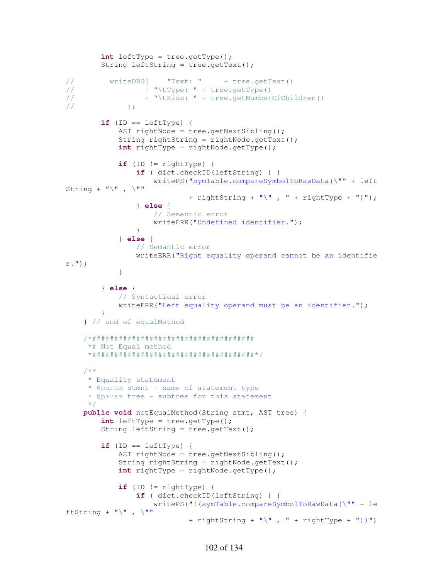```
 int leftType = tree.getType(); 
        String leftString = tree.getText();
// writeDBG( "Text: " + tree.getText()
// + "\tType: " + tree.getType()
// + "\tKids: " + tree.getNumberOfChildren() 
// );
        if (ID == leftType) {
             AST rightNode = tree.getNextSibling(); 
             String rightString = rightNode.getText(); 
             int rightType = rightNode.getType(); 
            if (ID := rightType) {
                 if ( dict.checkID(leftString) ) { 
                     writePS("symTable.compareSymbolToRawData(\"" + left
String + "\n\ \mathbf{w}, \mathbf{w}+ rightString + "\langle", " + rightType + ")");
                 } else { 
                     // Semantic error
                    writeERR("Undefined identifier."); 
 } 
             } else { 
                 // Semantic error
                 writeERR("Right equality operand cannot be an identifie
r."); 
             } 
         } else { 
             // Syntactical error
            writeERR("Left equality operand must be an identifier.");
         } 
     } // end of equalMethod
     /*##################################### 
      *# Not Equal method 
      *#####################################*/
     /**
      * Equality statement
      * @param stmnt - name of statement type
      * @param tree - subtree for this statement
      */
     public void notEqualMethod(String stmt, AST tree) { 
         int leftType = tree.getType(); 
         String leftString = tree.getText(); 
        if (ID == leftType) {
            AST rightNode = tree.getNextSibling();
             String rightString = rightNode.getText(); 
             int rightType = rightNode.getType(); 
             if (ID != rightType) { 
                 if ( dict.checkID(leftString) ) { 
                     writePS("!(symTable.compareSymbolToRawData(\"" + le
ftString + "\" , \""
                             + rightString + "\langle", " + rightType + "))")
```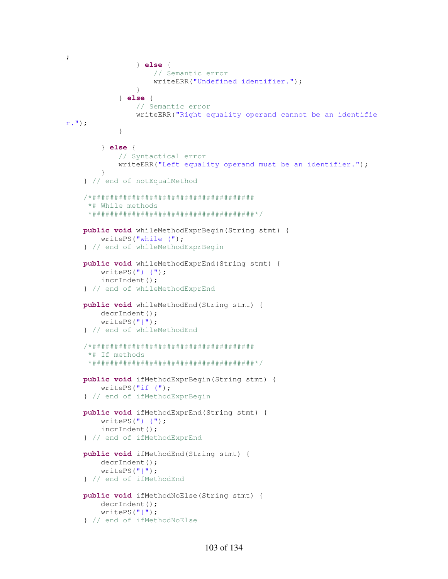```
; 
                 } else { 
                     // Semantic error
                    writeERR("Undefined identifier."); 
 } 
             } else { 
                 // Semantic error
                 writeERR("Right equality operand cannot be an identifie
r."); 
 } 
         } else { 
             // Syntactical error
             writeERR("Left equality operand must be an identifier."); 
 } 
     } // end of notEqualMethod
     /*##################################### 
      *# While methods 
      *#####################################*/
     public void whileMethodExprBegin(String stmt) { 
         writePS("while ("); 
     } // end of whileMethodExprBegin
     public void whileMethodExprEnd(String stmt) { 
        writePS(") {";
         incrIndent(); 
     } // end of whileMethodExprEnd
     public void whileMethodEnd(String stmt) { 
         decrIndent(); 
         writePS("}"); 
     } // end of whileMethodEnd
     /*##################################### 
      *# If methods 
      *#####################################*/
     public void ifMethodExprBegin(String stmt) { 
         writePS("if ("); 
     } // end of ifMethodExprBegin
     public void ifMethodExprEnd(String stmt) { 
        writePS(") { incrIndent(); 
     } // end of ifMethodExprEnd
     public void ifMethodEnd(String stmt) { 
         decrIndent(); 
         writePS("}"); 
     } // end of ifMethodEnd
     public void ifMethodNoElse(String stmt) { 
         decrIndent(); 
        writePS("] ");
     } // end of ifMethodNoElse
```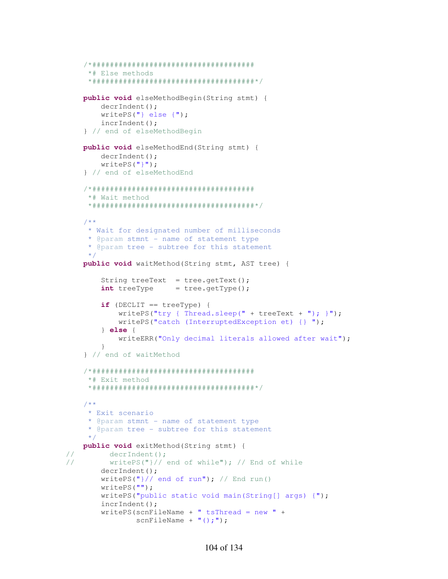```
 /*##################################### 
      *# Else methods 
      *#####################################*/
    public void elseMethodBegin(String stmt) { 
         decrIndent(); 
         writePS("} else {"); 
         incrIndent(); 
     } // end of elseMethodBegin
     public void elseMethodEnd(String stmt) { 
         decrIndent(); 
        writePS("]");
     } // end of elseMethodEnd 
     /*##################################### 
      *# Wait method 
      *#####################################*/
     /**
      * Wait for designated number of milliseconds
      * @param stmnt - name of statement type
      * @param tree - subtree for this statement
      */
    public void waitMethod(String stmt, AST tree) { 
        String treeText = tree.getText();
        int treeType = tree.getType();
         if (DECLIT == treeType) { 
            writePS("try { Thread.sleep(" + treeText + "); }) writePS("catch (InterruptedException et) {} "); 
         } else { 
             writeERR("Only decimal literals allowed after wait"); 
         } 
     } // end of waitMethod
     /*##################################### 
      *# Exit method 
      *#####################################*/
     /**
      * Exit scenario
      * @param stmnt - name of statement type
      * @param tree - subtree for this statement
      */ 
    public void exitMethod(String stmt) { 
// decrIndent();
// writePS("}// end of while"); // End of while 
         decrIndent(); 
        writePS(")/ end of run"); // End run()
         writePS(""); 
         writePS("public static void main(String[] args) {"); 
         incrIndent(); 
         writePS(scnFileName + " tsThread = new " + 
                scnFileName + "(); ");
```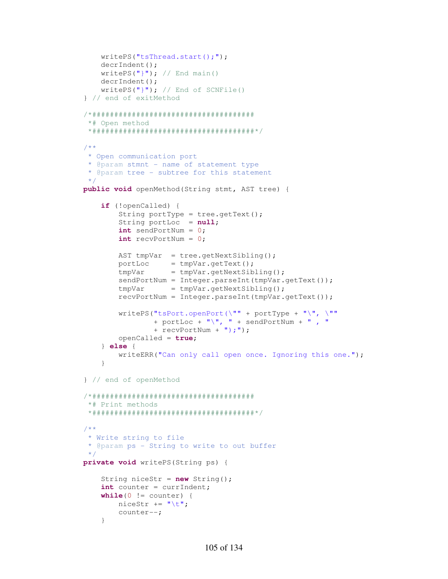```
writePS("tsThread.start();");
        decrIndent(); 
       writePS("]"); // End main()
         decrIndent(); 
       writePS("]"); // End of SCNFile()
     } // end of exitMethod
    /*##################################### 
      *# Open method 
      *#####################################*/
     /**
      * Open communication port
      * @param stmnt - name of statement type
      * @param tree - subtree for this statement
      */
    public void openMethod(String stmt, AST tree) { 
         if (!openCalled) { 
            String portType = tree.getText();
            String portLoc = null; int sendPortNum = 0; 
             int recvPortNum = 0; 
            AST tmpVar = tree.getNextSibling();
            portLoc = tmpVar.getText();tmpVar = tmpVar.getNextSibling();sendPortNum = Integer.parseInt(tmpVar.getText());
            tmpVar = tmpVar.getNextSibling();
             recvPortNum = Integer.parseInt(tmpVar.getText()); 
             writePS("tsPort.openPort(\"" + portType + "\", \"" 
                    + portLoc + "\rangle, "\rangle + sendPortNum + "\rangle, "\rangle + recvPortNum + ");"); 
             openCalled = true; 
         } else { 
            writeERR("Can only call open once. Ignoring this one.");
 } 
    } // end of openMethod
    /*##################################### 
     *# Print methods 
      *#####################################*/
     /**
      * Write string to file
      * @param ps - String to write to out buffer
      */
    private void writePS(String ps) { 
         String niceStr = new String(); 
         int counter = currIndent; 
        while(0 != counter)niceStr += "\t t";
             counter--; 
         }
```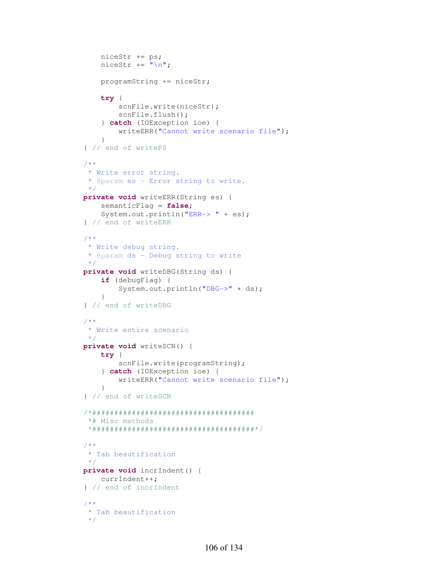```
 niceStr += ps; 
    niceStr += "\n"; programString += niceStr; 
     try { 
         scnFile.write(niceStr); 
         scnFile.flush(); 
     } catch (IOException ioe) { 
         writeERR("Cannot write scenario file"); 
     } 
 } // end of writePS
 /**
  * Write error string.
  * @param es - Error string to write.
  */
 private void writeERR(String es) { 
     semanticFlag = false; 
    System.out.println("ERR-> " + es);
 } // end of writeERR
 /**
  * Write debug string.
  * @param ds - Debug string to write
  */
 private void writeDBG(String ds) { 
     if (debugFlag) { 
         System.out.println("DBG->" + ds); 
     } 
 } // end of writeDBG
 /**
  * Write entire scenario
  */
 private void writeSCN() { 
     try { 
        scnFile.write(programString);
     } catch (IOException ioe) { 
        writeERR("Cannot write scenario file"); 
     } 
 } // end of writeSCN
 /*##################################### 
  *# Misc methods 
  *#####################################*/
 /** 
  * Tab beautification
  */
 private void incrIndent() { 
    currIndent++; 
 } // end of incrIndent
 /**
 * Tab beautification
  */
```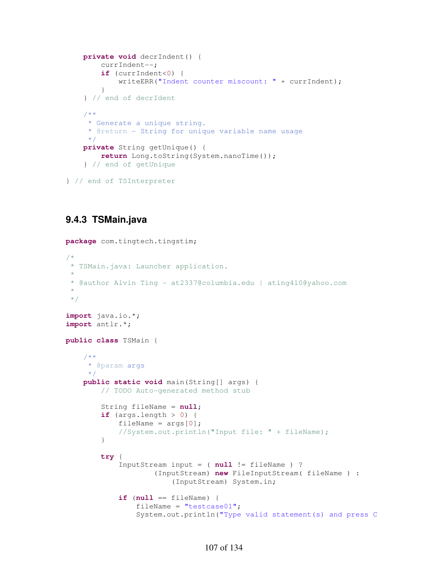```
 private void decrIndent() { 
     currIndent--; 
     if (currIndent<0) { 
         writeERR("Indent counter miscount: " + currIndent); 
     } 
 } // end of decrIdent
 /**
  * Generate a unique string. 
  * @return - String for unique variable name usage
  */
 private String getUnique() { 
     return Long.toString(System.nanoTime()); 
 } // end of getUnique
```

```
} // end of TSInterpreter
```
# **9.4.3 TSMain.java**

```
package com.tingtech.tingstim;
```

```
/*
* TSMain.java: Launcher application.
 * 
 * @author Alvin Ting - at2337@columbia.edu | ating410@yahoo.com
 * 
 */
import java.io.*; 
import antlr.*; 
public class TSMain { 
     /**
      * @param args
      */
     public static void main(String[] args) { 
         // TODO Auto-generated method stub
         String fileName = null; 
        if \text{(args.length)} > 0 {
            fileName = \arg[0];
              //System.out.println("Input file: " + fileName);
          } 
         try { 
              InputStream input = ( null != fileName ) ? 
                       (InputStream) new FileInputStream( fileName ) : 
                           (InputStream) System.in; 
             if (null == fileName) {
                 fileName = "testcase01";
                  System.out.println("Type valid statement(s) and press C
```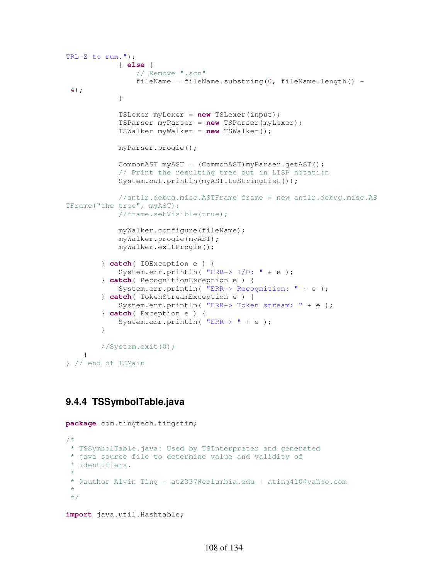```
TRL-Z to run."); 
             } else { 
                  // Remove ".scn"
                 fileName = fileName.substring(0, fileName.length() -
 4); 
             } 
             TSLexer myLexer = new TSLexer(input); 
             TSParser myParser = new TSParser(myLexer); 
             TSWalker myWalker = new TSWalker(); 
             myParser.progie(); 
             CommonAST myAST = (CommonAST)myParser.getAST(); 
             // Print the resulting tree out in LISP notation
             System.out.println(myAST.toStringList()); 
             //antlr.debug.misc.ASTFrame frame = new antlr.debug.misc.AS
TFrame("the tree", myAST);
             //frame.setVisible(true);
             myWalker.configure(fileName); 
             myWalker.progie(myAST); 
             myWalker.exitProgie(); 
         } catch( IOException e ) { 
            System.err.println( "ERR-> I/O: " + e );
         } catch( RecognitionException e ) { 
             System.err.println( "ERR-> Recognition: " + e ); 
         } catch( TokenStreamException e ) { 
             System.err.println( "ERR-> Token stream: " + e ); 
         } catch( Exception e ) { 
            System.err.println( "ERR-> " + e );
         } 
         //System.exit(0);
     } 
} // end of TSMain
```
# **9.4.4 TSSymbolTable.java**

```
package com.tingtech.tingstim; 
/*
* TSSymbolTable.java: Used by TSInterpreter and generated
 * java source file to determine value and validity of
 * identifiers.
 * 
 * @author Alvin Ting - at2337@columbia.edu | ating410@yahoo.com
 * 
 */
```

```
import java.util.Hashtable;
```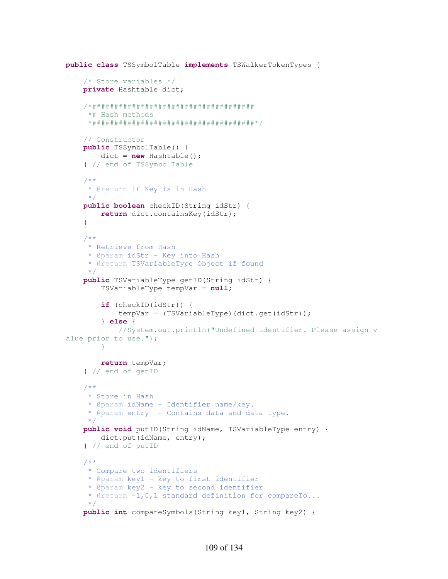```
public class TSSymbolTable implements TSWalkerTokenTypes { 
     /* Store variables */
     private Hashtable dict; 
     /*##################################### 
      *# Hash methods 
      *#####################################*/
     // Constructor
     public TSSymbolTable() { 
         dict = new Hashtable(); 
     } // end of TSSymbolTable
     /**
      * @return if Key is in Hash
      */
     public boolean checkID(String idStr) { 
         return dict.containsKey(idStr); 
     } 
     /**
      * Retrieve from Hash
      * @param idStr - Key into Hash 
      * @return TSVariableType Object if found
      */
     public TSVariableType getID(String idStr) { 
         TSVariableType tempVar = null; 
         if (checkID(idStr)) { 
              tempVar = (TSVariableType)(dict.get(idStr)); 
         } else { 
              //System.out.println("Undefined identifier. Please assign v
alue prior to use.");
         } 
         return tempVar; 
     } // end of getID
     /**
      * Store in Hash
      * @param idName - Identifier name/key.
      * @param entry - Contains data and data type.
      */
     public void putID(String idName, TSVariableType entry) { 
        dict.put(idName, entry);
     } // end of putID
     /**
      * Compare two identifiers
      * @param key1 - key to first identifier
      * @param key2 - key to second identifier
      * @return -1,0,1 standard definition for compareTo...
      */
     public int compareSymbols(String key1, String key2) {
```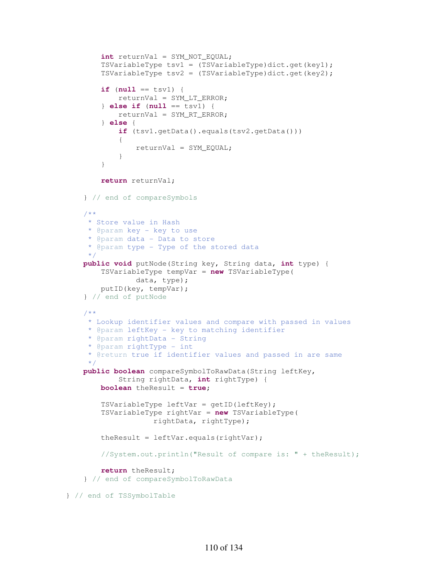```
 int returnVal = SYM_NOT_EQUAL; 
         TSVariableType tsv1 = (TSVariableType)dict.get(key1); 
         TSVariableType tsv2 = (TSVariableType)dict.get(key2); 
        if (null == tsvl) {
             returnVal = SYM_LT_ERROR; 
         } else if (null == tsv1) { 
             returnVal = SYM_RT_ERROR; 
         } else { 
             if (tsv1.getData().equals(tsv2.getData())) 
\{ returnVal = SYM_EQUAL; 
 } 
 } 
         return returnVal; 
     } // end of compareSymbols
     /**
      * Store value in Hash
     * @param key - key to use 
      * @param data - Data to store
      * @param type - Type of the stored data
     */
    public void putNode(String key, String data, int type) { 
         TSVariableType tempVar = new TSVariableType( 
                 data, type); 
         putID(key, tempVar); 
     } // end of putNode
     /**
      * Lookup identifier values and compare with passed in values
     * @param leftKey - key to matching identifier
      * @param rightData - String
     * @param rightType - int
      * @return true if identifier values and passed in are same
 */
    public boolean compareSymbolToRawData(String leftKey, 
             String rightData, int rightType) { 
        boolean theResult = true; 
         TSVariableType leftVar = getID(leftKey); 
         TSVariableType rightVar = new TSVariableType( 
                     rightData, rightType); 
         theResult = leftVar.equals(rightVar); 
         //System.out.println("Result of compare is: " + theResult);
        return theResult; 
     } // end of compareSymbolToRawData
} // end of TSSymbolTable
```

```
110 of 134
```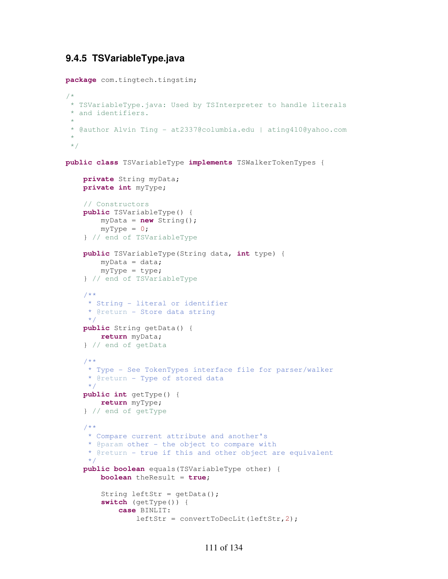# **9.4.5 TSVariableType.java**

**package** com.tingtech.tingstim;

```
/*
 * TSVariableType.java: Used by TSInterpreter to handle literals
 * and identifiers.
 * 
 * @author Alvin Ting - at2337@columbia.edu | ating410@yahoo.com
 * 
 */
public class TSVariableType implements TSWalkerTokenTypes { 
     private String myData; 
     private int myType; 
     // Constructors
     public TSVariableType() { 
         myData = new String(); 
        myType = 0; } // end of TSVariableType
     public TSVariableType(String data, int type) { 
        myData = data; myType = type; 
     } // end of TSVariableType 
     /**
      * String - literal or identifier
      * @return - Store data string
      */
     public String getData() { 
        return myData; 
     } // end of getData
     /**
      * Type - See TokenTypes interface file for parser/walker
      * @return - Type of stored data
 */
     public int getType() { 
        return myType; 
     } // end of getType
     /**
      * Compare current attribute and another's
      * @param other - the object to compare with
      * @return - true if this and other object are equivalent
      */
     public boolean equals(TSVariableType other) { 
         boolean theResult = true; 
        String leftStr = getData();
         switch (getType()) { 
             case BINLIT: 
                 leftStr = convertToDecLit(leftStr,2);
```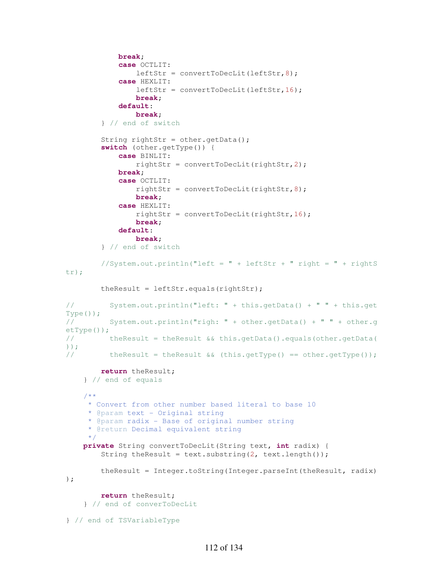```
 break; 
             case OCTLIT: 
                 leftStr = convertToDecLit(leftStr,8); 
             case HEXLIT: 
                 leftStr = convertToDecLit(leftStr,16); 
                break; 
             default: 
                 break; 
         } // end of switch 
        String rightStr = other.getData();
         switch (other.getType()) { 
             case BINLIT: 
                 rightStr = convertToDecLit(rightStr,2); 
             break; 
             case OCTLIT: 
                rightStr = convertToDecLit(rightStr, 8);
                break; 
             case HEXLIT: 
                rightStr = convertToDecLit(rightStr, 16);
                break; 
             default: 
                 break; 
         } // end of switch 
        // System.out.println("left = " + leftStr + " right = " + rightS")tr);
         theResult = leftStr.equals(rightStr); 
// System.out.println("left: " + this.getData() + " " + this.get
Type());
// System.out.println("righ: " + other.getData() + " " + other.g
etType());
// theResult = theResult && this.getData().equals(other.getData(
));
// theResult = theResult &( (this.getType() == other.getType());
         return theResult; 
     } // end of equals
     /**
      * Convert from other number based literal to base 10
      * @param text - Original string
      * @param radix - Base of original number string
      * @return Decimal equivalent string
      */
     private String convertToDecLit(String text, int radix) { 
        String theResult = text.substring(2, text.length());
         theResult = Integer.toString(Integer.parseInt(theResult, radix)
); 
         return theResult; 
     } // end of converToDecLit
} // end of TSVariableType
```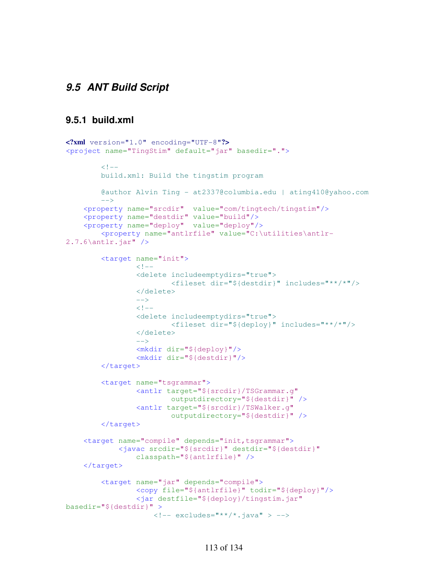# **9.5 ANT Build Script**

## **9.5.1 build.xml**

```
<?xml version="1.0" encoding="UTF-8"?>
<project name="TingStim" default="jar" basedir=".">
        <! -- build.xml: Build the tingstim program
         @author Alvin Ting - at2337@columbia.edu | ating410@yahoo.com
        --\rightarrow <property name="srcdir" value="com/tingtech/tingstim"/>
     <property name="destdir" value="build"/>
     <property name="deploy" value="deploy"/>
         <property name="antlrfile" value="C:\utilities\antlr-
2.7.6\antlr.jar" />
         <target name="init">
                 <! -- <delete includeemptydirs="true">
                         <fileset dir="${destdir}" includes="**/*"/>
                  </delete>
                 --&>\langle!--
                  <delete includeemptydirs="true">
                          <fileset dir="${deploy}" includes="**/*"/>
                  </delete>
                 --&> <mkdir dir="${deploy}"/> 
                  <mkdir dir="${destdir}"/> 
         </target>
         <target name="tsgrammar">
                  <antlr target="${srcdir}/TSGrammar.g" 
                         outputdirectory="${destdir}" />
                  <antlr target="${srcdir}/TSWalker.g" 
                          outputdirectory="${destdir}" />
         </target>
    <target name="compile" depends="init, tsgrammar">
             <javac srcdir="${srcdir}" destdir="${destdir}" 
                  classpath="${antlrfile}" />
     </target>
         <target name="jar" depends="compile">
                  <copy file="${antlrfile}" todir="${deploy}"/>
                  <jar destfile="${deploy}/tingstim.jar"
basedir="${destdir}" >
                     \langle!-- excludes="**/*.java" > -->
```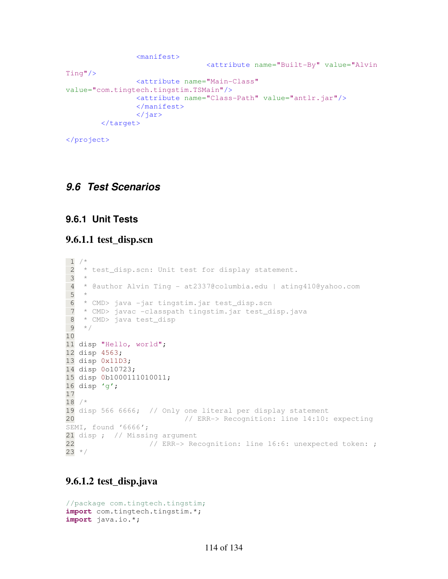```
 <manifest>
                                    <attribute name="Built-By" value="Alvin 
Ting"/>
                  <attribute name="Main-Class"
value="com.tingtech.tingstim.TSMain"/>
                  <attribute name="Class-Path" value="antlr.jar"/>
                  </manifest>
                 \langle/jar\rangle </target>
```
</project>

# **9.6 Test Scenarios**

# **9.6.1 Unit Tests**

#### **9.6.1.1 test\_disp.scn**

```
\frac{1}{2} / \star* test_disp.scn: Unit test for display statement.
  3 * 
 \frac{4}{5} * @author Alvin Ting - at2337@columbia.edu | ating410@yahoo.com
   ^{\star} 6 * CMD> java -jar tingstim.jar test_disp.scn
  7 * CMD> javac -classpath tingstim.jar test_disp.java
  8 * CMD> java test_disp
9 * /10 
11 disp "Hello, world"; 
12 disp 4563; 
13 disp 0x11D3; 
14 disp 0o10723; 
15 disp 0b1000111010011; 
16 disp 'g'; 
17 
18 /*
19 disp 566 6666; // Only one literal per display statement 
20 // ERR-> Recognition: line 14:10: expecting 
SEMI, found '6666';
21 disp ; // Missing argument<br>22 // ERR-> Re
                   // ERR-> Recognition: line 16:6: unexpected token: ;
23 * /
```
# **9.6.1.2 test\_disp.java**

```
//package com.tingtech.tingstim;
import com.tingtech.tingstim.*; 
import java.io.*;
```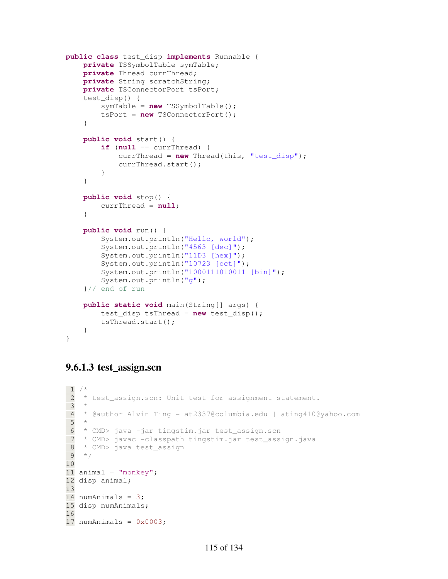```
public class test_disp implements Runnable { 
     private TSSymbolTable symTable; 
     private Thread currThread; 
     private String scratchString; 
     private TSConnectorPort tsPort; 
     test_disp() { 
         symTable = new TSSymbolTable(); 
         tsPort = new TSConnectorPort(); 
     } 
     public void start() { 
         if (null == currThread) { 
              currThread = new Thread(this, "test_disp"); 
              currThread.start(); 
 } 
     } 
     public void stop() { 
         currThread = null; 
     } 
     public void run() { 
         System.out.println("Hello, world"); 
         System.out.println("4563 [dec]"); 
         System.out.println("11D3 [hex]"); 
         System.out.println("10723 [oct]"); 
         System.out.println("1000111010011 [bin]"); 
         System.out.println("g"); 
     }// end of run
     public static void main(String[] args) { 
         test_disp tsThread = new test_disp(); 
         tsThread.start(); 
     } 
}
```
# **9.6.1.3 test\_assign.scn**

```
1 / * 2 * test_assign.scn: Unit test for assignment statement.
  3 * 
  4 * @author Alvin Ting - at2337@columbia.edu | ating410@yahoo.com
  5 * 
  6 * CMD> java -jar tingstim.jar test_assign.scn
  7 * CMD> javac -classpath tingstim.jar test_assign.java
  8 * CMD> java test_assign 
  9 */
10 
11 animal = "monkey";
12 disp animal; 
13 
14 numAnimals = 3;15 disp numAnimals; 
16 
17 numAnimals = 0 \times 0003;
```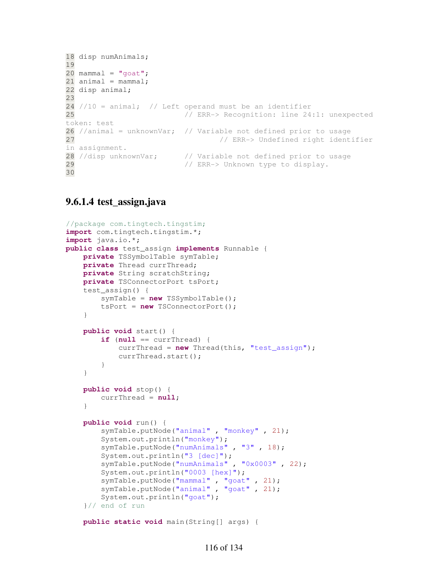```
18 disp numAnimals; 
19 
20 mammal = "goat";
21 animal = mammal;
22 disp animal; 
23 
24 //10 = animal; // Left operand must be an identifier
25 // ERR-> Recognition: line 24:1: unexpected 
token: test
26 //animal = unknownVar; // Variable not defined prior to usage
27 // ERR-> Undefined right identifier
in assignment.
28 //disp unknownVar; // Variable not defined prior to usage
29 // ERR-> Unknown type to display.
30
```
## **9.6.1.4 test\_assign.java**

```
//package com.tingtech.tingstim;
import com.tingtech.tingstim.*; 
import java.io.*; 
public class test_assign implements Runnable { 
     private TSSymbolTable symTable; 
     private Thread currThread; 
     private String scratchString; 
     private TSConnectorPort tsPort; 
     test_assign() { 
         symTable = new TSSymbolTable(); 
         tsPort = new TSConnectorPort(); 
     } 
     public void start() { 
        if (null == currThread) {
             currThread = new Thread(this, "test_assign"); 
             currThread.start(); 
         } 
     } 
     public void stop() { 
         currThread = null; 
     } 
     public void run() { 
        symTable.putNode("animal", "monkey", 21);
         System.out.println("monkey"); 
         symTable.putNode("numAnimals" , "3" , 18); 
        System.out.println("3 [dec]");
         symTable.putNode("numAnimals" , "0x0003" , 22); 
         System.out.println("0003 [hex]"); 
         symTable.putNode("mammal" , "goat" , 21); 
         symTable.putNode("animal" , "goat" , 21); 
         System.out.println("goat"); 
     }// end of run
```
**public static void** main(String[] args) {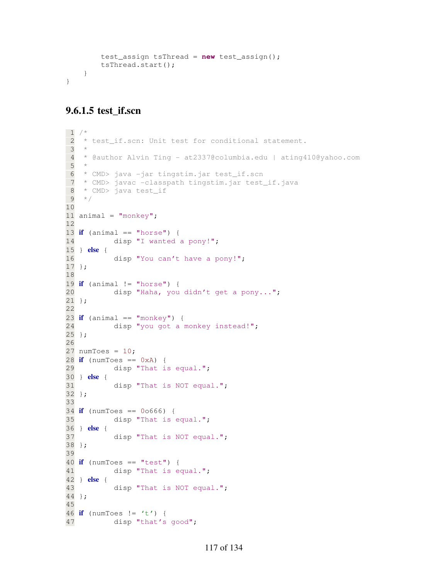```
 test_assign tsThread = new test_assign(); 
         tsThread.start(); 
     } 
}
```
## **9.6.1.5 test\_if.scn**

```
1 / * 2 * test_if.scn: Unit test for conditional statement.
  3 * 
  4 * @author Alvin Ting - at2337@columbia.edu | ating410@yahoo.com
  5 * 
  6 * CMD> java -jar tingstim.jar test_if.scn
  7 * CMD> javac -classpath tingstim.jar test_if.java
  8 * CMD> java test_if 
  9 */
10 
11 animal = "monkey";
12 
13 if (animal == "horse") { 
14 disp "I wanted a pony!";
15 } else { 
16 disp "You can't have a pony!"; 
17 }; 
18 
19 if (animal != "horse") {
20 disp "Haha, you didn't get a pony..."; 
21 }; 
22 
23 if (animal == "monkey") {
24 disp "you got a monkey instead!";
25 }; 
26 
27 numToes = 10;
28 if (numToes == 0xA) { 
29 disp "That is equal."; 
30 } else { 
31 disp "That is NOT equal."; 
32 }; 
33 
34 if (numToes == 0o666) { 
35 disp "That is equal."; 
36 } else { 
37 disp "That is NOT equal."; 
38 }; 
39 
40 if (numToes == "test") { 
41 disp "That is equal."; 
42 } else { 
43 disp "That is NOT equal."; 
44 }; 
45 
46 if (numToes != 't') { 
47 disp "that's good";
```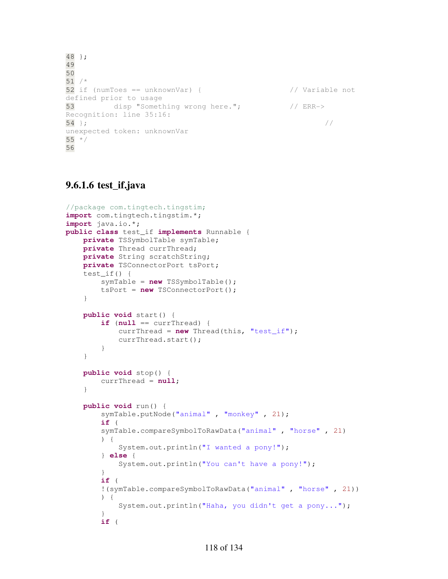```
48 }; 
49 
50 
51 /*
52 if (numToes == unknownVar) { // Variable not 
defined prior to usage
53 disp "Something wrong here."; // ERR-> 
Recognition: line 35:16: 
54 }; \frac{1}{2}unexpected token: unknownVar
55 */
56
```
# **9.6.1.6 test\_if.java**

```
//package com.tingtech.tingstim;
import com.tingtech.tingstim.*; 
import java.io.*; 
public class test_if implements Runnable { 
     private TSSymbolTable symTable; 
     private Thread currThread; 
     private String scratchString; 
     private TSConnectorPort tsPort; 
     test_if() { 
         symTable = new TSSymbolTable(); 
         tsPort = new TSConnectorPort(); 
     } 
     public void start() { 
        if (null == currThread) {
             currThread = new Thread(this, "test_if"); 
             currThread.start(); 
         } 
     } 
     public void stop() { 
         currThread = null; 
     } 
     public void run() { 
        symTable.putNode("animal", "monkey", 21);
         if ( 
         symTable.compareSymbolToRawData("animal" , "horse" , 21) 
         ) { 
              System.out.println("I wanted a pony!"); 
         } else { 
              System.out.println("You can't have a pony!"); 
 } 
         if ( 
         !(symTable.compareSymbolToRawData("animal" , "horse" , 21)) 
         ) { 
              System.out.println("Haha, you didn't get a pony..."); 
         } 
         if (
```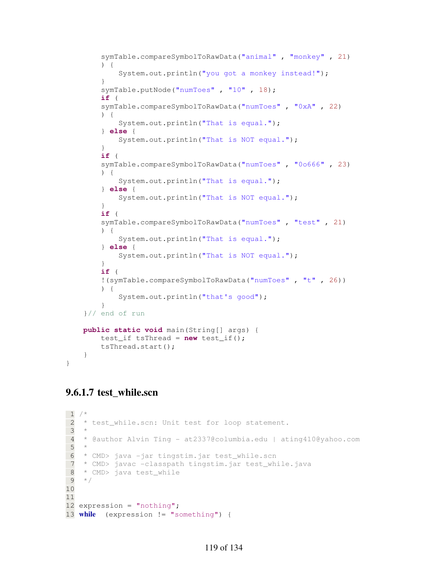```
 symTable.compareSymbolToRawData("animal" , "monkey" , 21) 
         ) { 
            System.out.println("you got a monkey instead!");
         } 
         symTable.putNode("numToes" , "10" , 18); 
         if ( 
         symTable.compareSymbolToRawData("numToes" , "0xA" , 22) 
         ) { 
             System.out.println("That is equal."); 
         } else { 
            System.out.println("That is NOT equal.");
         } 
         if ( 
         symTable.compareSymbolToRawData("numToes" , "0o666" , 23) 
         ) { 
             System.out.println("That is equal."); 
         } else { 
            System.out.println("That is NOT equal.");
         } 
         if ( 
         symTable.compareSymbolToRawData("numToes" , "test" , 21) 
         ) { 
             System.out.println("That is equal."); 
         } else { 
            System.out.println("That is NOT equal.");
         } 
         if ( 
         !(symTable.compareSymbolToRawData("numToes" , "t" , 26)) 
         ) { 
             System.out.println("that's good"); 
 } 
    }// end of run
    public static void main(String[] args) { 
         test_if tsThread = new test_if(); 
         tsThread.start(); 
     }
```
# **9.6.1.7 test\_while.scn**

}

```
1 / * 2 * test_while.scn: Unit test for loop statement.
 3 * 
  4 * @author Alvin Ting - at2337@columbia.edu | ating410@yahoo.com
  5 * 
  6 * CMD> java -jar tingstim.jar test_while.scn
  7 * CMD> javac -classpath tingstim.jar test_while.java
  8 * CMD> java test_while 
 9 */
10 
11 
12 expression = "nothing";
13 while (expression != "something") {
```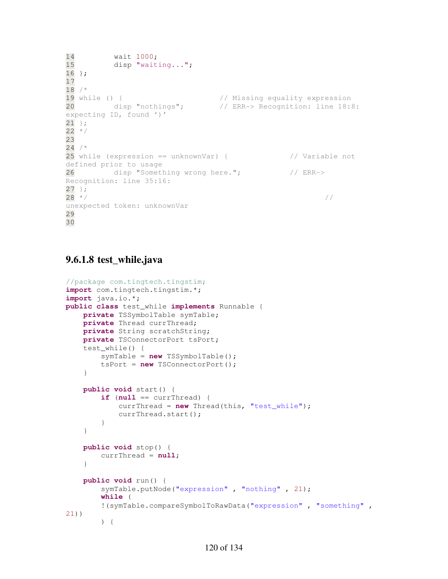```
14 wait 1000;<br>15 disp "wait
        disp "waiting...";
16 }; 
17 
18 /*
19 while () { // Missing equality expression
20 disp "nothings"; // ERR-> Recognition: line 18:8: 
expecting ID, found ')'
21 };
22 * /23 
24 / *25 while (expression == unknownVar) { // Variable not 
defined prior to usage
26 disp "Something wrong here."; // ERR->
Recognition: line 35:16: 
27 };
28 * /unexpected token: unknownVar
29 
30
```
# **9.6.1.8 test\_while.java**

```
//package com.tingtech.tingstim;
import com.tingtech.tingstim.*; 
import java.io.*; 
public class test_while implements Runnable { 
     private TSSymbolTable symTable; 
     private Thread currThread; 
     private String scratchString; 
     private TSConnectorPort tsPort; 
     test_while() { 
         symTable = new TSSymbolTable(); 
         tsPort = new TSConnectorPort(); 
     } 
     public void start() { 
        if (null == currThread) {
              currThread = new Thread(this, "test_while"); 
              currThread.start(); 
         } 
     } 
     public void stop() { 
        currThread = null; 
     } 
     public void run() { 
         symTable.putNode("expression" , "nothing" , 21); 
         while ( 
         !(symTable.compareSymbolToRawData("expression" , "something" , 
21)) 
         ) {
```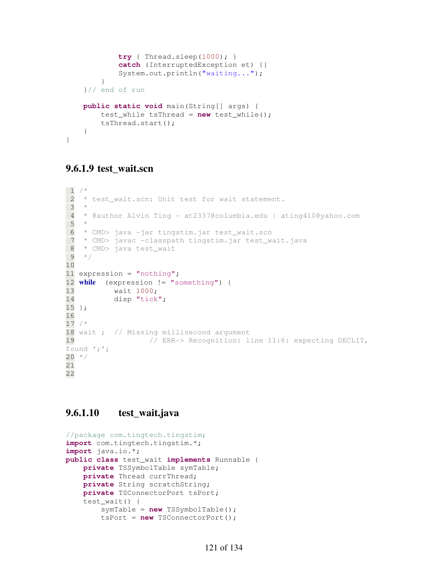```
 try { Thread.sleep(1000); } 
             catch (InterruptedException et) {} 
             System.out.println("waiting..."); 
 } 
     }// end of run
    public static void main(String[] args) { 
         test_while tsThread = new test_while(); 
         tsThread.start(); 
     } 
}
```
# **9.6.1.9 test\_wait.scn**

```
1 / * 2 * test_wait.scn: Unit test for wait statement.
 3 * 
  4 * @author Alvin Ting - at2337@columbia.edu | ating410@yahoo.com
  5 * 
  6 * CMD> java -jar tingstim.jar test_wait.scn
 7 * CMD> javac -classpath tingstim.jar test_wait.java
  8 * CMD> java test_wait 
 9 */
10 
11 expression = "nothing"; 
12 while (expression != "something") { 
13 wait 1000; 
14 disp "tick"; 
15 }; 
16 
17 /*
18 wait ; // Missing millisecond argument
19 // ERR-> Recognition: line 11:6: expecting DECLIT, 
found ';';
20 * /21 
22
```
## **9.6.1.10 test\_wait.java**

```
//package com.tingtech.tingstim;
import com.tingtech.tingstim.*; 
import java.io.*; 
public class test_wait implements Runnable { 
     private TSSymbolTable symTable; 
     private Thread currThread; 
     private String scratchString; 
     private TSConnectorPort tsPort; 
     test_wait() { 
         symTable = new TSSymbolTable(); 
         tsPort = new TSConnectorPort();
```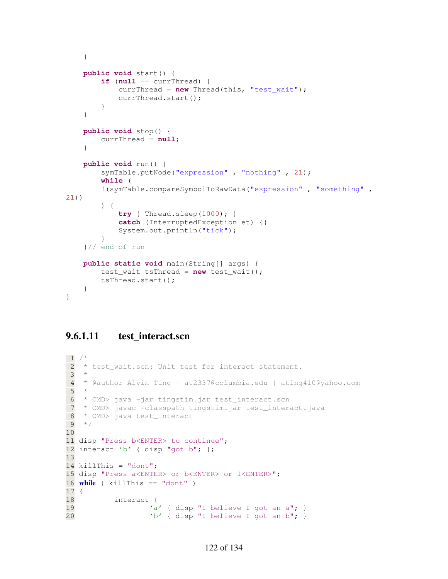```
 } 
     public void start() { 
        if (null == currThread) {
              currThread = new Thread(this, "test_wait"); 
              currThread.start(); 
         } 
     } 
     public void stop() { 
         currThread = null; 
     } 
     public void run() { 
         symTable.putNode("expression" , "nothing" , 21); 
         while ( 
         !(symTable.compareSymbolToRawData("expression" , "something" , 
21)) 
         ) { 
              try { Thread.sleep(1000); } 
              catch (InterruptedException et) {} 
              System.out.println("tick"); 
 } 
     }// end of run
     public static void main(String[] args) { 
         test_wait tsThread = new test_wait(); 
         tsThread.start(); 
     } 
}
```
## **9.6.1.11 test\_interact.scn**

```
1 / * 2 * test_wait.scn: Unit test for interact statement.
  3 * 
  4 * @author Alvin Ting - at2337@columbia.edu | ating410@yahoo.com
  5 * 
  6 * CMD> java -jar tingstim.jar test_interact.scn
 7 * CMD> javac -classpath tingstim.jar test_interact.java
 8 * CMD> java test_interact 
9 * /10 
11 disp "Press b<ENTER> to continue"; 
12 interact 'b' { disp "got b"; };
13 
14 killThis = "dont";15 disp "Press a<ENTER> or b<ENTER> or 1<ENTER>"; 
16 while ( killThis == "dont" ) 
17 { 
18 interact { 
19 a' { disp "I believe I got an a"; }
20 'b' { disp "I believe I got an b"; }
```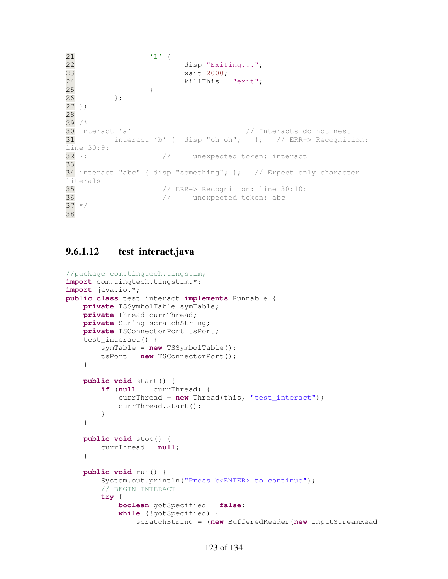```
\frac{21}{22} '1' {
                    disp "Exiting...";
23 wait 2000; 
24 killThis = "exit"; 
25 } 
26 }; 
27 }; 
28 
29 /*
30 interact 'a' // Interacts do not nest
31 interact 'b' { disp "oh oh"; }; // ERR-> Recognition: 
line 30:9:
32 }; \frac{1}{2} // unexpected token: interact
33 
34 interact "abc" { disp "something"; }; // Expect only character 
literals
35 // ERR-> Recognition: line 30:10: 
36 // unexpected token: abc
37 * /38
```
#### **9.6.1.12 test\_interact.java**

```
//package com.tingtech.tingstim;
import com.tingtech.tingstim.*; 
import java.io.*; 
public class test_interact implements Runnable { 
     private TSSymbolTable symTable; 
     private Thread currThread; 
     private String scratchString; 
     private TSConnectorPort tsPort; 
     test_interact() { 
         symTable = new TSSymbolTable(); 
         tsPort = new TSConnectorPort(); 
     } 
     public void start() { 
        if (null == currThread) {
              currThread = new Thread(this, "test_interact"); 
              currThread.start(); 
         } 
     } 
     public void stop() { 
         currThread = null; 
     } 
     public void run() { 
         System.out.println("Press b<ENTER> to continue"); 
         // BEGIN INTERACT
         try { 
              boolean gotSpecified = false; 
              while (!gotSpecified) { 
                  scratchString = (new BufferedReader(new InputStreamRead
```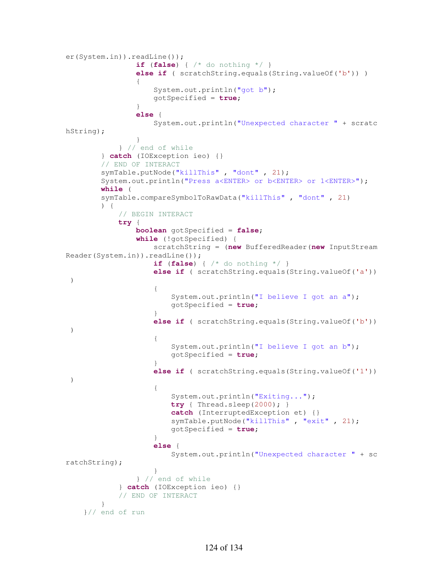```
er(System.in)).readLine()); 
                if (false) { /* do nothing */ } 
               else if ( scratchString.equals(String.valueOf('b')) )
 { 
                    System.out.println("got b"); 
                   gotSpecified = true; 
 } 
               else { 
                    System.out.println("Unexpected character " + scratc
hString); 
 } 
            } // end of while
        } catch (IOException ieo) {} 
        // END OF INTERACT
        symTable.putNode("killThis" , "dont" , 21); 
        System.out.println("Press a<ENTER> or b<ENTER> or 1<ENTER>"); 
        while ( 
        symTable.compareSymbolToRawData("killThis" , "dont" , 21) 
        ) { 
            // BEGIN INTERACT
            try { 
                boolean gotSpecified = false; 
                while (!gotSpecified) { 
                    scratchString = (new BufferedReader(new InputStream
Reader(System.in)).readLine()); 
                    if (false) { /* do nothing */ } 
                    else if ( scratchString.equals(String.valueOf('a'))
  ) 
\{System.out.println("I believe I got an a");
                      gotSpecified = true; 
 } 
                   else if ( scratchString.equals(String.valueOf('b'))
  ) 
\{ System.out.println("I believe I got an b"); 
                      gotSpecified = true; 
 } 
                   else if ( scratchString.equals(String.valueOf('1'))
  ) 
\{ System.out.println("Exiting..."); 
                      try { Thread.sleep(2000); } 
                      catch (InterruptedException et) {} 
                      symTable.putNode("killThis" , "exit" , 21); 
                       gotSpecified = true; 
 } 
                   else { 
                       System.out.println("Unexpected character " + sc
ratchString); 
 } 
                } // end of while
            } catch (IOException ieo) {} 
            // END OF INTERACT
        } 
     }// end of run
```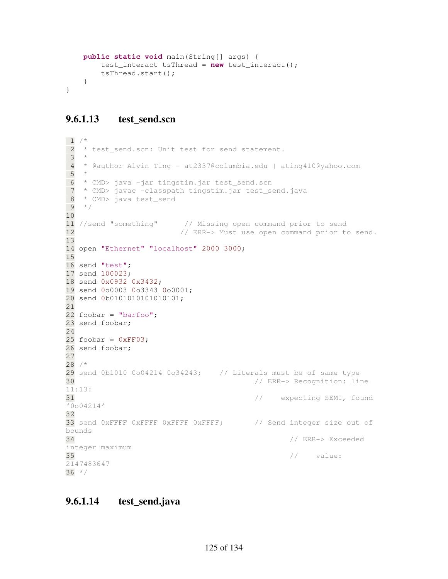```
 public static void main(String[] args) { 
         test_interact tsThread = new test_interact(); 
         tsThread.start(); 
     } 
}
```
# **9.6.1.13 test\_send.scn**

```
1 / *2 * test_send.scn: Unit test for send statement.
 3 * 
  4 * @author Alvin Ting - at2337@columbia.edu | ating410@yahoo.com
 5 * 
  6 * CMD> java -jar tingstim.jar test_send.scn
 7 * CMD> javac -classpath tingstim.jar test_send.java
 8 * CMD> java test_send 
9 * /10 
11 //send "something" // Missing open command prior to send
12 // ERR-> Must use open command prior to send.
13 
14 open "Ethernet" "localhost" 2000 3000; 
15 
16 send "test"; 
17 send 100023; 
18 send 0x0932 0x3432; 
19 send 0o0003 0o3343 0o0001; 
20 send 0b0101010101010101; 
21 
22 foobar = "barfoo";
23 send foobar; 
24 
25 foobar = 0 \times F03;
26 send foobar; 
27 
28 /*
29 send 0b1010 0o04214 0o34243; // Literals must be of same type
30 // ERR-> Recognition: line 
11:13: 
31 // expecting SEMI, found 
10004214'32 
33 send 0xFFFF 0xFFFF 0xFFFF 0xFFFF; // Send integer size out of
bounds
34 // ERR-> Exceeded 
integer maximum 
35 \hspace{0.5cm} value:
2147483647
36 * /
```
# **9.6.1.14 test\_send.java**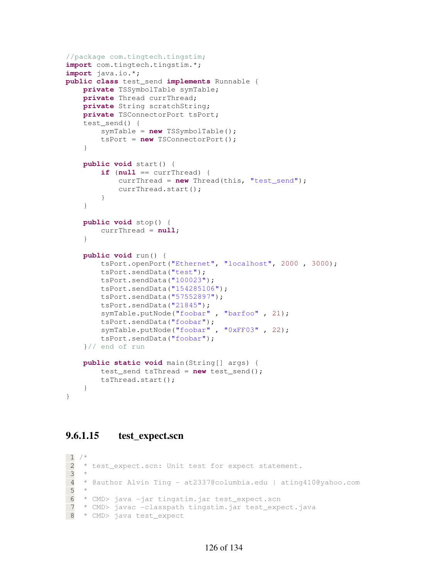```
//package com.tingtech.tingstim;
import com.tingtech.tingstim.*; 
import java.io.*; 
public class test_send implements Runnable { 
     private TSSymbolTable symTable; 
     private Thread currThread; 
     private String scratchString; 
     private TSConnectorPort tsPort; 
     test_send() { 
         symTable = new TSSymbolTable(); 
         tsPort = new TSConnectorPort(); 
     } 
     public void start() { 
         if (null == currThread) { 
             currThread = new Thread(this, "test_send"); 
             currThread.start(); 
         } 
     } 
     public void stop() { 
         currThread = null; 
     } 
     public void run() { 
         tsPort.openPort("Ethernet", "localhost", 2000 , 3000); 
         tsPort.sendData("test"); 
         tsPort.sendData("100023"); 
         tsPort.sendData("154285106"); 
         tsPort.sendData("57552897"); 
         tsPort.sendData("21845"); 
         symTable.putNode("foobar" , "barfoo" , 21); 
         tsPort.sendData("foobar"); 
        symTable.putNode("foobar", "0xFF03", 22);
         tsPort.sendData("foobar"); 
     }// end of run
     public static void main(String[] args) { 
         test_send tsThread = new test_send(); 
         tsThread.start(); 
     }
```
### **9.6.1.15 test\_expect.scn**

}

```
1 / * 2 * test_expect.scn: Unit test for expect statement.
 3 * 
 4 * @author Alvin Ting - at2337@columbia.edu | ating410@yahoo.com
 5 * 
 6 * CMD> java -jar tingstim.jar test_expect.scn
 7 * CMD> javac -classpath tingstim.jar test_expect.java
 8 * CMD> java test_expect
```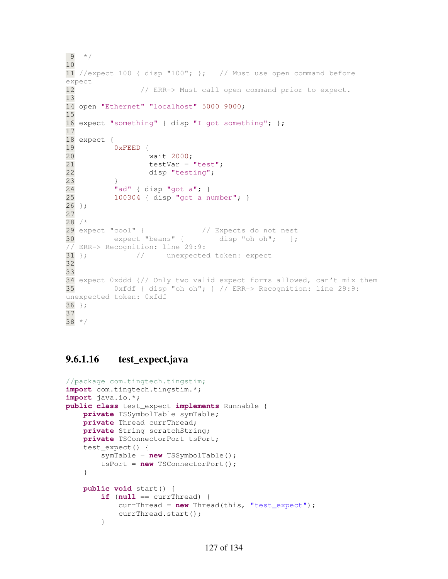```
9 * /10 
11 //expect 100 { disp "100"; }; // Must use open command before 
expect
12 // ERR-> Must call open command prior to expect.
13 
14 open "Ethernet" "localhost" 5000 9000; 
15 
16 expect "something" { disp "I got something"; }; 
17 
18 expect { 
19 0xFEED { 
20 wait 2000; 
21 testVar = "test";
22 disp "testing"; 
23 } 
24 "ad" { disp "got a"; } 
25 100304 { disp "got a number"; } 
26 }; 
27 
28 / *29 expect "cool" { // Expects do not nest
30 expect "beans" { disp "oh oh"; }; 
// ERR-> Recognition: line 29:9:
31 }; \qquad\qquad\qquad\qquad\qquad // unexpected token: expect
32 
33 
34 expect 0xddd {// Only two valid expect forms allowed, can't mix them
35 0xfdf { disp "oh oh"; } // ERR-> Recognition: line 29:9: 
unexpected token: 0xfdf
36 };
37 
38 */
```
# **9.6.1.16 test\_expect.java**

```
//package com.tingtech.tingstim;
import com.tingtech.tingstim.*; 
import java.io.*; 
public class test_expect implements Runnable { 
     private TSSymbolTable symTable; 
     private Thread currThread; 
     private String scratchString; 
     private TSConnectorPort tsPort; 
     test_expect() { 
         symTable = new TSSymbolTable(); 
         tsPort = new TSConnectorPort(); 
     } 
     public void start() { 
        if (null == currThread) {
              currThread = new Thread(this, "test_expect"); 
              currThread.start(); 
         }
```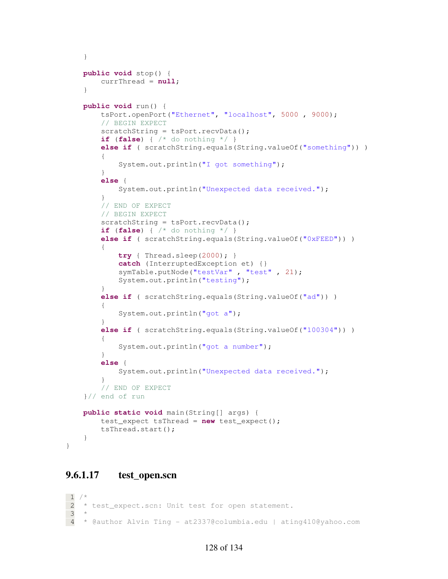```
 } 
    public void stop() { 
        currThread = null; 
     } 
    public void run() { 
        tsPort.openPort("Ethernet", "localhost", 5000 , 9000); 
         // BEGIN EXPECT
       scratchString = tsPort.recvData();
        if (false) { /* do nothing */ } 
       else if ( scratchString.equals(String.valueOf("something")) )
\{ System.out.println("I got something"); 
         } 
         else { 
             System.out.println("Unexpected data received."); 
 } 
         // END OF EXPECT
         // BEGIN EXPECT
       scratchString = tsPort.recvData();
        if (false) { /* do nothing */ } 
        else if ( scratchString.equals(String.valueOf("0xFEED")) ) 
\{ try { Thread.sleep(2000); } 
             catch (InterruptedException et) {} 
             symTable.putNode("testVar" , "test" , 21); 
             System.out.println("testing"); 
         } 
        else if ( scratchString.equals(String.valueOf("ad")) )
         { 
             System.out.println("got a"); 
 } 
         else if ( scratchString.equals(String.valueOf("100304")) ) 
\{ System.out.println("got a number"); 
 } 
        else { 
             System.out.println("Unexpected data received."); 
 } 
         // END OF EXPECT
    }// end of run
    public static void main(String[] args) { 
        test_expect tsThread = new test_expect(); 
        tsThread.start(); 
    }
```
# **9.6.1.17 test\_open.scn**

}

```
1 / *2 * test_expect.scn: Unit test for open statement.
 3 * 
 4 * @author Alvin Ting - at2337@columbia.edu | ating410@yahoo.com
```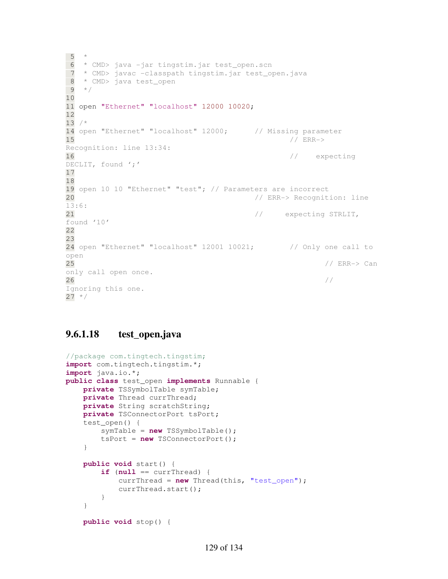```
 5 * 
 6 * CMD> java -jar tingstim.jar test_open.scn
 7 * CMD> javac -classpath tingstim.jar test_open.java
 8 * CMD> java test_open 
9 * /10 
11 open "Ethernet" "localhost" 12000 10020; 
12 
13 /*
14 open "Ethernet" "localhost" 12000; // Missing parameter
15 // ERR->
Recognition: line 13:34:
16 // expecting
DECLIT, found ';'
17 
18 
19 open 10 10 "Ethernet" "test"; // Parameters are incorrect
20 // ERR-> Recognition: line 
13:6: 
21 \frac{1}{2} expecting STRLIT,
found '10'
22 
23 
24 open "Ethernet" "localhost" 12001 10021; // Only one call to 
open
25 // ERR-> Can 
only call open once. 
26Ignoring this one.
27 * /
```
## **9.6.1.18 test\_open.java**

```
//package com.tingtech.tingstim;
import com.tingtech.tingstim.*; 
import java.io.*; 
public class test_open implements Runnable { 
     private TSSymbolTable symTable; 
     private Thread currThread; 
     private String scratchString; 
     private TSConnectorPort tsPort; 
     test_open() { 
         symTable = new TSSymbolTable(); 
         tsPort = new TSConnectorPort(); 
     } 
     public void start() { 
         if (null == currThread) { 
            currThread = new Thread(this, "test open");
              currThread.start(); 
         } 
     } 
     public void stop() {
```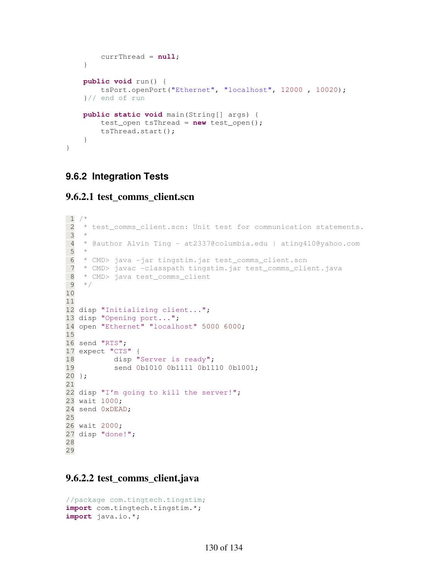```
 currThread = null; 
     } 
     public void run() { 
         tsPort.openPort("Ethernet", "localhost", 12000 , 10020); 
     }// end of run
     public static void main(String[] args) { 
         test_open tsThread = new test_open(); 
         tsThread.start(); 
     } 
}
```
# **9.6.2 Integration Tests**

#### **9.6.2.1 test\_comms\_client.scn**

```
1 / * 2 * test_comms_client.scn: Unit test for communication statements.
  3 * 
  4 * @author Alvin Ting - at2337@columbia.edu | ating410@yahoo.com
  5 * 
  6 * CMD> java -jar tingstim.jar test_comms_client.scn
  7 * CMD> javac -classpath tingstim.jar test_comms_client.java
  8 * CMD> java test_comms_client 
  9 */
10 
11 
12 disp "Initializing client..."; 
13 disp "Opening port...";
14 open "Ethernet" "localhost" 5000 6000; 
15 
16 send "RTS"; 
17 expect "CTS" { 
18 disp "Server is ready";
19 send 0b1010 0b1111 0b1110 0b1001; 
20 }; 
21 
22 disp "I'm going to kill the server!";
23 wait 1000; 
24 send 0xDEAD; 
25 
26 wait 2000; 
27 disp "done!"; 
28 
29
```
# **9.6.2.2 test\_comms\_client.java**

```
//package com.tingtech.tingstim;
import com.tingtech.tingstim.*; 
import java.io.*;
```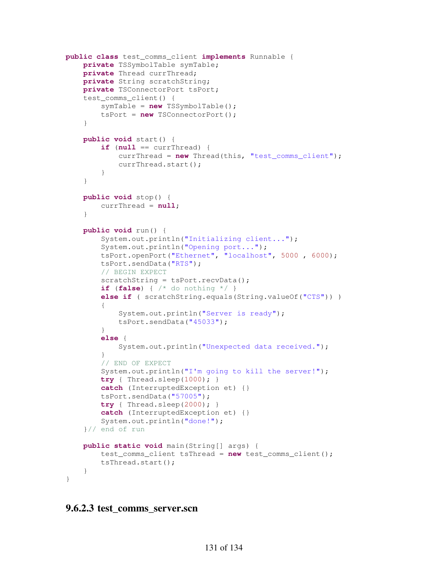```
public class test_comms_client implements Runnable { 
     private TSSymbolTable symTable; 
     private Thread currThread; 
     private String scratchString; 
     private TSConnectorPort tsPort; 
    test comms client() {
         symTable = new TSSymbolTable(); 
         tsPort = new TSConnectorPort(); 
     } 
     public void start() { 
        if (null == currThread) {
              currThread = new Thread(this, "test_comms_client"); 
              currThread.start(); 
 } 
     } 
     public void stop() { 
         currThread = null; 
     } 
     public void run() { 
         System.out.println("Initializing client..."); 
         System.out.println("Opening port..."); 
         tsPort.openPort("Ethernet", "localhost", 5000 , 6000); 
         tsPort.sendData("RTS"); 
         // BEGIN EXPECT
        scratchString = tsPort.recvData();
         if (false) { /* do nothing */ } 
         else if ( scratchString.equals(String.valueOf("CTS")) ) 
\{ System.out.println("Server is ready"); 
              tsPort.sendData("45033"); 
         } 
         else { 
              System.out.println("Unexpected data received."); 
 } 
         // END OF EXPECT
         System.out.println("I'm going to kill the server!"); 
         try { Thread.sleep(1000); } 
         catch (InterruptedException et) {} 
         tsPort.sendData("57005"); 
         try { Thread.sleep(2000); } 
         catch (InterruptedException et) {} 
         System.out.println("done!"); 
     }// end of run
     public static void main(String[] args) { 
         test_comms_client tsThread = new test_comms_client(); 
         tsThread.start(); 
     } 
}
```
#### **9.6.2.3 test\_comms\_server.scn**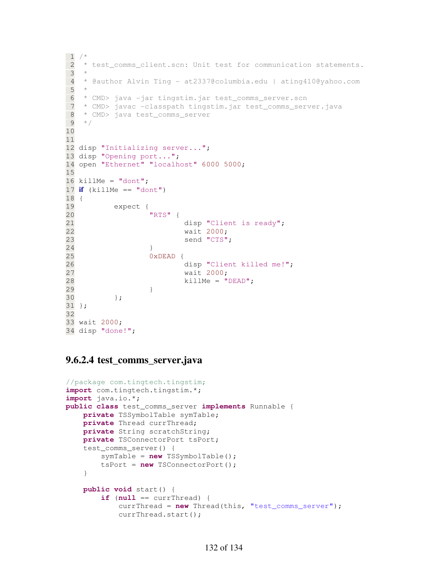```
\frac{1}{2} / \star 2 * test_comms_client.scn: Unit test for communication statements.
  3 * 
  4 * @author Alvin Ting - at2337@columbia.edu | ating410@yahoo.com
  5 * 
  6 * CMD> java -jar tingstim.jar test_comms_server.scn
  7 * CMD> javac -classpath tingstim.jar test_comms_server.java
\begin{array}{ll} 8 & * \text{ CMD} > \text{java test\_comms\_server} \\ 9 & * \end{array}\star /
10 
11 
12 disp "Initializing server..."; 
13 disp "Opening port..."; 
14 open "Ethernet" "localhost" 6000 5000; 
15 
16 killMe = "domt";17 if (killMe == "domt")18 { 
19 expect { 
20 "RTS" { 
21 disp "Client is ready";
22 wait 2000; 
23 send "CTS"; 
24 } 
25 0xDEAD { 
26 disp "Client killed me!"; 
27 wait 2000; 
28 killMe = "DEAD"; 
29 } 
30 }; 
31 }; 
32 
33 wait 2000; 
34 disp "done!";
```
#### **9.6.2.4 test\_comms\_server.java**

```
//package com.tingtech.tingstim;
import com.tingtech.tingstim.*; 
import java.io.*; 
public class test_comms_server implements Runnable { 
     private TSSymbolTable symTable; 
     private Thread currThread; 
     private String scratchString; 
     private TSConnectorPort tsPort; 
     test_comms_server() { 
         symTable = new TSSymbolTable(); 
         tsPort = new TSConnectorPort(); 
     } 
     public void start() { 
        if (null == currThread) {
              currThread = new Thread(this, "test_comms_server"); 
              currThread.start();
```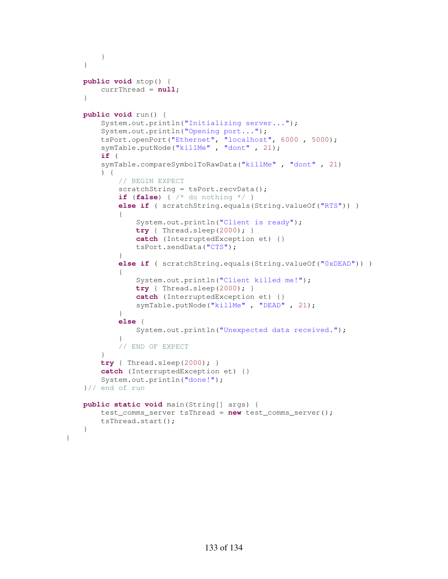```
 } 
    } 
    public void stop() { 
        currThread = null; 
    } 
    public void run() { 
        System.out.println("Initializing server..."); 
        System.out.println("Opening port..."); 
 tsPort.openPort("Ethernet", "localhost", 6000 , 5000); 
 symTable.putNode("killMe" , "dont" , 21); 
        if ( 
        symTable.compareSymbolToRawData("killMe" , "dont" , 21) 
        ) { 
            // BEGIN EXPECT
           scratchString = tsPort.recvData();
            if (false) { /* do nothing */ } 
           else if ( scratchString.equals(String.valueOf("RTS")) )
\{ System.out.println("Client is ready"); 
               try { Thread.sleep(2000); } 
                catch (InterruptedException et) {} 
                tsPort.sendData("CTS"); 
 } 
            else if ( scratchString.equals(String.valueOf("0xDEAD")) ) 
\{ System.out.println("Client killed me!"); 
               try { Thread.sleep(2000); } 
                catch (InterruptedException et) {} 
                symTable.putNode("killMe" , "DEAD" , 21); 
 } 
            else { 
                System.out.println("Unexpected data received."); 
 } 
            // END OF EXPECT
 } 
        try { Thread.sleep(2000); } 
        catch (InterruptedException et) {} 
        System.out.println("done!"); 
    }// end of run
    public static void main(String[] args) { 
        test_comms_server tsThread = new test_comms_server(); 
        tsThread.start(); 
    }
```
}